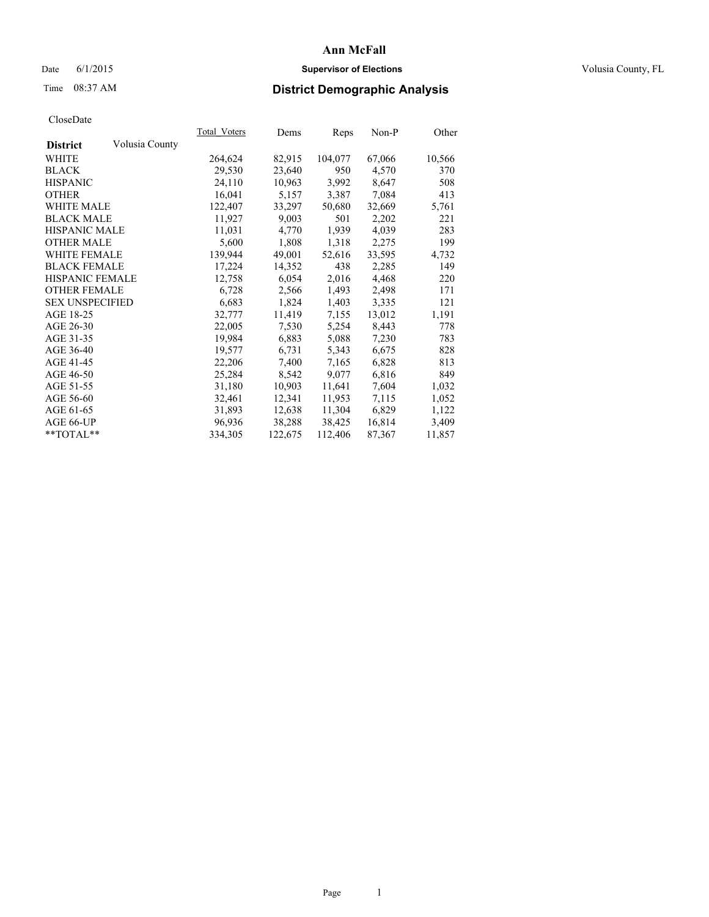# Date 6/1/2015 **Supervisor of Elections Supervisor of Elections** Volusia County, FL

# Time 08:37 AM **District Demographic Analysis**

| Volusia County<br><b>District</b><br>82,915<br>104,077<br>67,066<br>WHITE<br>264,624<br>29,530<br><b>BLACK</b><br>23,640<br>950<br>4,570<br><b>HISPANIC</b><br>24,110<br>10,963<br>3,992<br>8,647<br><b>OTHER</b><br>16,041<br>5,157<br>3,387<br>7,084<br>WHITE MALE<br>122,407<br>33,297<br>50,680<br>32,669<br><b>BLACK MALE</b><br>11,927<br>9,003<br>501<br>2,202<br><b>HISPANIC MALE</b><br>11,031<br>4,770<br>1,939<br>4,039<br><b>OTHER MALE</b><br>5,600<br>1,808<br>1,318<br>2,275<br><b>WHITE FEMALE</b><br>139,944<br>49,001<br>52,616<br>33,595<br><b>BLACK FEMALE</b><br>17,224<br>14,352<br>438<br>2,285<br>HISPANIC FEMALE<br>6,054<br>2,016<br>4,468<br>12,758<br><b>OTHER FEMALE</b><br>2,566<br>6,728<br>1,493<br>2,498<br><b>SEX UNSPECIFIED</b><br>6,683<br>1,824<br>1,403<br>3,335<br>AGE 18-25<br>11,419<br>13,012<br>32,777<br>7,155<br>AGE 26-30<br>22,005<br>7,530<br>5,254<br>8,443<br>AGE 31-35<br>19,984<br>6,883<br>5,088<br>7,230<br>AGE 36-40<br>6,731<br>19,577<br>5,343<br>6,675<br>AGE 41-45<br>22,206<br>7,400<br>7,165<br>6,828<br>AGE 46-50<br>25,284<br>8,542<br>6,816<br>9,077<br>AGE 51-55<br>31,180<br>10,903<br>11,641<br>7,604<br>AGE 56-60<br>11,953<br>32,461<br>12,341<br>7,115<br>AGE 61-65<br>31,893<br>12,638<br>11,304<br>6,829 |           | Total Voters | Dems   | Reps   | $Non-P$ | Other  |
|-----------------------------------------------------------------------------------------------------------------------------------------------------------------------------------------------------------------------------------------------------------------------------------------------------------------------------------------------------------------------------------------------------------------------------------------------------------------------------------------------------------------------------------------------------------------------------------------------------------------------------------------------------------------------------------------------------------------------------------------------------------------------------------------------------------------------------------------------------------------------------------------------------------------------------------------------------------------------------------------------------------------------------------------------------------------------------------------------------------------------------------------------------------------------------------------------------------------------------------------------------------------------------------|-----------|--------------|--------|--------|---------|--------|
|                                                                                                                                                                                                                                                                                                                                                                                                                                                                                                                                                                                                                                                                                                                                                                                                                                                                                                                                                                                                                                                                                                                                                                                                                                                                                   |           |              |        |        |         |        |
|                                                                                                                                                                                                                                                                                                                                                                                                                                                                                                                                                                                                                                                                                                                                                                                                                                                                                                                                                                                                                                                                                                                                                                                                                                                                                   |           |              |        |        |         | 10,566 |
|                                                                                                                                                                                                                                                                                                                                                                                                                                                                                                                                                                                                                                                                                                                                                                                                                                                                                                                                                                                                                                                                                                                                                                                                                                                                                   |           |              |        |        |         | 370    |
|                                                                                                                                                                                                                                                                                                                                                                                                                                                                                                                                                                                                                                                                                                                                                                                                                                                                                                                                                                                                                                                                                                                                                                                                                                                                                   |           |              |        |        |         | 508    |
|                                                                                                                                                                                                                                                                                                                                                                                                                                                                                                                                                                                                                                                                                                                                                                                                                                                                                                                                                                                                                                                                                                                                                                                                                                                                                   |           |              |        |        |         | 413    |
|                                                                                                                                                                                                                                                                                                                                                                                                                                                                                                                                                                                                                                                                                                                                                                                                                                                                                                                                                                                                                                                                                                                                                                                                                                                                                   |           |              |        |        |         | 5,761  |
|                                                                                                                                                                                                                                                                                                                                                                                                                                                                                                                                                                                                                                                                                                                                                                                                                                                                                                                                                                                                                                                                                                                                                                                                                                                                                   |           |              |        |        |         | 221    |
|                                                                                                                                                                                                                                                                                                                                                                                                                                                                                                                                                                                                                                                                                                                                                                                                                                                                                                                                                                                                                                                                                                                                                                                                                                                                                   |           |              |        |        |         | 283    |
|                                                                                                                                                                                                                                                                                                                                                                                                                                                                                                                                                                                                                                                                                                                                                                                                                                                                                                                                                                                                                                                                                                                                                                                                                                                                                   |           |              |        |        |         | 199    |
|                                                                                                                                                                                                                                                                                                                                                                                                                                                                                                                                                                                                                                                                                                                                                                                                                                                                                                                                                                                                                                                                                                                                                                                                                                                                                   |           |              |        |        |         | 4,732  |
|                                                                                                                                                                                                                                                                                                                                                                                                                                                                                                                                                                                                                                                                                                                                                                                                                                                                                                                                                                                                                                                                                                                                                                                                                                                                                   |           |              |        |        |         | 149    |
|                                                                                                                                                                                                                                                                                                                                                                                                                                                                                                                                                                                                                                                                                                                                                                                                                                                                                                                                                                                                                                                                                                                                                                                                                                                                                   |           |              |        |        |         | 220    |
|                                                                                                                                                                                                                                                                                                                                                                                                                                                                                                                                                                                                                                                                                                                                                                                                                                                                                                                                                                                                                                                                                                                                                                                                                                                                                   |           |              |        |        |         | 171    |
|                                                                                                                                                                                                                                                                                                                                                                                                                                                                                                                                                                                                                                                                                                                                                                                                                                                                                                                                                                                                                                                                                                                                                                                                                                                                                   |           |              |        |        |         | 121    |
|                                                                                                                                                                                                                                                                                                                                                                                                                                                                                                                                                                                                                                                                                                                                                                                                                                                                                                                                                                                                                                                                                                                                                                                                                                                                                   |           |              |        |        |         | 1,191  |
|                                                                                                                                                                                                                                                                                                                                                                                                                                                                                                                                                                                                                                                                                                                                                                                                                                                                                                                                                                                                                                                                                                                                                                                                                                                                                   |           |              |        |        |         | 778    |
|                                                                                                                                                                                                                                                                                                                                                                                                                                                                                                                                                                                                                                                                                                                                                                                                                                                                                                                                                                                                                                                                                                                                                                                                                                                                                   |           |              |        |        |         | 783    |
|                                                                                                                                                                                                                                                                                                                                                                                                                                                                                                                                                                                                                                                                                                                                                                                                                                                                                                                                                                                                                                                                                                                                                                                                                                                                                   |           |              |        |        |         | 828    |
|                                                                                                                                                                                                                                                                                                                                                                                                                                                                                                                                                                                                                                                                                                                                                                                                                                                                                                                                                                                                                                                                                                                                                                                                                                                                                   |           |              |        |        |         | 813    |
|                                                                                                                                                                                                                                                                                                                                                                                                                                                                                                                                                                                                                                                                                                                                                                                                                                                                                                                                                                                                                                                                                                                                                                                                                                                                                   |           |              |        |        |         | 849    |
|                                                                                                                                                                                                                                                                                                                                                                                                                                                                                                                                                                                                                                                                                                                                                                                                                                                                                                                                                                                                                                                                                                                                                                                                                                                                                   |           |              |        |        |         | 1,032  |
|                                                                                                                                                                                                                                                                                                                                                                                                                                                                                                                                                                                                                                                                                                                                                                                                                                                                                                                                                                                                                                                                                                                                                                                                                                                                                   |           |              |        |        |         | 1,052  |
|                                                                                                                                                                                                                                                                                                                                                                                                                                                                                                                                                                                                                                                                                                                                                                                                                                                                                                                                                                                                                                                                                                                                                                                                                                                                                   |           |              |        |        |         | 1,122  |
|                                                                                                                                                                                                                                                                                                                                                                                                                                                                                                                                                                                                                                                                                                                                                                                                                                                                                                                                                                                                                                                                                                                                                                                                                                                                                   | AGE 66-UP | 96,936       | 38,288 | 38,425 | 16,814  | 3,409  |
| 334,305<br>112,406<br>87,367<br>$*$ $TOTAL**$<br>122,675                                                                                                                                                                                                                                                                                                                                                                                                                                                                                                                                                                                                                                                                                                                                                                                                                                                                                                                                                                                                                                                                                                                                                                                                                          |           |              |        |        |         | 11,857 |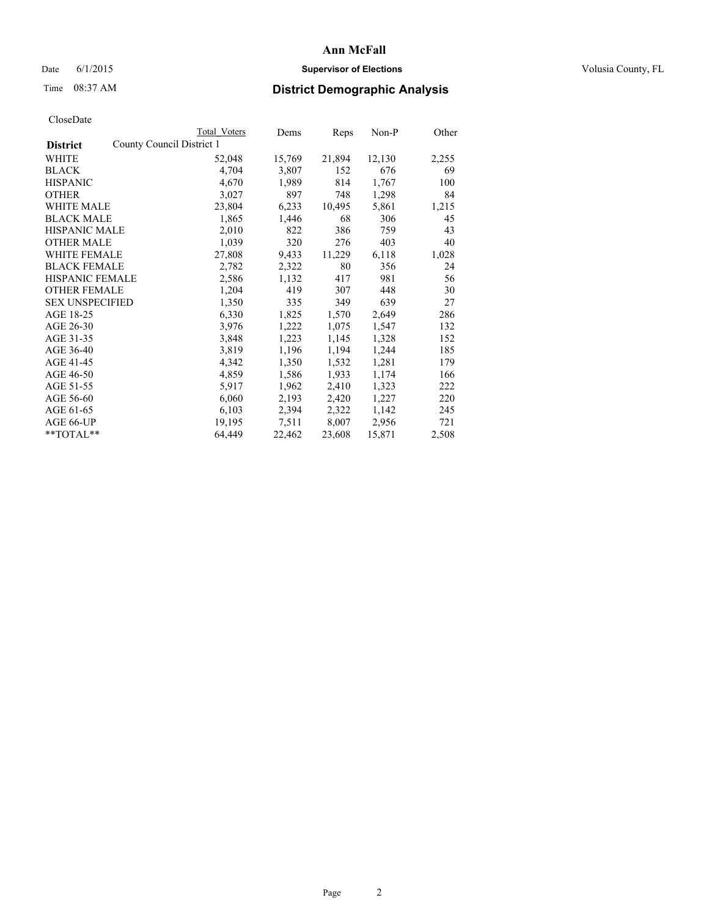# Date 6/1/2015 **Supervisor of Elections Supervisor of Elections** Volusia County, FL

# Time 08:37 AM **District Demographic Analysis**

|                        |                           | Total Voters | Dems   | Reps   | $Non-P$ | Other |
|------------------------|---------------------------|--------------|--------|--------|---------|-------|
| <b>District</b>        | County Council District 1 |              |        |        |         |       |
| WHITE                  |                           | 52,048       | 15,769 | 21,894 | 12,130  | 2,255 |
| <b>BLACK</b>           |                           | 4,704        | 3,807  | 152    | 676     | 69    |
| <b>HISPANIC</b>        |                           | 4,670        | 1,989  | 814    | 1,767   | 100   |
| <b>OTHER</b>           |                           | 3,027        | 897    | 748    | 1,298   | 84    |
| <b>WHITE MALE</b>      |                           | 23,804       | 6,233  | 10,495 | 5,861   | 1,215 |
| <b>BLACK MALE</b>      |                           | 1,865        | 1,446  | 68     | 306     | 45    |
| <b>HISPANIC MALE</b>   |                           | 2,010        | 822    | 386    | 759     | 43    |
| <b>OTHER MALE</b>      |                           | 1,039        | 320    | 276    | 403     | 40    |
| <b>WHITE FEMALE</b>    |                           | 27,808       | 9,433  | 11,229 | 6,118   | 1,028 |
| <b>BLACK FEMALE</b>    |                           | 2,782        | 2,322  | 80     | 356     | 24    |
| HISPANIC FEMALE        |                           | 2,586        | 1,132  | 417    | 981     | 56    |
| <b>OTHER FEMALE</b>    |                           | 1,204        | 419    | 307    | 448     | 30    |
| <b>SEX UNSPECIFIED</b> |                           | 1,350        | 335    | 349    | 639     | 27    |
| AGE 18-25              |                           | 6,330        | 1,825  | 1,570  | 2,649   | 286   |
| AGE 26-30              |                           | 3,976        | 1,222  | 1,075  | 1,547   | 132   |
| AGE 31-35              |                           | 3,848        | 1,223  | 1,145  | 1,328   | 152   |
| AGE 36-40              |                           | 3,819        | 1,196  | 1,194  | 1,244   | 185   |
| AGE 41-45              |                           | 4,342        | 1,350  | 1,532  | 1,281   | 179   |
| AGE 46-50              |                           | 4,859        | 1,586  | 1,933  | 1,174   | 166   |
| AGE 51-55              |                           | 5,917        | 1,962  | 2,410  | 1,323   | 222   |
| AGE 56-60              |                           | 6,060        | 2,193  | 2,420  | 1,227   | 220   |
| AGE 61-65              |                           | 6,103        | 2,394  | 2,322  | 1,142   | 245   |
| AGE 66-UP              |                           | 19,195       | 7.511  | 8,007  | 2,956   | 721   |
| **TOTAL**              |                           | 64,449       | 22,462 | 23,608 | 15,871  | 2,508 |
|                        |                           |              |        |        |         |       |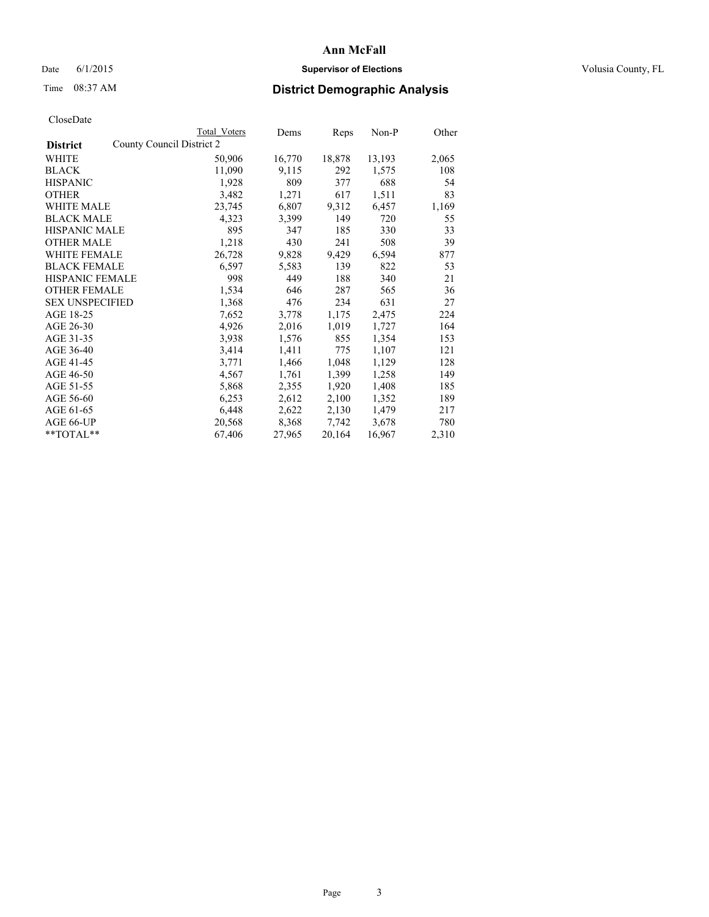# Date 6/1/2015 **Supervisor of Elections Supervisor of Elections** Volusia County, FL

# Time 08:37 AM **District Demographic Analysis**

| CloseDate |
|-----------|
|-----------|

|                                              | <b>Total Voters</b> | Dems   | Reps   | $Non-P$ | Other |
|----------------------------------------------|---------------------|--------|--------|---------|-------|
| County Council District 2<br><b>District</b> |                     |        |        |         |       |
| WHITE                                        | 50,906              | 16,770 | 18,878 | 13,193  | 2,065 |
| <b>BLACK</b>                                 | 11,090              | 9,115  | 292    | 1,575   | 108   |
| <b>HISPANIC</b>                              | 1,928               | 809    | 377    | 688     | 54    |
| <b>OTHER</b>                                 | 3,482               | 1,271  | 617    | 1,511   | 83    |
| WHITE MALE                                   | 23,745              | 6,807  | 9,312  | 6,457   | 1,169 |
| <b>BLACK MALE</b>                            | 4,323               | 3,399  | 149    | 720     | 55    |
| <b>HISPANIC MALE</b>                         | 895                 | 347    | 185    | 330     | 33    |
| <b>OTHER MALE</b>                            | 1,218               | 430    | 241    | 508     | 39    |
| <b>WHITE FEMALE</b>                          | 26,728              | 9,828  | 9,429  | 6,594   | 877   |
| <b>BLACK FEMALE</b>                          | 6,597               | 5,583  | 139    | 822     | 53    |
| HISPANIC FEMALE                              | 998                 | 449    | 188    | 340     | 21    |
| <b>OTHER FEMALE</b>                          | 1,534               | 646    | 287    | 565     | 36    |
| <b>SEX UNSPECIFIED</b>                       | 1,368               | 476    | 234    | 631     | 27    |
| AGE 18-25                                    | 7,652               | 3,778  | 1,175  | 2,475   | 224   |
| AGE 26-30                                    | 4,926               | 2,016  | 1,019  | 1,727   | 164   |
| AGE 31-35                                    | 3.938               | 1,576  | 855    | 1,354   | 153   |
| AGE 36-40                                    | 3,414               | 1,411  | 775    | 1,107   | 121   |
| AGE 41-45                                    | 3,771               | 1,466  | 1,048  | 1,129   | 128   |
| AGE 46-50                                    | 4,567               | 1,761  | 1,399  | 1,258   | 149   |
| AGE 51-55                                    | 5,868               | 2,355  | 1,920  | 1,408   | 185   |
| AGE 56-60                                    | 6,253               | 2,612  | 2,100  | 1,352   | 189   |
| AGE 61-65                                    | 6,448               | 2,622  | 2,130  | 1,479   | 217   |
| AGE 66-UP                                    | 20,568              | 8,368  | 7.742  | 3,678   | 780   |
| **TOTAL**                                    | 67,406              | 27,965 | 20,164 | 16,967  | 2,310 |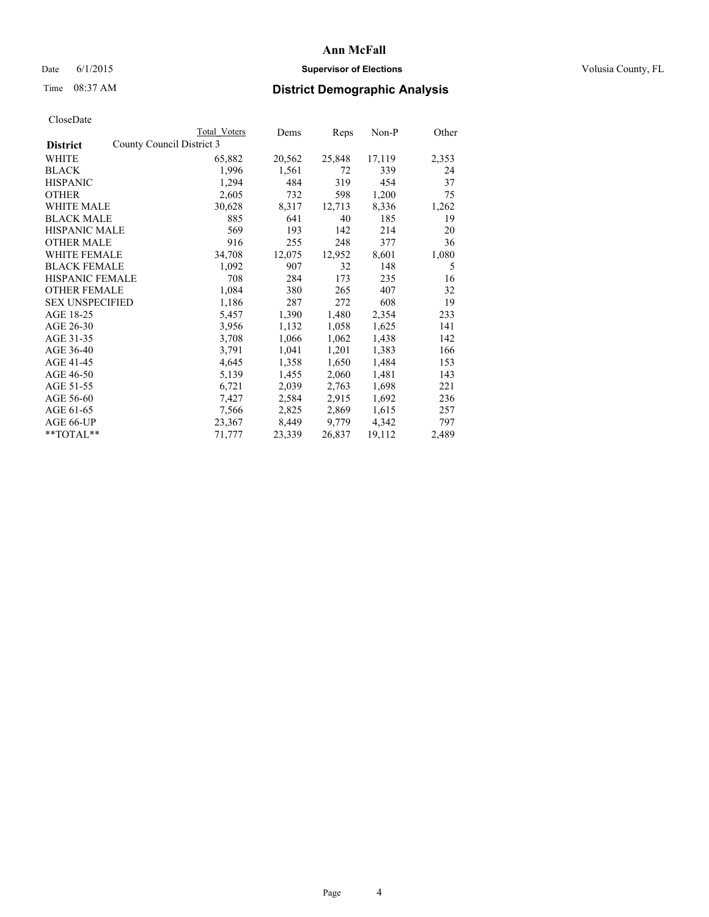# Date 6/1/2015 **Supervisor of Elections Supervisor of Elections** Volusia County, FL

# Time 08:37 AM **District Demographic Analysis**

|                        |                           | Total Voters | Dems   | <b>Reps</b> | Non-P  | Other |
|------------------------|---------------------------|--------------|--------|-------------|--------|-------|
| <b>District</b>        | County Council District 3 |              |        |             |        |       |
| WHITE                  |                           | 65,882       | 20,562 | 25,848      | 17,119 | 2,353 |
| <b>BLACK</b>           |                           | 1,996        | 1,561  | 72          | 339    | 24    |
| <b>HISPANIC</b>        |                           | 1,294        | 484    | 319         | 454    | 37    |
| <b>OTHER</b>           |                           | 2,605        | 732    | 598         | 1,200  | 75    |
| WHITE MALE             |                           | 30,628       | 8,317  | 12,713      | 8,336  | 1,262 |
| <b>BLACK MALE</b>      |                           | 885          | 641    | 40          | 185    | 19    |
| <b>HISPANIC MALE</b>   |                           | 569          | 193    | 142         | 214    | 20    |
| <b>OTHER MALE</b>      |                           | 916          | 255    | 248         | 377    | 36    |
| <b>WHITE FEMALE</b>    |                           | 34,708       | 12,075 | 12,952      | 8,601  | 1,080 |
| <b>BLACK FEMALE</b>    |                           | 1,092        | 907    | 32          | 148    | 5     |
| <b>HISPANIC FEMALE</b> |                           | 708          | 284    | 173         | 235    | 16    |
| <b>OTHER FEMALE</b>    |                           | 1,084        | 380    | 265         | 407    | 32    |
| <b>SEX UNSPECIFIED</b> |                           | 1,186        | 287    | 272         | 608    | 19    |
| AGE 18-25              |                           | 5,457        | 1,390  | 1,480       | 2,354  | 233   |
| AGE 26-30              |                           | 3,956        | 1,132  | 1,058       | 1,625  | 141   |
| AGE 31-35              |                           | 3,708        | 1,066  | 1,062       | 1,438  | 142   |
| AGE 36-40              |                           | 3,791        | 1,041  | 1,201       | 1,383  | 166   |
| AGE 41-45              |                           | 4,645        | 1,358  | 1,650       | 1,484  | 153   |
| AGE 46-50              |                           | 5,139        | 1,455  | 2,060       | 1,481  | 143   |
| AGE 51-55              |                           | 6,721        | 2,039  | 2,763       | 1,698  | 221   |
| AGE 56-60              |                           | 7,427        | 2,584  | 2,915       | 1,692  | 236   |
| AGE 61-65              |                           | 7,566        | 2,825  | 2,869       | 1,615  | 257   |
| AGE 66-UP              |                           | 23,367       | 8,449  | 9,779       | 4,342  | 797   |
| $*$ $TOTAL**$          |                           | 71,777       | 23,339 | 26,837      | 19,112 | 2,489 |
|                        |                           |              |        |             |        |       |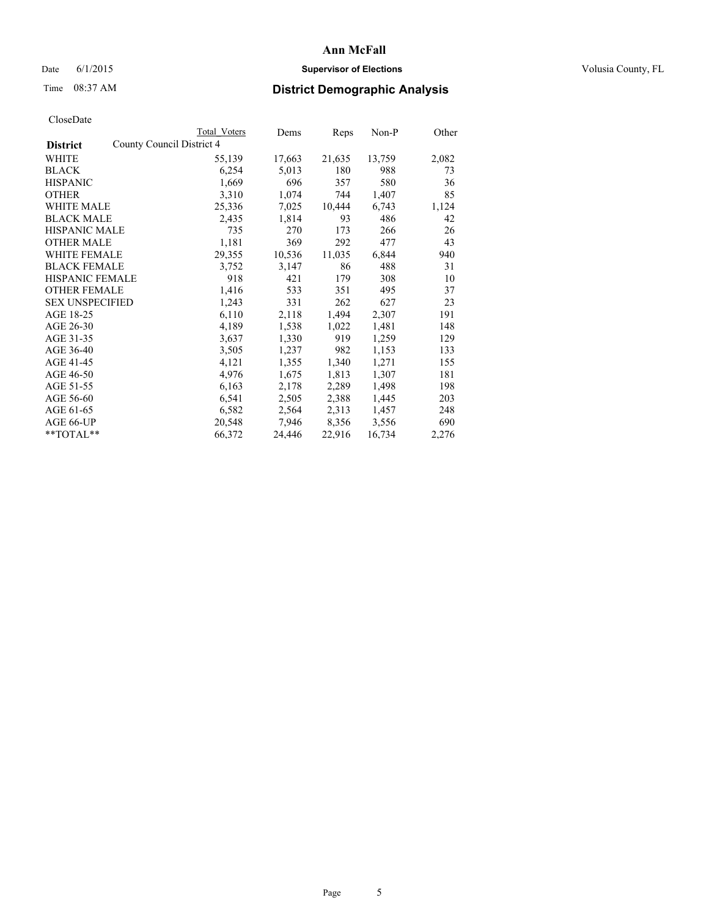# Date 6/1/2015 **Supervisor of Elections Supervisor of Elections** Volusia County, FL

# Time 08:37 AM **District Demographic Analysis**

|                                              | <b>Total Voters</b> | Dems   | Reps   | Non-P  | Other |
|----------------------------------------------|---------------------|--------|--------|--------|-------|
| County Council District 4<br><b>District</b> |                     |        |        |        |       |
| WHITE                                        | 55,139              | 17,663 | 21,635 | 13,759 | 2,082 |
| <b>BLACK</b>                                 | 6,254               | 5,013  | 180    | 988    | 73    |
| <b>HISPANIC</b>                              | 1,669               | 696    | 357    | 580    | 36    |
| <b>OTHER</b>                                 | 3,310               | 1,074  | 744    | 1,407  | 85    |
| <b>WHITE MALE</b>                            | 25,336              | 7,025  | 10,444 | 6,743  | 1,124 |
| <b>BLACK MALE</b>                            | 2,435               | 1,814  | 93     | 486    | 42    |
| <b>HISPANIC MALE</b>                         | 735                 | 270    | 173    | 266    | 26    |
| <b>OTHER MALE</b>                            | 1,181               | 369    | 292    | 477    | 43    |
| WHITE FEMALE                                 | 29,355              | 10,536 | 11,035 | 6,844  | 940   |
| <b>BLACK FEMALE</b>                          | 3,752               | 3,147  | 86     | 488    | 31    |
| HISPANIC FEMALE                              | 918                 | 421    | 179    | 308    | 10    |
| <b>OTHER FEMALE</b>                          | 1,416               | 533    | 351    | 495    | 37    |
| <b>SEX UNSPECIFIED</b>                       | 1,243               | 331    | 262    | 627    | 23    |
| AGE 18-25                                    | 6,110               | 2,118  | 1,494  | 2,307  | 191   |
| AGE 26-30                                    | 4,189               | 1,538  | 1,022  | 1,481  | 148   |
| AGE 31-35                                    | 3,637               | 1,330  | 919    | 1,259  | 129   |
| AGE 36-40                                    | 3,505               | 1,237  | 982    | 1,153  | 133   |
| AGE 41-45                                    | 4,121               | 1,355  | 1,340  | 1,271  | 155   |
| AGE 46-50                                    | 4,976               | 1,675  | 1,813  | 1,307  | 181   |
| AGE 51-55                                    | 6,163               | 2,178  | 2,289  | 1,498  | 198   |
| AGE 56-60                                    | 6,541               | 2,505  | 2,388  | 1,445  | 203   |
| AGE 61-65                                    | 6,582               | 2,564  | 2,313  | 1,457  | 248   |
| AGE 66-UP                                    | 20,548              | 7,946  | 8,356  | 3,556  | 690   |
| $*$ TOTAL $*$                                | 66,372              | 24,446 | 22,916 | 16,734 | 2,276 |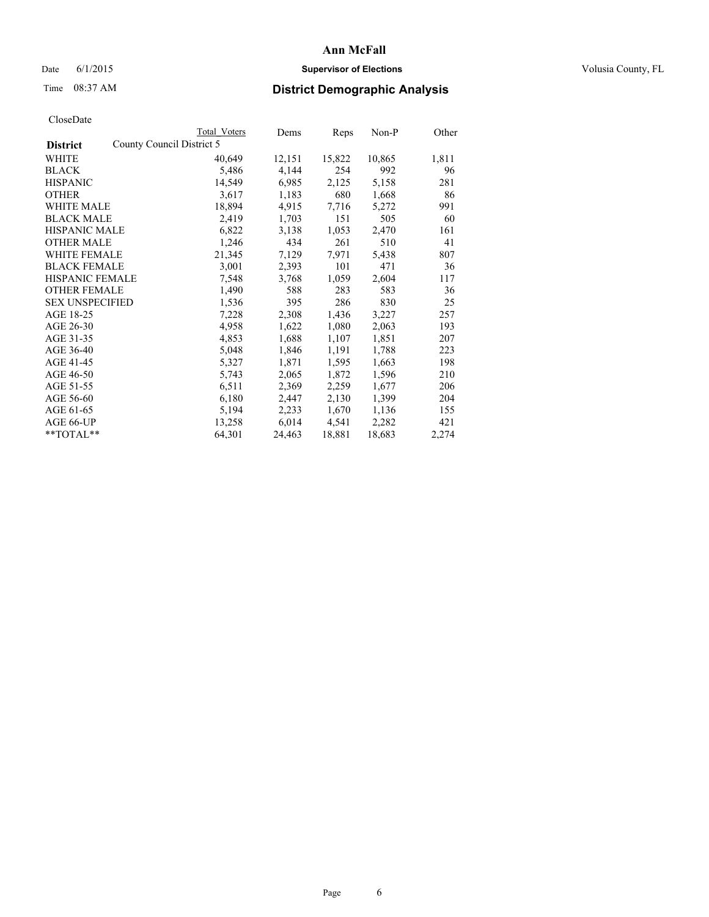# Date 6/1/2015 **Supervisor of Elections Supervisor of Elections** Volusia County, FL

# Time 08:37 AM **District Demographic Analysis**

|                                              | Total Voters | Dems   | Reps   | Non-P  | Other |
|----------------------------------------------|--------------|--------|--------|--------|-------|
| County Council District 5<br><b>District</b> |              |        |        |        |       |
| WHITE                                        | 40,649       | 12,151 | 15,822 | 10,865 | 1,811 |
| <b>BLACK</b>                                 | 5,486        | 4,144  | 254    | 992    | 96    |
| <b>HISPANIC</b>                              | 14,549       | 6,985  | 2,125  | 5,158  | 281   |
| <b>OTHER</b>                                 | 3,617        | 1,183  | 680    | 1,668  | 86    |
| WHITE MALE                                   | 18,894       | 4,915  | 7,716  | 5,272  | 991   |
| <b>BLACK MALE</b>                            | 2,419        | 1,703  | 151    | 505    | 60    |
| <b>HISPANIC MALE</b>                         | 6,822        | 3,138  | 1,053  | 2,470  | 161   |
| <b>OTHER MALE</b>                            | 1,246        | 434    | 261    | 510    | 41    |
| <b>WHITE FEMALE</b>                          | 21,345       | 7,129  | 7,971  | 5,438  | 807   |
| <b>BLACK FEMALE</b>                          | 3,001        | 2,393  | 101    | 471    | 36    |
| HISPANIC FEMALE                              | 7,548        | 3,768  | 1,059  | 2,604  | 117   |
| <b>OTHER FEMALE</b>                          | 1,490        | 588    | 283    | 583    | 36    |
| <b>SEX UNSPECIFIED</b>                       | 1,536        | 395    | 286    | 830    | 25    |
| AGE 18-25                                    | 7,228        | 2,308  | 1,436  | 3,227  | 257   |
| AGE 26-30                                    | 4,958        | 1,622  | 1,080  | 2,063  | 193   |
| AGE 31-35                                    | 4,853        | 1,688  | 1,107  | 1,851  | 207   |
| AGE 36-40                                    | 5,048        | 1,846  | 1,191  | 1,788  | 223   |
| AGE 41-45                                    | 5,327        | 1,871  | 1,595  | 1,663  | 198   |
| AGE 46-50                                    | 5,743        | 2,065  | 1,872  | 1,596  | 210   |
| AGE 51-55                                    | 6,511        | 2,369  | 2,259  | 1,677  | 206   |
| AGE 56-60                                    | 6,180        | 2,447  | 2,130  | 1,399  | 204   |
| AGE 61-65                                    | 5,194        | 2,233  | 1,670  | 1,136  | 155   |
| AGE 66-UP                                    | 13,258       | 6,014  | 4,541  | 2,282  | 421   |
| $*$ TOTAL $*$                                | 64,301       | 24,463 | 18,881 | 18,683 | 2,274 |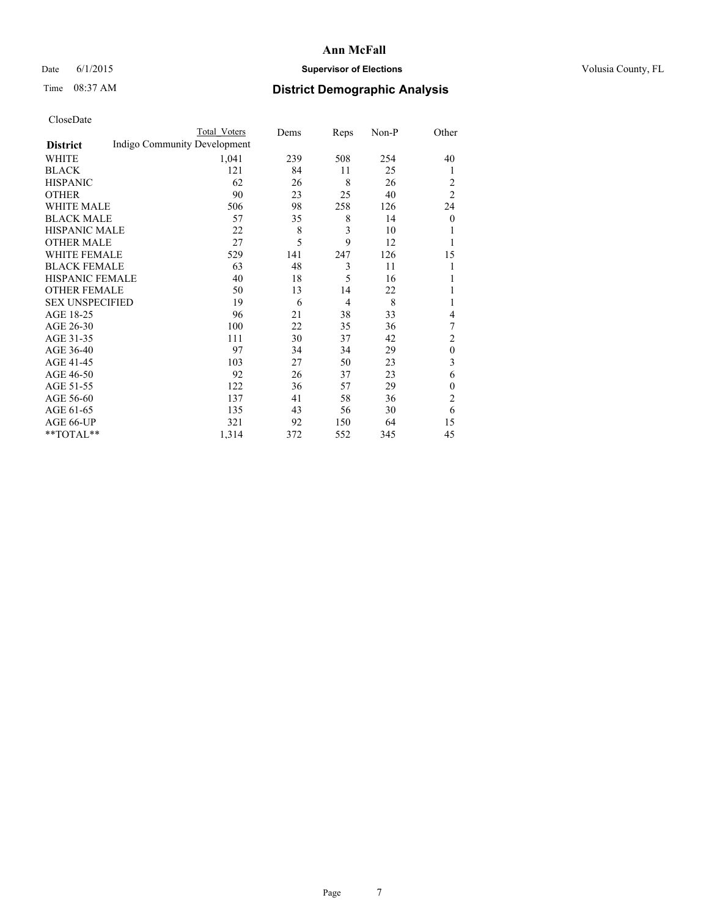# Date 6/1/2015 **Supervisor of Elections Supervisor of Elections** Volusia County, FL

# Time 08:37 AM **District Demographic Analysis**

|                        |                              | <b>Total Voters</b> | Dems | Reps           | Non-P | Other          |
|------------------------|------------------------------|---------------------|------|----------------|-------|----------------|
| <b>District</b>        | Indigo Community Development |                     |      |                |       |                |
| WHITE                  |                              | 1,041               | 239  | 508            | 254   | 40             |
| <b>BLACK</b>           |                              | 121                 | 84   | 11             | 25    | 1              |
| <b>HISPANIC</b>        |                              | 62                  | 26   | 8              | 26    | 2              |
| <b>OTHER</b>           |                              | 90                  | 23   | 25             | 40    | $\overline{2}$ |
| WHITE MALE             |                              | 506                 | 98   | 258            | 126   | 24             |
| <b>BLACK MALE</b>      |                              | 57                  | 35   | 8              | 14    | $\mathbf{0}$   |
| <b>HISPANIC MALE</b>   |                              | 22                  | 8    | 3              | 10    |                |
| <b>OTHER MALE</b>      |                              | 27                  | 5    | 9              | 12    |                |
| WHITE FEMALE           |                              | 529                 | 141  | 247            | 126   | 15             |
| <b>BLACK FEMALE</b>    |                              | 63                  | 48   | 3              | 11    |                |
| <b>HISPANIC FEMALE</b> |                              | 40                  | 18   | 5              | 16    |                |
| <b>OTHER FEMALE</b>    |                              | 50                  | 13   | 14             | 22    |                |
| <b>SEX UNSPECIFIED</b> |                              | 19                  | 6    | $\overline{4}$ | 8     | 1              |
| AGE 18-25              |                              | 96                  | 21   | 38             | 33    | 4              |
| AGE 26-30              |                              | 100                 | 22   | 35             | 36    | 7              |
| AGE 31-35              |                              | 111                 | 30   | 37             | 42    | $\overline{c}$ |
| AGE 36-40              |                              | 97                  | 34   | 34             | 29    | $\mathbf{0}$   |
| AGE 41-45              |                              | 103                 | 27   | 50             | 23    | 3              |
| AGE 46-50              |                              | 92                  | 26   | 37             | 23    | 6              |
| AGE 51-55              |                              | 122                 | 36   | 57             | 29    | $\mathbf{0}$   |
| AGE 56-60              |                              | 137                 | 41   | 58             | 36    | $\overline{c}$ |
| AGE 61-65              |                              | 135                 | 43   | 56             | 30    | 6              |
| AGE 66-UP              |                              | 321                 | 92   | 150            | 64    | 15             |
| **TOTAL**              |                              | 1,314               | 372  | 552            | 345   | 45             |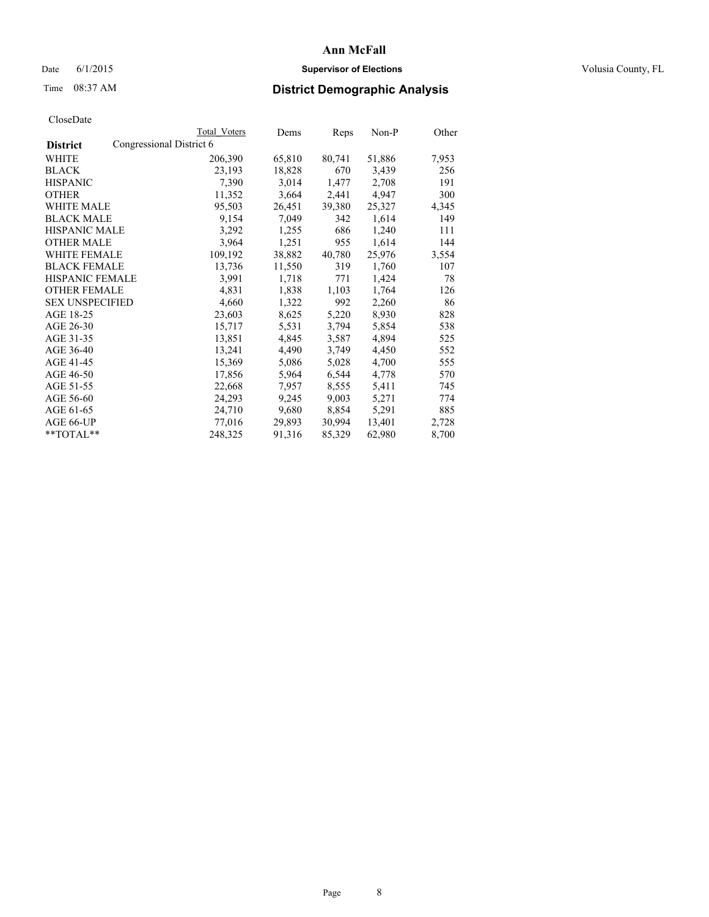# Date 6/1/2015 **Supervisor of Elections Supervisor of Elections** Volusia County, FL

# Time 08:37 AM **District Demographic Analysis**

|                        |                          | <b>Total Voters</b> | Dems   | Reps   | Non-P  | Other |
|------------------------|--------------------------|---------------------|--------|--------|--------|-------|
| <b>District</b>        | Congressional District 6 |                     |        |        |        |       |
| WHITE                  |                          | 206,390             | 65,810 | 80,741 | 51,886 | 7,953 |
| <b>BLACK</b>           |                          | 23,193              | 18,828 | 670    | 3,439  | 256   |
| <b>HISPANIC</b>        |                          | 7,390               | 3,014  | 1,477  | 2,708  | 191   |
| <b>OTHER</b>           |                          | 11,352              | 3,664  | 2,441  | 4,947  | 300   |
| <b>WHITE MALE</b>      |                          | 95,503              | 26,451 | 39,380 | 25,327 | 4,345 |
| <b>BLACK MALE</b>      |                          | 9,154               | 7,049  | 342    | 1,614  | 149   |
| <b>HISPANIC MALE</b>   |                          | 3,292               | 1,255  | 686    | 1,240  | 111   |
| <b>OTHER MALE</b>      |                          | 3,964               | 1,251  | 955    | 1,614  | 144   |
| <b>WHITE FEMALE</b>    |                          | 109,192             | 38,882 | 40,780 | 25,976 | 3,554 |
| <b>BLACK FEMALE</b>    |                          | 13,736              | 11,550 | 319    | 1,760  | 107   |
| <b>HISPANIC FEMALE</b> |                          | 3,991               | 1,718  | 771    | 1,424  | 78    |
| <b>OTHER FEMALE</b>    |                          | 4,831               | 1,838  | 1,103  | 1,764  | 126   |
| <b>SEX UNSPECIFIED</b> |                          | 4,660               | 1,322  | 992    | 2,260  | 86    |
| AGE 18-25              |                          | 23,603              | 8,625  | 5,220  | 8,930  | 828   |
| AGE 26-30              |                          | 15,717              | 5,531  | 3,794  | 5,854  | 538   |
| AGE 31-35              |                          | 13,851              | 4,845  | 3,587  | 4,894  | 525   |
| AGE 36-40              |                          | 13,241              | 4,490  | 3,749  | 4,450  | 552   |
| AGE 41-45              |                          | 15,369              | 5,086  | 5,028  | 4,700  | 555   |
| AGE 46-50              |                          | 17,856              | 5,964  | 6,544  | 4,778  | 570   |
| AGE 51-55              |                          | 22,668              | 7,957  | 8,555  | 5,411  | 745   |
| AGE 56-60              |                          | 24,293              | 9,245  | 9,003  | 5,271  | 774   |
| AGE 61-65              |                          | 24,710              | 9,680  | 8,854  | 5,291  | 885   |
| AGE 66-UP              |                          | 77,016              | 29,893 | 30,994 | 13,401 | 2,728 |
| $*$ TOTAL $*$          |                          | 248,325             | 91,316 | 85,329 | 62,980 | 8,700 |
|                        |                          |                     |        |        |        |       |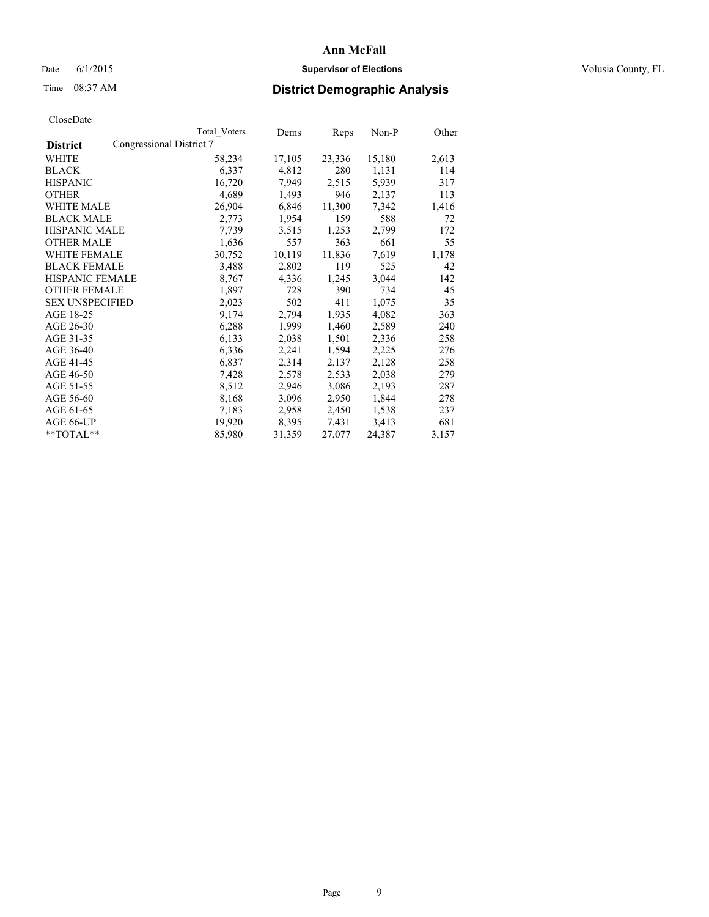# Date 6/1/2015 **Supervisor of Elections Supervisor of Elections** Volusia County, FL

# Time 08:37 AM **District Demographic Analysis**

| CloseDate |
|-----------|
|-----------|

|                        |                          | Total Voters | Dems   | Reps   | Non-P  | Other |
|------------------------|--------------------------|--------------|--------|--------|--------|-------|
| <b>District</b>        | Congressional District 7 |              |        |        |        |       |
| WHITE                  |                          | 58,234       | 17,105 | 23,336 | 15,180 | 2,613 |
| <b>BLACK</b>           |                          | 6,337        | 4,812  | 280    | 1,131  | 114   |
| <b>HISPANIC</b>        |                          | 16,720       | 7,949  | 2,515  | 5,939  | 317   |
| <b>OTHER</b>           |                          | 4,689        | 1,493  | 946    | 2,137  | 113   |
| <b>WHITE MALE</b>      |                          | 26,904       | 6,846  | 11,300 | 7,342  | 1,416 |
| <b>BLACK MALE</b>      |                          | 2,773        | 1,954  | 159    | 588    | 72    |
| <b>HISPANIC MALE</b>   |                          | 7,739        | 3,515  | 1,253  | 2,799  | 172   |
| <b>OTHER MALE</b>      |                          | 1,636        | 557    | 363    | 661    | 55    |
| <b>WHITE FEMALE</b>    |                          | 30,752       | 10,119 | 11,836 | 7,619  | 1,178 |
| <b>BLACK FEMALE</b>    |                          | 3,488        | 2,802  | 119    | 525    | 42    |
| HISPANIC FEMALE        |                          | 8,767        | 4,336  | 1,245  | 3,044  | 142   |
| <b>OTHER FEMALE</b>    |                          | 1,897        | 728    | 390    | 734    | 45    |
| <b>SEX UNSPECIFIED</b> |                          | 2,023        | 502    | 411    | 1,075  | 35    |
| AGE 18-25              |                          | 9,174        | 2,794  | 1,935  | 4,082  | 363   |
| AGE 26-30              |                          | 6,288        | 1,999  | 1,460  | 2,589  | 240   |
| AGE 31-35              |                          | 6,133        | 2,038  | 1,501  | 2,336  | 258   |
| AGE 36-40              |                          | 6,336        | 2,241  | 1,594  | 2,225  | 276   |
| AGE 41-45              |                          | 6,837        | 2,314  | 2,137  | 2,128  | 258   |
| AGE 46-50              |                          | 7,428        | 2,578  | 2,533  | 2,038  | 279   |
| AGE 51-55              |                          | 8,512        | 2,946  | 3,086  | 2,193  | 287   |
| AGE 56-60              |                          | 8,168        | 3,096  | 2,950  | 1,844  | 278   |
| AGE 61-65              |                          | 7,183        | 2,958  | 2,450  | 1,538  | 237   |
| AGE 66-UP              |                          | 19,920       | 8,395  | 7.431  | 3,413  | 681   |
| $*$ TOTAL $*$          |                          | 85,980       | 31,359 | 27,077 | 24,387 | 3,157 |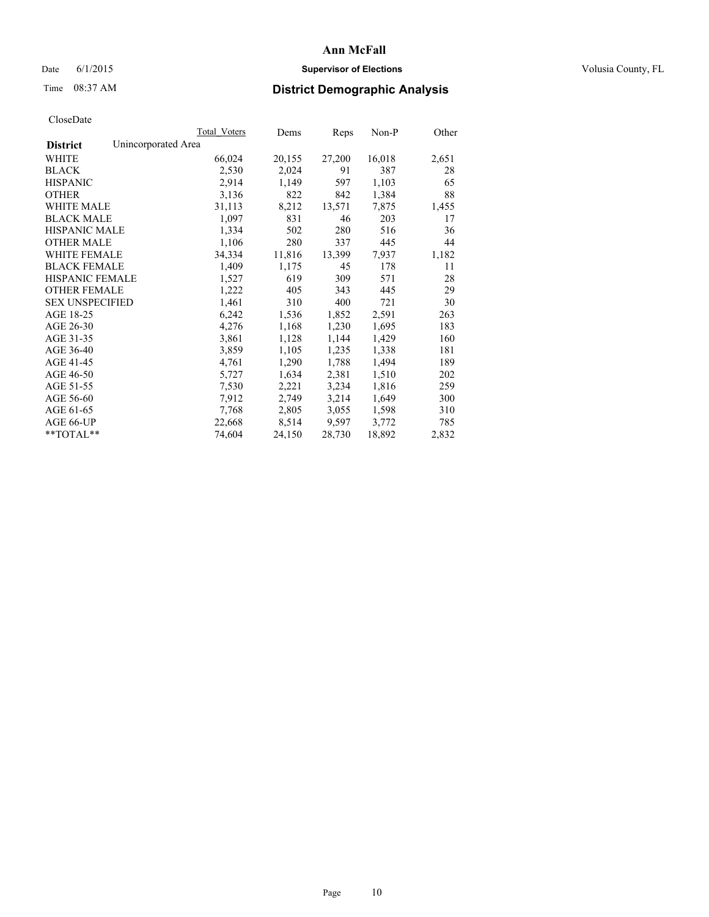# Date 6/1/2015 **Supervisor of Elections Supervisor of Elections** Volusia County, FL

# Time 08:37 AM **District Demographic Analysis**

|                        |                     | Total Voters | Dems   | Reps   | Non-P  | Other |
|------------------------|---------------------|--------------|--------|--------|--------|-------|
| <b>District</b>        | Unincorporated Area |              |        |        |        |       |
| WHITE                  |                     | 66,024       | 20,155 | 27,200 | 16,018 | 2,651 |
| <b>BLACK</b>           |                     | 2,530        | 2,024  | 91     | 387    | 28    |
| <b>HISPANIC</b>        |                     | 2,914        | 1,149  | 597    | 1,103  | 65    |
| <b>OTHER</b>           |                     | 3,136        | 822    | 842    | 1,384  | 88    |
| <b>WHITE MALE</b>      |                     | 31,113       | 8,212  | 13,571 | 7,875  | 1,455 |
| <b>BLACK MALE</b>      |                     | 1,097        | 831    | 46     | 203    | 17    |
| <b>HISPANIC MALE</b>   |                     | 1,334        | 502    | 280    | 516    | 36    |
| <b>OTHER MALE</b>      |                     | 1,106        | 280    | 337    | 445    | 44    |
| <b>WHITE FEMALE</b>    |                     | 34,334       | 11,816 | 13,399 | 7,937  | 1,182 |
| <b>BLACK FEMALE</b>    |                     | 1,409        | 1,175  | 45     | 178    | 11    |
| HISPANIC FEMALE        |                     | 1,527        | 619    | 309    | 571    | 28    |
| <b>OTHER FEMALE</b>    |                     | 1,222        | 405    | 343    | 445    | 29    |
| <b>SEX UNSPECIFIED</b> |                     | 1,461        | 310    | 400    | 721    | 30    |
| AGE 18-25              |                     | 6,242        | 1,536  | 1,852  | 2,591  | 263   |
| AGE 26-30              |                     | 4,276        | 1,168  | 1,230  | 1,695  | 183   |
| AGE 31-35              |                     | 3,861        | 1,128  | 1,144  | 1,429  | 160   |
| AGE 36-40              |                     | 3,859        | 1,105  | 1,235  | 1,338  | 181   |
| AGE 41-45              |                     | 4,761        | 1,290  | 1,788  | 1,494  | 189   |
| AGE 46-50              |                     | 5,727        | 1,634  | 2,381  | 1,510  | 202   |
| AGE 51-55              |                     | 7,530        | 2,221  | 3,234  | 1,816  | 259   |
| AGE 56-60              |                     | 7,912        | 2,749  | 3,214  | 1,649  | 300   |
| AGE 61-65              |                     | 7,768        | 2,805  | 3,055  | 1,598  | 310   |
| AGE 66-UP              |                     | 22,668       | 8,514  | 9,597  | 3,772  | 785   |
| $*$ $TOTAL**$          |                     | 74,604       | 24,150 | 28,730 | 18,892 | 2,832 |
|                        |                     |              |        |        |        |       |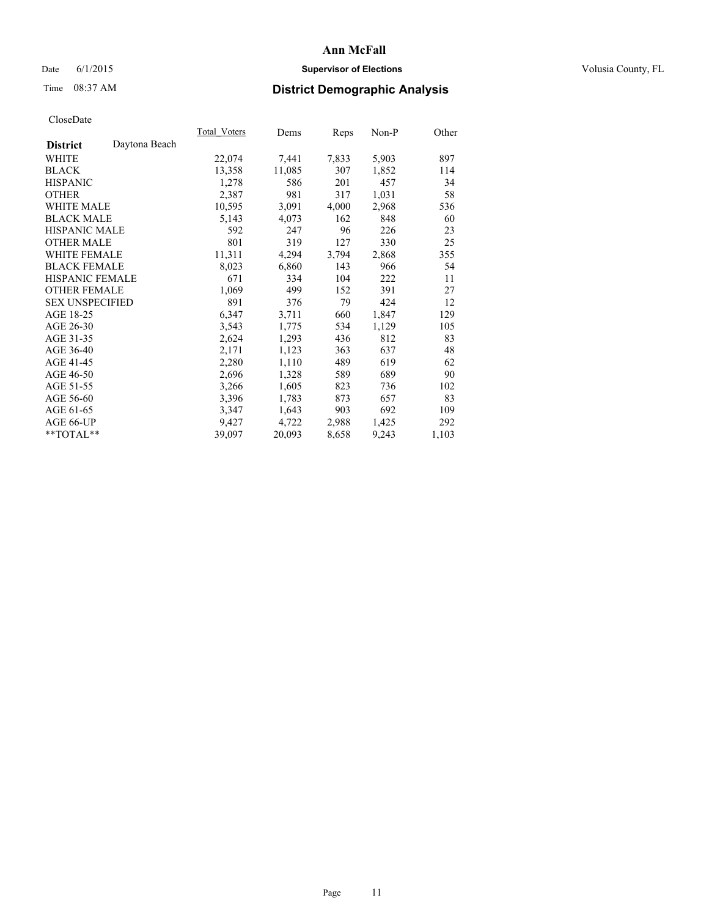# Date 6/1/2015 **Supervisor of Elections Supervisor of Elections** Volusia County, FL

# Time 08:37 AM **District Demographic Analysis**

|                                  | Total Voters | Dems   | Reps  | Non-P | Other |
|----------------------------------|--------------|--------|-------|-------|-------|
| Daytona Beach<br><b>District</b> |              |        |       |       |       |
| WHITE                            | 22,074       | 7,441  | 7,833 | 5,903 | 897   |
| <b>BLACK</b>                     | 13,358       | 11,085 | 307   | 1,852 | 114   |
| <b>HISPANIC</b>                  | 1,278        | 586    | 201   | 457   | 34    |
| <b>OTHER</b>                     | 2,387        | 981    | 317   | 1,031 | 58    |
| <b>WHITE MALE</b>                | 10,595       | 3,091  | 4,000 | 2,968 | 536   |
| <b>BLACK MALE</b>                | 5,143        | 4,073  | 162   | 848   | 60    |
| <b>HISPANIC MALE</b>             | 592          | 247    | 96    | 226   | 23    |
| <b>OTHER MALE</b>                | 801          | 319    | 127   | 330   | 25    |
| WHITE FEMALE                     | 11,311       | 4,294  | 3,794 | 2,868 | 355   |
| <b>BLACK FEMALE</b>              | 8,023        | 6,860  | 143   | 966   | 54    |
| <b>HISPANIC FEMALE</b>           | 671          | 334    | 104   | 222   | 11    |
| <b>OTHER FEMALE</b>              | 1,069        | 499    | 152   | 391   | 27    |
| <b>SEX UNSPECIFIED</b>           | 891          | 376    | 79    | 424   | 12    |
| AGE 18-25                        | 6,347        | 3,711  | 660   | 1,847 | 129   |
| AGE 26-30                        | 3,543        | 1,775  | 534   | 1,129 | 105   |
| AGE 31-35                        | 2,624        | 1,293  | 436   | 812   | 83    |
| AGE 36-40                        | 2,171        | 1,123  | 363   | 637   | 48    |
| AGE 41-45                        | 2,280        | 1,110  | 489   | 619   | 62    |
| AGE 46-50                        | 2,696        | 1,328  | 589   | 689   | 90    |
| AGE 51-55                        | 3,266        | 1,605  | 823   | 736   | 102   |
| AGE 56-60                        | 3,396        | 1,783  | 873   | 657   | 83    |
| AGE 61-65                        | 3,347        | 1,643  | 903   | 692   | 109   |
| AGE 66-UP                        | 9,427        | 4,722  | 2,988 | 1,425 | 292   |
| **TOTAL**                        | 39,097       | 20,093 | 8,658 | 9,243 | 1,103 |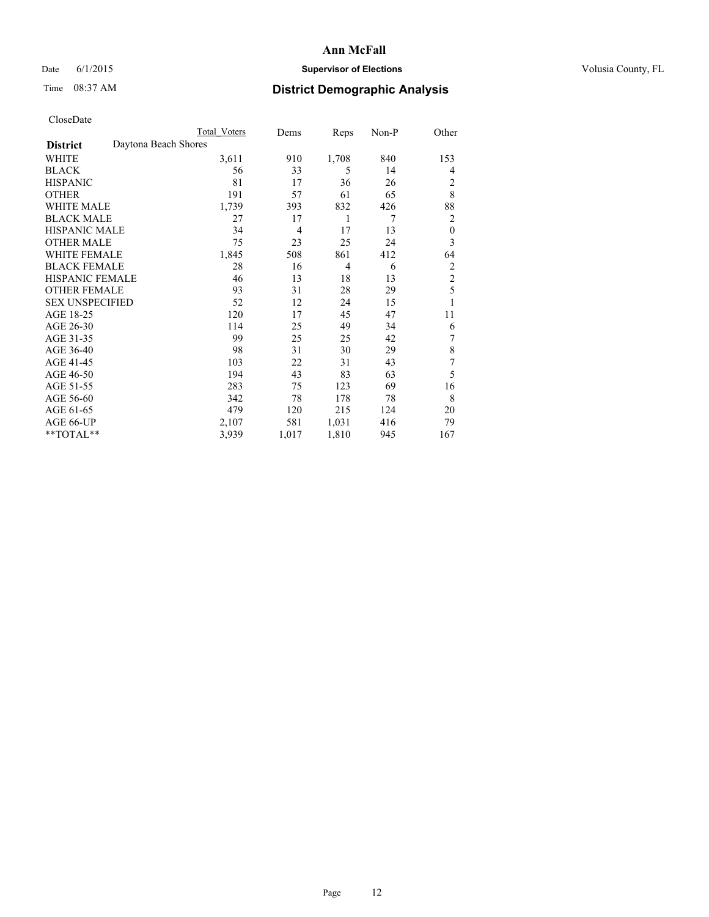# Date 6/1/2015 **Supervisor of Elections Supervisor of Elections** Volusia County, FL

# Time 08:37 AM **District Demographic Analysis**

|                        | Total Voters         | Dems  | Reps  | Non-P | Other            |
|------------------------|----------------------|-------|-------|-------|------------------|
| <b>District</b>        | Daytona Beach Shores |       |       |       |                  |
| WHITE                  | 3,611                | 910   | 1,708 | 840   | 153              |
| <b>BLACK</b>           | 56                   | 33    | 5     | 14    | 4                |
| <b>HISPANIC</b>        | 81                   | 17    | 36    | 26    | 2                |
| <b>OTHER</b>           | 191                  | 57    | 61    | 65    | 8                |
| WHITE MALE             | 1,739                | 393   | 832   | 426   | 88               |
| <b>BLACK MALE</b>      | 27                   | 17    | 1     | 7     | 2                |
| <b>HISPANIC MALE</b>   | 34                   | 4     | 17    | 13    | $\boldsymbol{0}$ |
| <b>OTHER MALE</b>      | 75                   | 23    | 25    | 24    | 3                |
| WHITE FEMALE           | 1,845                | 508   | 861   | 412   | 64               |
| <b>BLACK FEMALE</b>    | 28                   | 16    | 4     | 6     | $\overline{2}$   |
| <b>HISPANIC FEMALE</b> | 46                   | 13    | 18    | 13    | $\overline{2}$   |
| <b>OTHER FEMALE</b>    | 93                   | 31    | 28    | 29    | 5                |
| <b>SEX UNSPECIFIED</b> | 52                   | 12    | 24    | 15    | 1                |
| AGE 18-25              | 120                  | 17    | 45    | 47    | 11               |
| AGE 26-30              | 114                  | 25    | 49    | 34    | 6                |
| AGE 31-35              | 99                   | 25    | 25    | 42    | 7                |
| AGE 36-40              | 98                   | 31    | 30    | 29    | 8                |
| AGE 41-45              | 103                  | 22    | 31    | 43    | 7                |
| AGE 46-50              | 194                  | 43    | 83    | 63    | 5                |
| AGE 51-55              | 283                  | 75    | 123   | 69    | 16               |
| AGE 56-60              | 342                  | 78    | 178   | 78    | 8                |
| AGE 61-65              | 479                  | 120   | 215   | 124   | 20               |
| AGE 66-UP              | 2,107                | 581   | 1,031 | 416   | 79               |
| **TOTAL**              | 3,939                | 1,017 | 1,810 | 945   | 167              |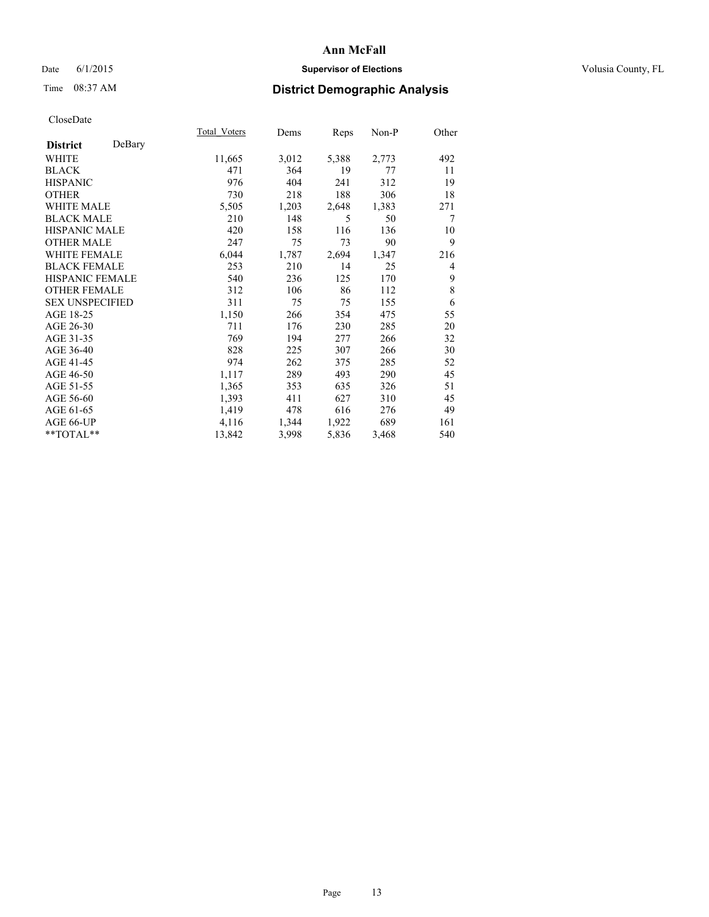# Date 6/1/2015 **Supervisor of Elections Supervisor of Elections** Volusia County, FL

# Time 08:37 AM **District Demographic Analysis**

|                           | <b>Total Voters</b> | Dems  | Reps  | $Non-P$ | Other |
|---------------------------|---------------------|-------|-------|---------|-------|
| DeBary<br><b>District</b> |                     |       |       |         |       |
| WHITE                     | 11,665              | 3,012 | 5,388 | 2,773   | 492   |
| <b>BLACK</b>              | 471                 | 364   | 19    | 77      | 11    |
| <b>HISPANIC</b>           | 976                 | 404   | 241   | 312     | 19    |
| <b>OTHER</b>              | 730                 | 218   | 188   | 306     | 18    |
| WHITE MALE                | 5,505               | 1,203 | 2,648 | 1,383   | 271   |
| <b>BLACK MALE</b>         | 210                 | 148   | 5     | 50      | 7     |
| <b>HISPANIC MALE</b>      | 420                 | 158   | 116   | 136     | 10    |
| <b>OTHER MALE</b>         | 247                 | 75    | 73    | 90      | 9     |
| WHITE FEMALE              | 6,044               | 1,787 | 2,694 | 1,347   | 216   |
| <b>BLACK FEMALE</b>       | 253                 | 210   | 14    | 25      | 4     |
| HISPANIC FEMALE           | 540                 | 236   | 125   | 170     | 9     |
| <b>OTHER FEMALE</b>       | 312                 | 106   | 86    | 112     | 8     |
| <b>SEX UNSPECIFIED</b>    | 311                 | 75    | 75    | 155     | 6     |
| AGE 18-25                 | 1,150               | 266   | 354   | 475     | 55    |
| AGE 26-30                 | 711                 | 176   | 230   | 285     | 20    |
| AGE 31-35                 | 769                 | 194   | 277   | 266     | 32    |
| AGE 36-40                 | 828                 | 225   | 307   | 266     | 30    |
| AGE 41-45                 | 974                 | 262   | 375   | 285     | 52    |
| AGE 46-50                 | 1,117               | 289   | 493   | 290     | 45    |
| AGE 51-55                 | 1,365               | 353   | 635   | 326     | 51    |
| AGE 56-60                 | 1,393               | 411   | 627   | 310     | 45    |
| AGE 61-65                 | 1,419               | 478   | 616   | 276     | 49    |
| AGE 66-UP                 | 4,116               | 1,344 | 1,922 | 689     | 161   |
| **TOTAL**                 | 13,842              | 3,998 | 5,836 | 3,468   | 540   |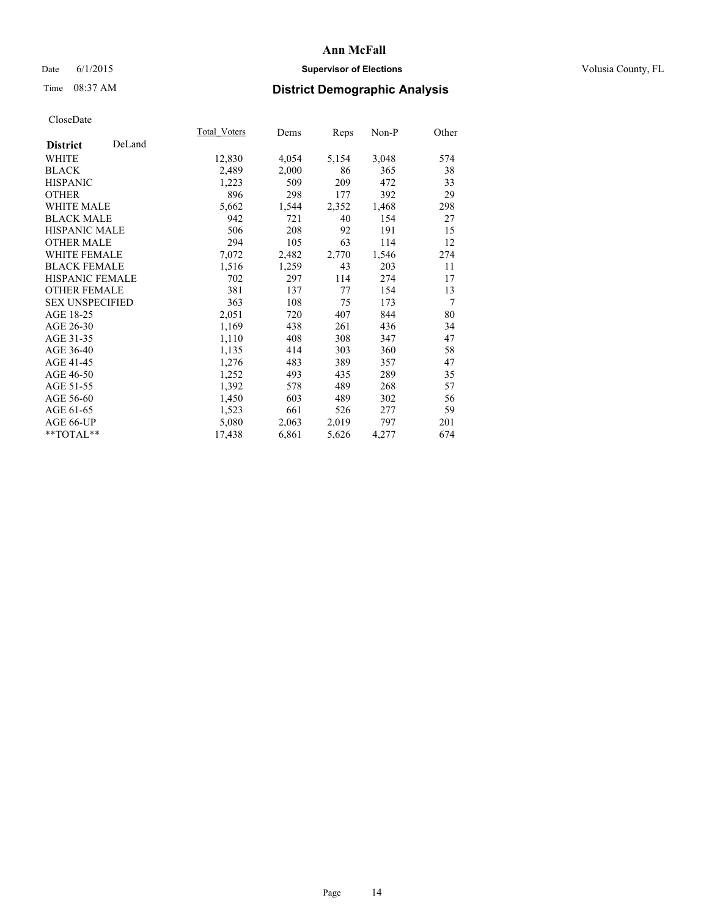# Date 6/1/2015 **Supervisor of Elections Supervisor of Elections** Volusia County, FL

# Time 08:37 AM **District Demographic Analysis**

|                        |        | <b>Total Voters</b> | Dems  | Reps  | Non-P | Other |
|------------------------|--------|---------------------|-------|-------|-------|-------|
| <b>District</b>        | DeLand |                     |       |       |       |       |
| WHITE                  |        | 12,830              | 4,054 | 5,154 | 3,048 | 574   |
| <b>BLACK</b>           |        | 2,489               | 2,000 | 86    | 365   | 38    |
| <b>HISPANIC</b>        |        | 1,223               | 509   | 209   | 472   | 33    |
| <b>OTHER</b>           |        | 896                 | 298   | 177   | 392   | 29    |
| WHITE MALE             |        | 5,662               | 1,544 | 2,352 | 1,468 | 298   |
| <b>BLACK MALE</b>      |        | 942                 | 721   | 40    | 154   | 27    |
| <b>HISPANIC MALE</b>   |        | 506                 | 208   | 92    | 191   | 15    |
| <b>OTHER MALE</b>      |        | 294                 | 105   | 63    | 114   | 12    |
| <b>WHITE FEMALE</b>    |        | 7,072               | 2,482 | 2,770 | 1,546 | 274   |
| <b>BLACK FEMALE</b>    |        | 1,516               | 1,259 | 43    | 203   | 11    |
| HISPANIC FEMALE        |        | 702                 | 297   | 114   | 274   | 17    |
| <b>OTHER FEMALE</b>    |        | 381                 | 137   | 77    | 154   | 13    |
| <b>SEX UNSPECIFIED</b> |        | 363                 | 108   | 75    | 173   | 7     |
| AGE 18-25              |        | 2,051               | 720   | 407   | 844   | 80    |
| AGE 26-30              |        | 1,169               | 438   | 261   | 436   | 34    |
| AGE 31-35              |        | 1,110               | 408   | 308   | 347   | 47    |
| AGE 36-40              |        | 1,135               | 414   | 303   | 360   | 58    |
| AGE 41-45              |        | 1,276               | 483   | 389   | 357   | 47    |
| AGE 46-50              |        | 1,252               | 493   | 435   | 289   | 35    |
| AGE 51-55              |        | 1,392               | 578   | 489   | 268   | 57    |
| AGE 56-60              |        | 1,450               | 603   | 489   | 302   | 56    |
| AGE 61-65              |        | 1,523               | 661   | 526   | 277   | 59    |
| AGE 66-UP              |        | 5,080               | 2,063 | 2,019 | 797   | 201   |
| $*$ TOTAL $*$          |        | 17,438              | 6,861 | 5,626 | 4,277 | 674   |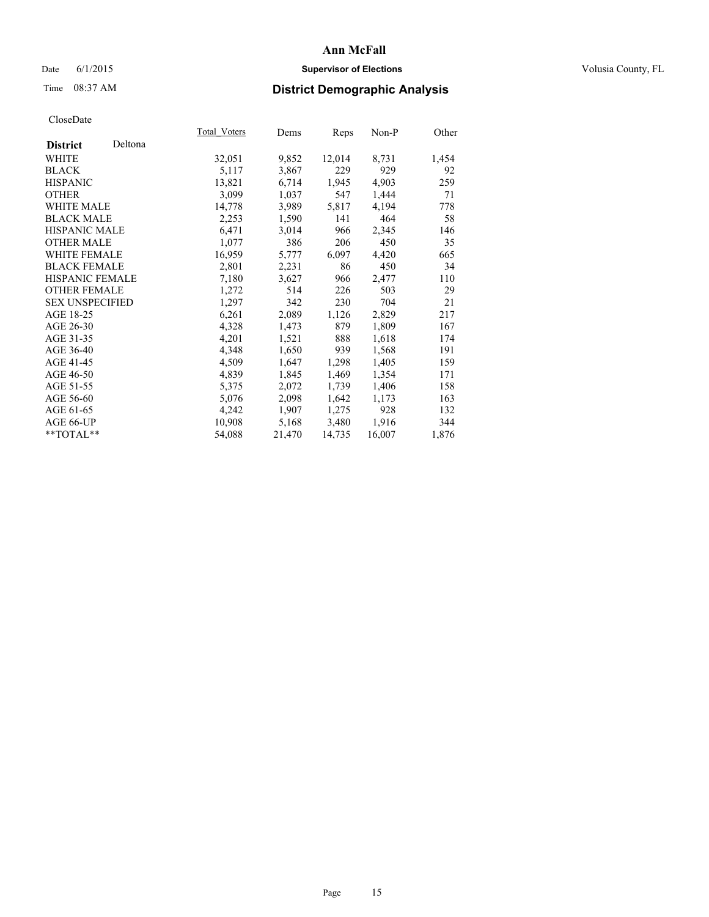# Date 6/1/2015 **Supervisor of Elections Supervisor of Elections** Volusia County, FL

# Time 08:37 AM **District Demographic Analysis**

|                        |         | Total Voters | Dems   | Reps   | $Non-P$ | Other |
|------------------------|---------|--------------|--------|--------|---------|-------|
| <b>District</b>        | Deltona |              |        |        |         |       |
| WHITE                  |         | 32,051       | 9,852  | 12,014 | 8,731   | 1,454 |
| <b>BLACK</b>           |         | 5,117        | 3,867  | 229    | 929     | 92    |
| <b>HISPANIC</b>        |         | 13,821       | 6,714  | 1,945  | 4,903   | 259   |
| <b>OTHER</b>           |         | 3,099        | 1,037  | 547    | 1,444   | 71    |
| WHITE MALE             |         | 14,778       | 3,989  | 5,817  | 4,194   | 778   |
| <b>BLACK MALE</b>      |         | 2,253        | 1,590  | 141    | 464     | 58    |
| <b>HISPANIC MALE</b>   |         | 6,471        | 3,014  | 966    | 2,345   | 146   |
| <b>OTHER MALE</b>      |         | 1,077        | 386    | 206    | 450     | 35    |
| WHITE FEMALE           |         | 16,959       | 5,777  | 6,097  | 4,420   | 665   |
| <b>BLACK FEMALE</b>    |         | 2,801        | 2,231  | 86     | 450     | 34    |
| HISPANIC FEMALE        |         | 7,180        | 3,627  | 966    | 2,477   | 110   |
| <b>OTHER FEMALE</b>    |         | 1,272        | 514    | 226    | 503     | 29    |
| <b>SEX UNSPECIFIED</b> |         | 1,297        | 342    | 230    | 704     | 21    |
| AGE 18-25              |         | 6,261        | 2,089  | 1,126  | 2,829   | 217   |
| AGE 26-30              |         | 4,328        | 1,473  | 879    | 1,809   | 167   |
| AGE 31-35              |         | 4,201        | 1,521  | 888    | 1,618   | 174   |
| AGE 36-40              |         | 4,348        | 1,650  | 939    | 1,568   | 191   |
| AGE 41-45              |         | 4,509        | 1,647  | 1,298  | 1,405   | 159   |
| AGE 46-50              |         | 4,839        | 1,845  | 1,469  | 1,354   | 171   |
| AGE 51-55              |         | 5,375        | 2,072  | 1,739  | 1,406   | 158   |
| AGE 56-60              |         | 5,076        | 2,098  | 1,642  | 1,173   | 163   |
| AGE 61-65              |         | 4,242        | 1,907  | 1,275  | 928     | 132   |
| AGE 66-UP              |         | 10,908       | 5,168  | 3,480  | 1,916   | 344   |
| **TOTAL**              |         | 54,088       | 21,470 | 14,735 | 16,007  | 1,876 |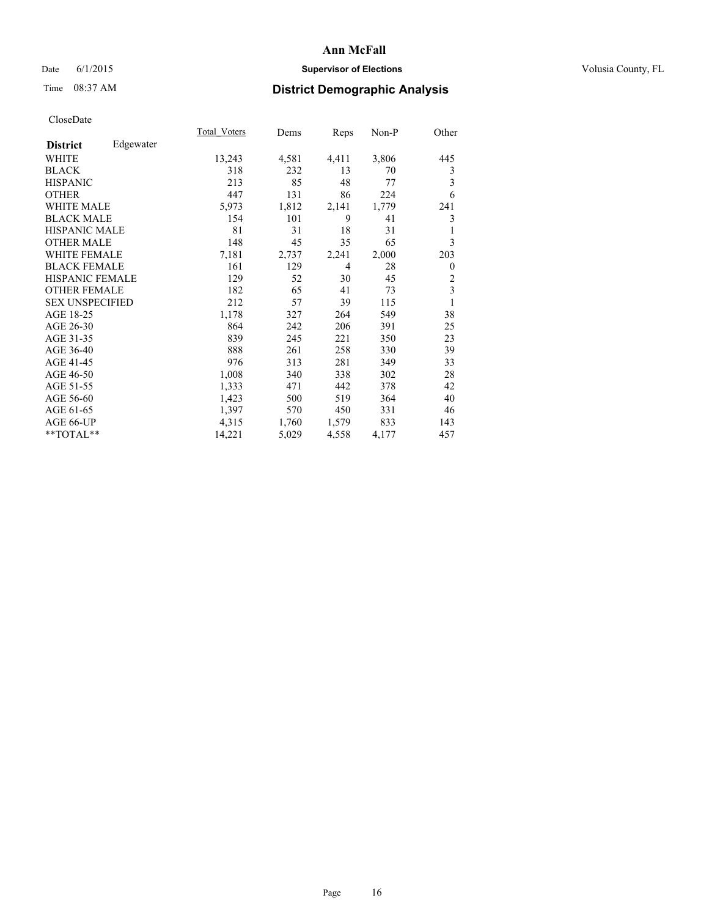# Date 6/1/2015 **Supervisor of Elections Supervisor of Elections** Volusia County, FL

# Time 08:37 AM **District Demographic Analysis**

|                        |           | Total Voters | Dems  | Reps           | Non-P | Other          |
|------------------------|-----------|--------------|-------|----------------|-------|----------------|
| <b>District</b>        | Edgewater |              |       |                |       |                |
| <b>WHITE</b>           |           | 13,243       | 4,581 | 4,411          | 3,806 | 445            |
| <b>BLACK</b>           |           | 318          | 232   | 13             | 70    | 3              |
| <b>HISPANIC</b>        |           | 213          | 85    | 48             | 77    | 3              |
| <b>OTHER</b>           |           | 447          | 131   | 86             | 224   | 6              |
| <b>WHITE MALE</b>      |           | 5,973        | 1,812 | 2,141          | 1,779 | 241            |
| <b>BLACK MALE</b>      |           | 154          | 101   | 9              | 41    | 3              |
| HISPANIC MALE          |           | 81           | 31    | 18             | 31    |                |
| <b>OTHER MALE</b>      |           | 148          | 45    | 35             | 65    | 3              |
| <b>WHITE FEMALE</b>    |           | 7,181        | 2,737 | 2,241          | 2,000 | 203            |
| <b>BLACK FEMALE</b>    |           | 161          | 129   | $\overline{4}$ | 28    | $\theta$       |
| <b>HISPANIC FEMALE</b> |           | 129          | 52    | 30             | 45    | $\overline{2}$ |
| <b>OTHER FEMALE</b>    |           | 182          | 65    | 41             | 73    | 3              |
| <b>SEX UNSPECIFIED</b> |           | 212          | 57    | 39             | 115   | 1              |
| AGE 18-25              |           | 1,178        | 327   | 264            | 549   | 38             |
| AGE 26-30              |           | 864          | 242   | 206            | 391   | 25             |
| AGE 31-35              |           | 839          | 245   | 221            | 350   | 23             |
| AGE 36-40              |           | 888          | 261   | 258            | 330   | 39             |
| AGE 41-45              |           | 976          | 313   | 281            | 349   | 33             |
| AGE 46-50              |           | 1,008        | 340   | 338            | 302   | 28             |
| AGE 51-55              |           | 1,333        | 471   | 442            | 378   | 42             |
| AGE 56-60              |           | 1,423        | 500   | 519            | 364   | 40             |
| AGE 61-65              |           | 1,397        | 570   | 450            | 331   | 46             |
| AGE 66-UP              |           | 4,315        | 1,760 | 1,579          | 833   | 143            |
| **TOTAL**              |           | 14,221       | 5,029 | 4,558          | 4,177 | 457            |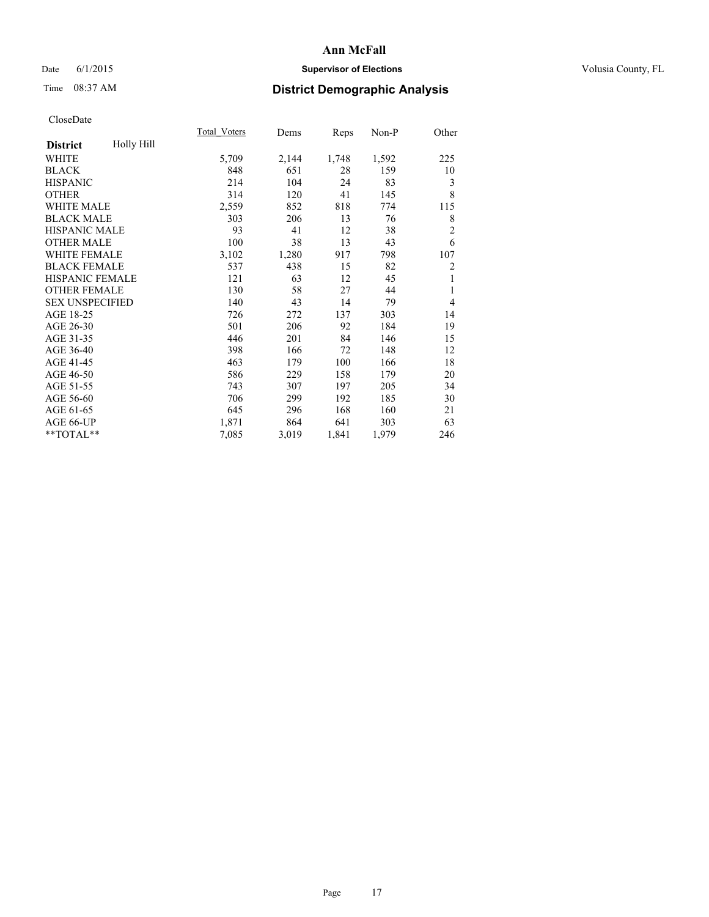# Date 6/1/2015 **Supervisor of Elections Supervisor of Elections** Volusia County, FL

# Time 08:37 AM **District Demographic Analysis**

|                        |            | Total Voters | Dems  | <b>Reps</b> | Non-P | Other          |
|------------------------|------------|--------------|-------|-------------|-------|----------------|
| <b>District</b>        | Holly Hill |              |       |             |       |                |
| WHITE                  |            | 5,709        | 2,144 | 1,748       | 1,592 | 225            |
| <b>BLACK</b>           |            | 848          | 651   | 28          | 159   | 10             |
| <b>HISPANIC</b>        |            | 214          | 104   | 24          | 83    | 3              |
| <b>OTHER</b>           |            | 314          | 120   | 41          | 145   | 8              |
| <b>WHITE MALE</b>      |            | 2,559        | 852   | 818         | 774   | 115            |
| <b>BLACK MALE</b>      |            | 303          | 206   | 13          | 76    | 8              |
| <b>HISPANIC MALE</b>   |            | 93           | 41    | 12          | 38    | $\overline{2}$ |
| <b>OTHER MALE</b>      |            | 100          | 38    | 13          | 43    | 6              |
| <b>WHITE FEMALE</b>    |            | 3,102        | 1,280 | 917         | 798   | 107            |
| <b>BLACK FEMALE</b>    |            | 537          | 438   | 15          | 82    | 2              |
| <b>HISPANIC FEMALE</b> |            | 121          | 63    | 12          | 45    | 1              |
| <b>OTHER FEMALE</b>    |            | 130          | 58    | 27          | 44    | 1              |
| <b>SEX UNSPECIFIED</b> |            | 140          | 43    | 14          | 79    | $\overline{4}$ |
| AGE 18-25              |            | 726          | 272   | 137         | 303   | 14             |
| AGE 26-30              |            | 501          | 206   | 92          | 184   | 19             |
| AGE 31-35              |            | 446          | 201   | 84          | 146   | 15             |
| AGE 36-40              |            | 398          | 166   | 72          | 148   | 12             |
| AGE 41-45              |            | 463          | 179   | 100         | 166   | 18             |
| AGE 46-50              |            | 586          | 229   | 158         | 179   | 20             |
| AGE 51-55              |            | 743          | 307   | 197         | 205   | 34             |
| AGE 56-60              |            | 706          | 299   | 192         | 185   | 30             |
| AGE 61-65              |            | 645          | 296   | 168         | 160   | 21             |
| AGE 66-UP              |            | 1,871        | 864   | 641         | 303   | 63             |
| **TOTAL**              |            | 7,085        | 3,019 | 1,841       | 1,979 | 246            |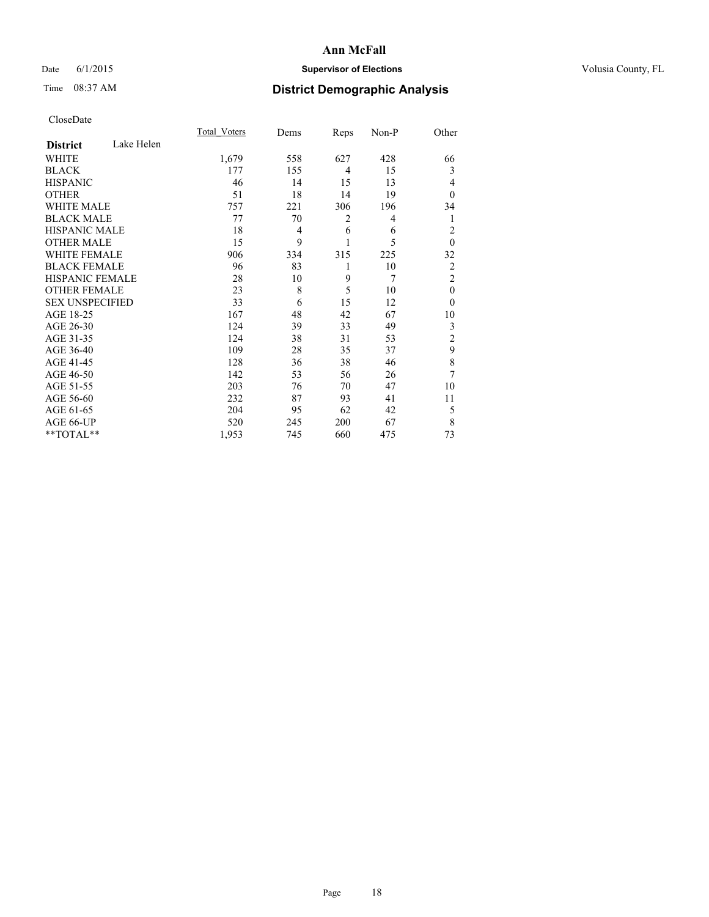# Date 6/1/2015 **Supervisor of Elections Supervisor of Elections** Volusia County, FL

# Time 08:37 AM **District Demographic Analysis**

|                        |            | Total Voters | Dems | Reps | Non-P | Other          |
|------------------------|------------|--------------|------|------|-------|----------------|
| <b>District</b>        | Lake Helen |              |      |      |       |                |
| WHITE                  |            | 1,679        | 558  | 627  | 428   | 66             |
| <b>BLACK</b>           |            | 177          | 155  | 4    | 15    | 3              |
| <b>HISPANIC</b>        |            | 46           | 14   | 15   | 13    | 4              |
| <b>OTHER</b>           |            | 51           | 18   | 14   | 19    | $\theta$       |
| WHITE MALE             |            | 757          | 221  | 306  | 196   | 34             |
| <b>BLACK MALE</b>      |            | 77           | 70   | 2    | 4     | 1              |
| <b>HISPANIC MALE</b>   |            | 18           | 4    | 6    | 6     | $\overline{c}$ |
| <b>OTHER MALE</b>      |            | 15           | 9    | 1    | 5     | $\mathbf{0}$   |
| <b>WHITE FEMALE</b>    |            | 906          | 334  | 315  | 225   | 32             |
| <b>BLACK FEMALE</b>    |            | 96           | 83   | 1    | 10    | $\overline{c}$ |
| <b>HISPANIC FEMALE</b> |            | 28           | 10   | 9    | 7     | $\overline{2}$ |
| <b>OTHER FEMALE</b>    |            | 23           | 8    | 5    | 10    | $\theta$       |
| <b>SEX UNSPECIFIED</b> |            | 33           | 6    | 15   | 12    | $\theta$       |
| AGE 18-25              |            | 167          | 48   | 42   | 67    | 10             |
| AGE 26-30              |            | 124          | 39   | 33   | 49    | 3              |
| AGE 31-35              |            | 124          | 38   | 31   | 53    | $\overline{c}$ |
| AGE 36-40              |            | 109          | 28   | 35   | 37    | 9              |
| AGE 41-45              |            | 128          | 36   | 38   | 46    | 8              |
| AGE 46-50              |            | 142          | 53   | 56   | 26    | 7              |
| AGE 51-55              |            | 203          | 76   | 70   | 47    | 10             |
| AGE 56-60              |            | 232          | 87   | 93   | 41    | 11             |
| AGE 61-65              |            | 204          | 95   | 62   | 42    | 5              |
| AGE 66-UP              |            | 520          | 245  | 200  | 67    | 8              |
| **TOTAL**              |            | 1,953        | 745  | 660  | 475   | 73             |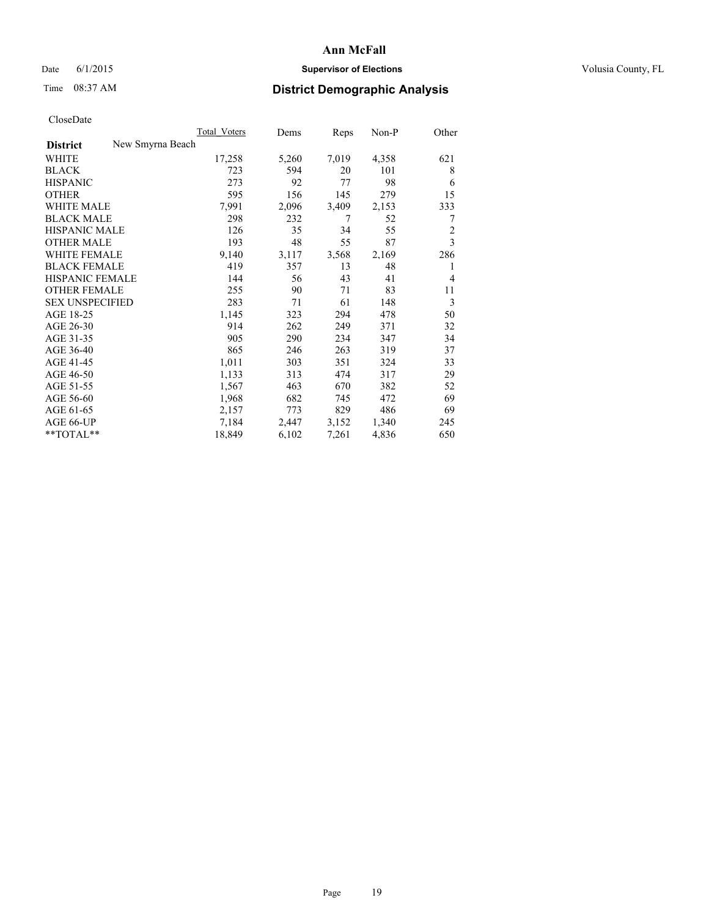# Date 6/1/2015 **Supervisor of Elections Supervisor of Elections** Volusia County, FL

# Time 08:37 AM **District Demographic Analysis**

|                        |                  | Total Voters | Dems  | Reps  | Non-P | Other          |
|------------------------|------------------|--------------|-------|-------|-------|----------------|
| <b>District</b>        | New Smyrna Beach |              |       |       |       |                |
| WHITE                  |                  | 17,258       | 5,260 | 7,019 | 4,358 | 621            |
| <b>BLACK</b>           |                  | 723          | 594   | 20    | 101   | 8              |
| <b>HISPANIC</b>        |                  | 273          | 92    | 77    | 98    | 6              |
| <b>OTHER</b>           |                  | 595          | 156   | 145   | 279   | 15             |
| WHITE MALE             |                  | 7,991        | 2,096 | 3,409 | 2,153 | 333            |
| <b>BLACK MALE</b>      |                  | 298          | 232   | 7     | 52    | 7              |
| <b>HISPANIC MALE</b>   |                  | 126          | 35    | 34    | 55    | $\overline{2}$ |
| <b>OTHER MALE</b>      |                  | 193          | 48    | 55    | 87    | $\overline{3}$ |
| WHITE FEMALE           |                  | 9,140        | 3,117 | 3,568 | 2,169 | 286            |
| <b>BLACK FEMALE</b>    |                  | 419          | 357   | 13    | 48    | 1              |
| HISPANIC FEMALE        |                  | 144          | 56    | 43    | 41    | 4              |
| <b>OTHER FEMALE</b>    |                  | 255          | 90    | 71    | 83    | 11             |
| <b>SEX UNSPECIFIED</b> |                  | 283          | 71    | 61    | 148   | 3              |
| AGE 18-25              |                  | 1,145        | 323   | 294   | 478   | 50             |
| AGE 26-30              |                  | 914          | 262   | 249   | 371   | 32             |
| AGE 31-35              |                  | 905          | 290   | 234   | 347   | 34             |
| AGE 36-40              |                  | 865          | 246   | 263   | 319   | 37             |
| AGE 41-45              |                  | 1,011        | 303   | 351   | 324   | 33             |
| AGE 46-50              |                  | 1,133        | 313   | 474   | 317   | 29             |
| AGE 51-55              |                  | 1,567        | 463   | 670   | 382   | 52             |
| AGE 56-60              |                  | 1,968        | 682   | 745   | 472   | 69             |
| AGE 61-65              |                  | 2,157        | 773   | 829   | 486   | 69             |
| AGE 66-UP              |                  | 7,184        | 2,447 | 3,152 | 1,340 | 245            |
| $*$ TOTAL $*$          |                  | 18,849       | 6,102 | 7,261 | 4,836 | 650            |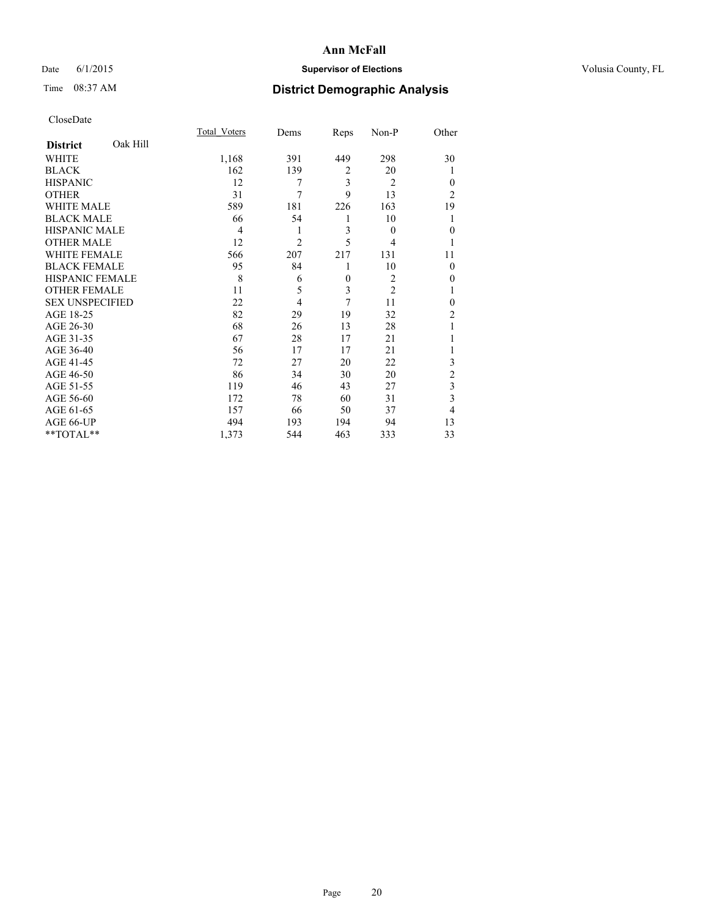# Date 6/1/2015 **Supervisor of Elections Supervisor of Elections** Volusia County, FL

# Time 08:37 AM **District Demographic Analysis**

|                        |          | Total Voters   | Dems           | Reps           | Non-P          | Other          |
|------------------------|----------|----------------|----------------|----------------|----------------|----------------|
| <b>District</b>        | Oak Hill |                |                |                |                |                |
| WHITE                  |          | 1,168          | 391            | 449            | 298            | 30             |
| <b>BLACK</b>           |          | 162            | 139            | $\overline{2}$ | 20             |                |
| <b>HISPANIC</b>        |          | 12             | 7              | 3              | $\overline{2}$ | $\theta$       |
| <b>OTHER</b>           |          | 31             | $\overline{7}$ | 9              | 13             | $\overline{2}$ |
| WHITE MALE             |          | 589            | 181            | 226            | 163            | 19             |
| <b>BLACK MALE</b>      |          | 66             | 54             | 1              | 10             |                |
| <b>HISPANIC MALE</b>   |          | $\overline{4}$ | 1              | 3              | $\theta$       | $\mathbf{0}$   |
| <b>OTHER MALE</b>      |          | 12             | $\overline{2}$ | 5              | 4              | 1              |
| <b>WHITE FEMALE</b>    |          | 566            | 207            | 217            | 131            | 11             |
| <b>BLACK FEMALE</b>    |          | 95             | 84             | 1              | 10             | $\theta$       |
| <b>HISPANIC FEMALE</b> |          | 8              | 6              | $\mathbf{0}$   | $\overline{c}$ | 0              |
| <b>OTHER FEMALE</b>    |          | 11             | 5              | 3              | $\overline{c}$ |                |
| <b>SEX UNSPECIFIED</b> |          | 22             | $\overline{4}$ | 7              | 11             | $\theta$       |
| AGE 18-25              |          | 82             | 29             | 19             | 32             | $\overline{2}$ |
| AGE 26-30              |          | 68             | 26             | 13             | 28             |                |
| AGE 31-35              |          | 67             | 28             | 17             | 21             |                |
| AGE 36-40              |          | 56             | 17             | 17             | 21             |                |
| AGE 41-45              |          | 72             | 27             | 20             | 22             | 3              |
| AGE 46-50              |          | 86             | 34             | 30             | 20             | $\overline{c}$ |
| AGE 51-55              |          | 119            | 46             | 43             | 27             | 3              |
| AGE 56-60              |          | 172            | 78             | 60             | 31             | 3              |
| AGE 61-65              |          | 157            | 66             | 50             | 37             | 4              |
| AGE 66-UP              |          | 494            | 193            | 194            | 94             | 13             |
| **TOTAL**              |          | 1,373          | 544            | 463            | 333            | 33             |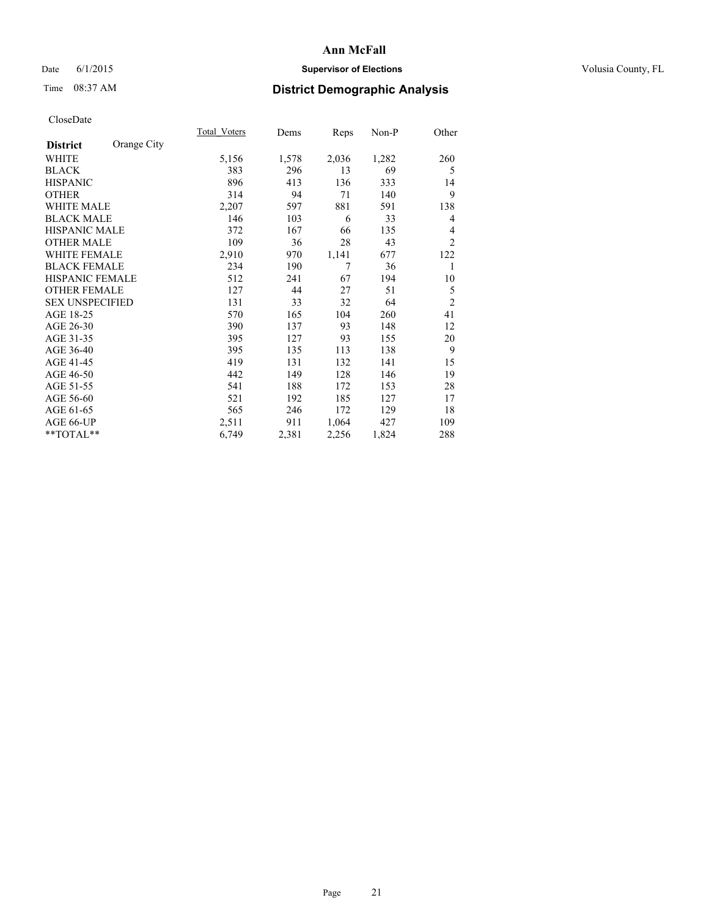# Date 6/1/2015 **Supervisor of Elections Supervisor of Elections** Volusia County, FL

# Time 08:37 AM **District Demographic Analysis**

|                        |             | Total Voters | Dems  | Reps  | Non-P | Other          |
|------------------------|-------------|--------------|-------|-------|-------|----------------|
| <b>District</b>        | Orange City |              |       |       |       |                |
| WHITE                  |             | 5,156        | 1,578 | 2,036 | 1,282 | 260            |
| <b>BLACK</b>           |             | 383          | 296   | 13    | 69    | 5              |
| <b>HISPANIC</b>        |             | 896          | 413   | 136   | 333   | 14             |
| <b>OTHER</b>           |             | 314          | 94    | 71    | 140   | 9              |
| <b>WHITE MALE</b>      |             | 2,207        | 597   | 881   | 591   | 138            |
| <b>BLACK MALE</b>      |             | 146          | 103   | 6     | 33    | 4              |
| <b>HISPANIC MALE</b>   |             | 372          | 167   | 66    | 135   | 4              |
| <b>OTHER MALE</b>      |             | 109          | 36    | 28    | 43    | $\overline{2}$ |
| <b>WHITE FEMALE</b>    |             | 2,910        | 970   | 1,141 | 677   | 122            |
| <b>BLACK FEMALE</b>    |             | 234          | 190   | 7     | 36    | 1              |
| HISPANIC FEMALE        |             | 512          | 241   | 67    | 194   | 10             |
| <b>OTHER FEMALE</b>    |             | 127          | 44    | 27    | 51    | 5              |
| <b>SEX UNSPECIFIED</b> |             | 131          | 33    | 32    | 64    | $\overline{2}$ |
| AGE 18-25              |             | 570          | 165   | 104   | 260   | 41             |
| AGE 26-30              |             | 390          | 137   | 93    | 148   | 12             |
| AGE 31-35              |             | 395          | 127   | 93    | 155   | 20             |
| AGE 36-40              |             | 395          | 135   | 113   | 138   | 9              |
| AGE 41-45              |             | 419          | 131   | 132   | 141   | 15             |
| AGE 46-50              |             | 442          | 149   | 128   | 146   | 19             |
| AGE 51-55              |             | 541          | 188   | 172   | 153   | 28             |
| AGE 56-60              |             | 521          | 192   | 185   | 127   | 17             |
| AGE 61-65              |             | 565          | 246   | 172   | 129   | 18             |
| AGE 66-UP              |             | 2,511        | 911   | 1,064 | 427   | 109            |
| **TOTAL**              |             | 6,749        | 2,381 | 2,256 | 1,824 | 288            |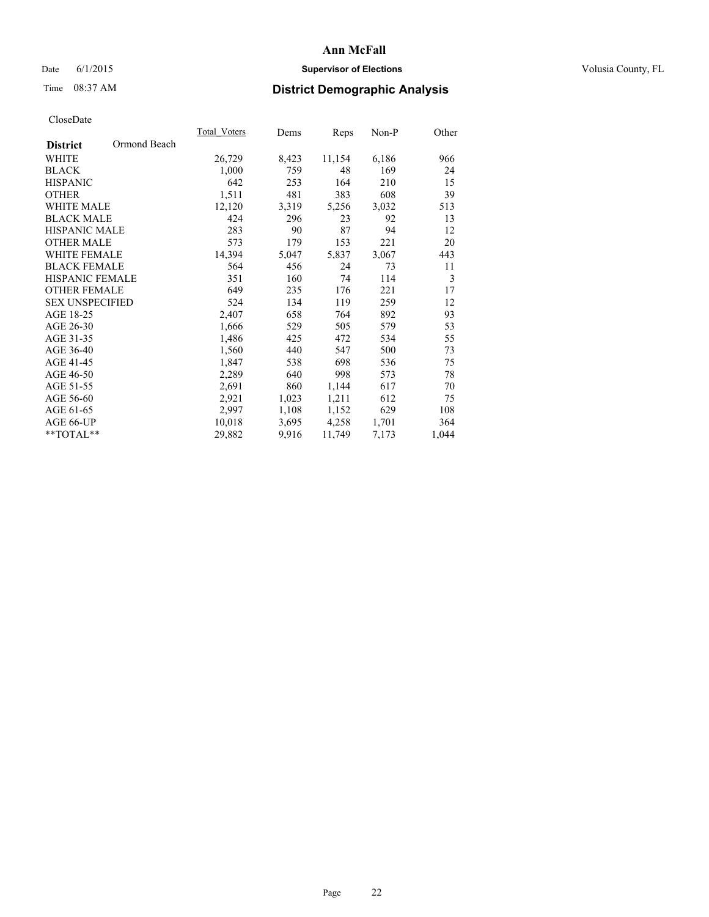# Date 6/1/2015 **Supervisor of Elections Supervisor of Elections** Volusia County, FL

# Time 08:37 AM **District Demographic Analysis**

|                                 | Total Voters | Dems  | Reps   | Non-P | Other |
|---------------------------------|--------------|-------|--------|-------|-------|
| Ormond Beach<br><b>District</b> |              |       |        |       |       |
| WHITE                           | 26,729       | 8,423 | 11,154 | 6,186 | 966   |
| <b>BLACK</b>                    | 1,000        | 759   | 48     | 169   | 24    |
| <b>HISPANIC</b>                 | 642          | 253   | 164    | 210   | 15    |
| <b>OTHER</b>                    | 1,511        | 481   | 383    | 608   | 39    |
| WHITE MALE                      | 12,120       | 3,319 | 5,256  | 3,032 | 513   |
| <b>BLACK MALE</b>               | 424          | 296   | 23     | 92    | 13    |
| <b>HISPANIC MALE</b>            | 283          | 90    | 87     | 94    | 12    |
| <b>OTHER MALE</b>               | 573          | 179   | 153    | 221   | 20    |
| <b>WHITE FEMALE</b>             | 14,394       | 5,047 | 5,837  | 3,067 | 443   |
| <b>BLACK FEMALE</b>             | 564          | 456   | 24     | 73    | 11    |
| <b>HISPANIC FEMALE</b>          | 351          | 160   | 74     | 114   | 3     |
| <b>OTHER FEMALE</b>             | 649          | 235   | 176    | 221   | 17    |
| <b>SEX UNSPECIFIED</b>          | 524          | 134   | 119    | 259   | 12    |
| AGE 18-25                       | 2,407        | 658   | 764    | 892   | 93    |
| AGE 26-30                       | 1,666        | 529   | 505    | 579   | 53    |
| AGE 31-35                       | 1,486        | 425   | 472    | 534   | 55    |
| AGE 36-40                       | 1,560        | 440   | 547    | 500   | 73    |
| AGE 41-45                       | 1,847        | 538   | 698    | 536   | 75    |
| AGE 46-50                       | 2,289        | 640   | 998    | 573   | 78    |
| AGE 51-55                       | 2,691        | 860   | 1,144  | 617   | 70    |
| AGE 56-60                       | 2,921        | 1,023 | 1,211  | 612   | 75    |
| AGE 61-65                       | 2,997        | 1,108 | 1,152  | 629   | 108   |
| AGE 66-UP                       | 10,018       | 3,695 | 4,258  | 1,701 | 364   |
| $*$ TOTAL $*$                   | 29,882       | 9.916 | 11,749 | 7,173 | 1,044 |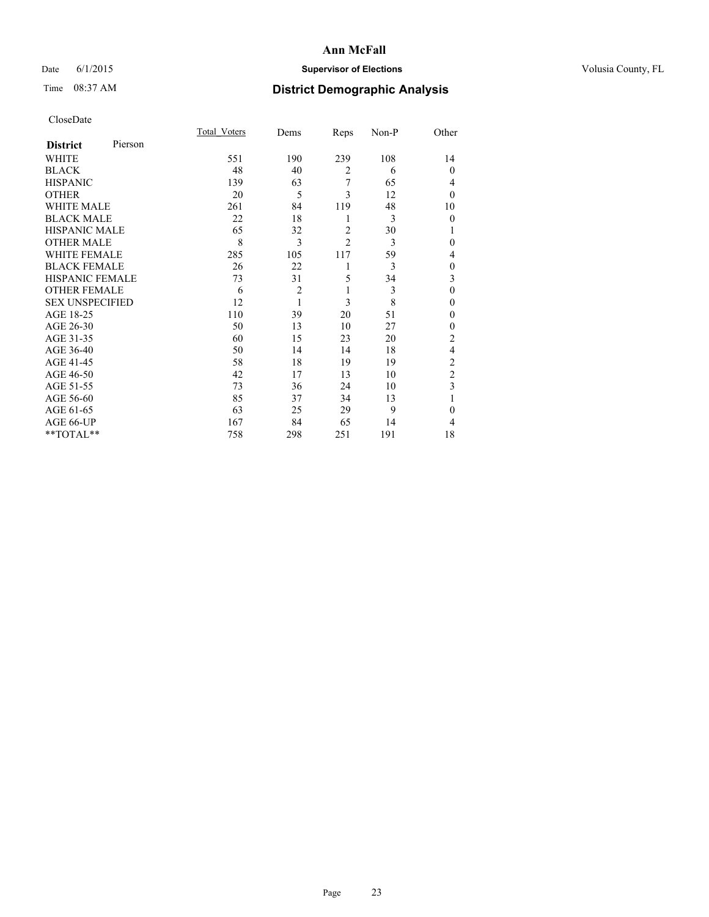# Date 6/1/2015 **Supervisor of Elections Supervisor of Elections** Volusia County, FL

# Time 08:37 AM **District Demographic Analysis**

|                        |         | <b>Total Voters</b> | Dems           | Reps           | Non-P | Other          |
|------------------------|---------|---------------------|----------------|----------------|-------|----------------|
| <b>District</b>        | Pierson |                     |                |                |       |                |
| WHITE                  |         | 551                 | 190            | 239            | 108   | 14             |
| <b>BLACK</b>           |         | 48                  | 40             | $\overline{2}$ | 6     | $\Omega$       |
| <b>HISPANIC</b>        |         | 139                 | 63             | 7              | 65    | 4              |
| <b>OTHER</b>           |         | 20                  | 5              | 3              | 12    | $\Omega$       |
| WHITE MALE             |         | 261                 | 84             | 119            | 48    | 10             |
| <b>BLACK MALE</b>      |         | 22                  | 18             | 1              | 3     | $\mathbf{0}$   |
| <b>HISPANIC MALE</b>   |         | 65                  | 32             | $\overline{2}$ | 30    | 1              |
| <b>OTHER MALE</b>      |         | 8                   | 3              | $\overline{c}$ | 3     | $\Omega$       |
| WHITE FEMALE           |         | 285                 | 105            | 117            | 59    | 4              |
| <b>BLACK FEMALE</b>    |         | 26                  | 22             | 1              | 3     | $\mathbf{0}$   |
| <b>HISPANIC FEMALE</b> |         | 73                  | 31             | 5              | 34    | 3              |
| <b>OTHER FEMALE</b>    |         | 6                   | $\overline{c}$ | 1              | 3     | $\theta$       |
| <b>SEX UNSPECIFIED</b> |         | 12                  | $\mathbf{1}$   | 3              | 8     | $\theta$       |
| AGE 18-25              |         | 110                 | 39             | 20             | 51    | $\Omega$       |
| AGE 26-30              |         | 50                  | 13             | 10             | 27    | $\mathbf{0}$   |
| AGE 31-35              |         | 60                  | 15             | 23             | 20    | $\overline{2}$ |
| AGE 36-40              |         | 50                  | 14             | 14             | 18    | $\overline{4}$ |
| AGE 41-45              |         | 58                  | 18             | 19             | 19    | $\overline{c}$ |
| AGE 46-50              |         | 42                  | 17             | 13             | 10    | $\overline{c}$ |
| AGE 51-55              |         | 73                  | 36             | 24             | 10    | 3              |
| AGE 56-60              |         | 85                  | 37             | 34             | 13    |                |
| AGE 61-65              |         | 63                  | 25             | 29             | 9     | $\theta$       |
| AGE 66-UP              |         | 167                 | 84             | 65             | 14    | 4              |
| **TOTAL**              |         | 758                 | 298            | 251            | 191   | 18             |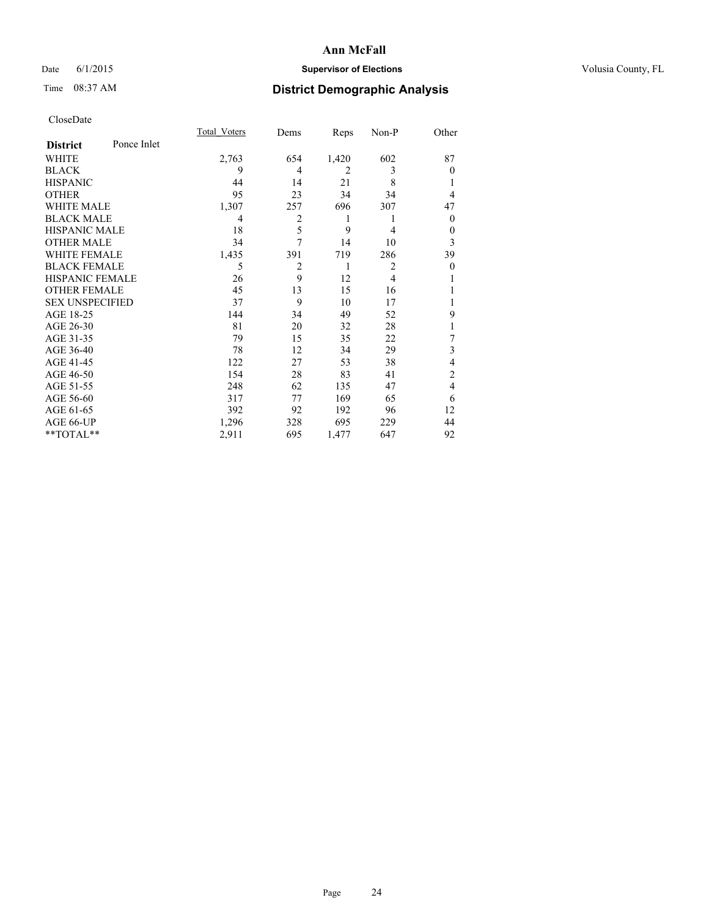# Date 6/1/2015 **Supervisor of Elections Supervisor of Elections** Volusia County, FL

# Time 08:37 AM **District Demographic Analysis**

|                        |             | <b>Total Voters</b> | Dems           | Reps           | Non-P          | Other    |
|------------------------|-------------|---------------------|----------------|----------------|----------------|----------|
| <b>District</b>        | Ponce Inlet |                     |                |                |                |          |
| WHITE                  |             | 2,763               | 654            | 1,420          | 602            | 87       |
| <b>BLACK</b>           |             | 9                   | 4              | $\overline{2}$ | 3              | $\theta$ |
| <b>HISPANIC</b>        |             | 44                  | 14             | 21             | 8              |          |
| <b>OTHER</b>           |             | 95                  | 23             | 34             | 34             | 4        |
| WHITE MALE             |             | 1,307               | 257            | 696            | 307            | 47       |
| <b>BLACK MALE</b>      |             | 4                   | $\overline{2}$ | 1              | 1              | $\theta$ |
| <b>HISPANIC MALE</b>   |             | 18                  | 5              | 9              | 4              | 0        |
| <b>OTHER MALE</b>      |             | 34                  | 7              | 14             | 10             | 3        |
| WHITE FEMALE           |             | 1,435               | 391            | 719            | 286            | 39       |
| <b>BLACK FEMALE</b>    |             | 5                   | $\overline{2}$ | 1              | $\overline{2}$ | $\theta$ |
| <b>HISPANIC FEMALE</b> |             | 26                  | 9              | 12             | $\overline{4}$ |          |
| <b>OTHER FEMALE</b>    |             | 45                  | 13             | 15             | 16             |          |
| <b>SEX UNSPECIFIED</b> |             | 37                  | 9              | 10             | 17             |          |
| AGE 18-25              |             | 144                 | 34             | 49             | 52             | 9        |
| AGE 26-30              |             | 81                  | 20             | 32             | 28             | 1        |
| AGE 31-35              |             | 79                  | 15             | 35             | 22             | 7        |
| AGE 36-40              |             | 78                  | 12             | 34             | 29             | 3        |
| AGE 41-45              |             | 122                 | 27             | 53             | 38             | 4        |
| AGE 46-50              |             | 154                 | 28             | 83             | 41             | 2        |
| AGE 51-55              |             | 248                 | 62             | 135            | 47             | 4        |
| AGE 56-60              |             | 317                 | 77             | 169            | 65             | 6        |
| AGE 61-65              |             | 392                 | 92             | 192            | 96             | 12       |
| AGE 66-UP              |             | 1,296               | 328            | 695            | 229            | 44       |
| **TOTAL**              |             | 2,911               | 695            | 1,477          | 647            | 92       |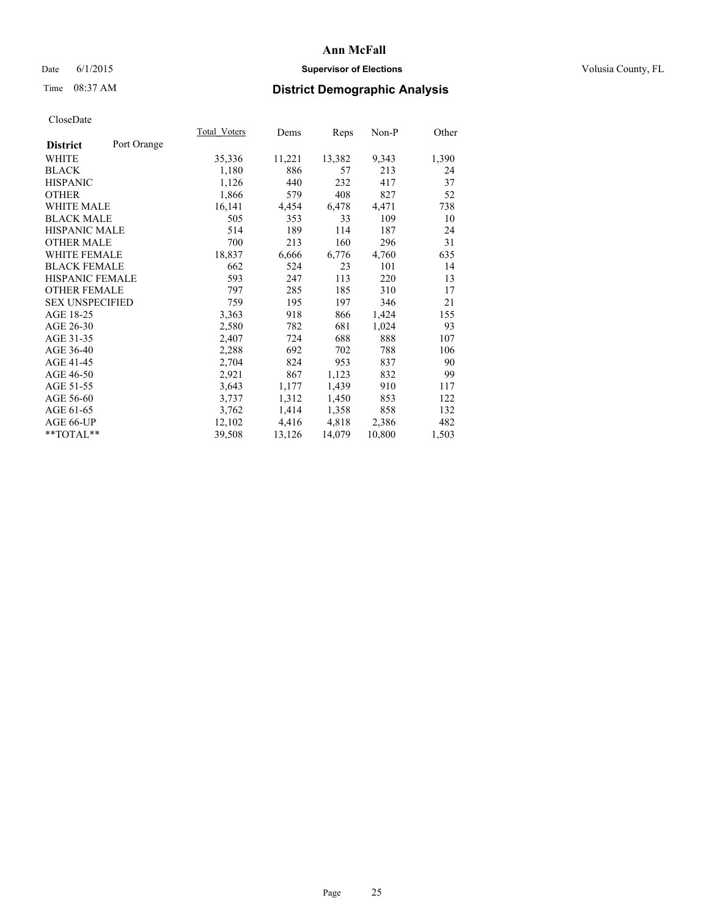# Date 6/1/2015 **Supervisor of Elections Supervisor of Elections** Volusia County, FL

# Time 08:37 AM **District Demographic Analysis**

|                        |             | Total Voters | Dems   | <b>Reps</b> | Non-P  | Other |
|------------------------|-------------|--------------|--------|-------------|--------|-------|
| <b>District</b>        | Port Orange |              |        |             |        |       |
| WHITE                  |             | 35,336       | 11,221 | 13,382      | 9,343  | 1,390 |
| <b>BLACK</b>           |             | 1,180        | 886    | 57          | 213    | 24    |
| <b>HISPANIC</b>        |             | 1,126        | 440    | 232         | 417    | 37    |
| <b>OTHER</b>           |             | 1,866        | 579    | 408         | 827    | 52    |
| WHITE MALE             |             | 16,141       | 4,454  | 6,478       | 4,471  | 738   |
| <b>BLACK MALE</b>      |             | 505          | 353    | 33          | 109    | 10    |
| <b>HISPANIC MALE</b>   |             | 514          | 189    | 114         | 187    | 24    |
| <b>OTHER MALE</b>      |             | 700          | 213    | 160         | 296    | 31    |
| <b>WHITE FEMALE</b>    |             | 18,837       | 6,666  | 6,776       | 4,760  | 635   |
| <b>BLACK FEMALE</b>    |             | 662          | 524    | 23          | 101    | 14    |
| <b>HISPANIC FEMALE</b> |             | 593          | 247    | 113         | 220    | 13    |
| OTHER FEMALE           |             | 797          | 285    | 185         | 310    | 17    |
| <b>SEX UNSPECIFIED</b> |             | 759          | 195    | 197         | 346    | 21    |
| AGE 18-25              |             | 3,363        | 918    | 866         | 1,424  | 155   |
| AGE 26-30              |             | 2,580        | 782    | 681         | 1,024  | 93    |
| AGE 31-35              |             | 2,407        | 724    | 688         | 888    | 107   |
| AGE 36-40              |             | 2,288        | 692    | 702         | 788    | 106   |
| AGE 41-45              |             | 2,704        | 824    | 953         | 837    | 90    |
| AGE 46-50              |             | 2,921        | 867    | 1,123       | 832    | 99    |
| AGE 51-55              |             | 3,643        | 1,177  | 1,439       | 910    | 117   |
| AGE 56-60              |             | 3,737        | 1,312  | 1,450       | 853    | 122   |
| AGE 61-65              |             | 3,762        | 1,414  | 1,358       | 858    | 132   |
| AGE 66-UP              |             | 12,102       | 4,416  | 4,818       | 2,386  | 482   |
| $*$ TOTAL $*$          |             | 39,508       | 13,126 | 14,079      | 10,800 | 1,503 |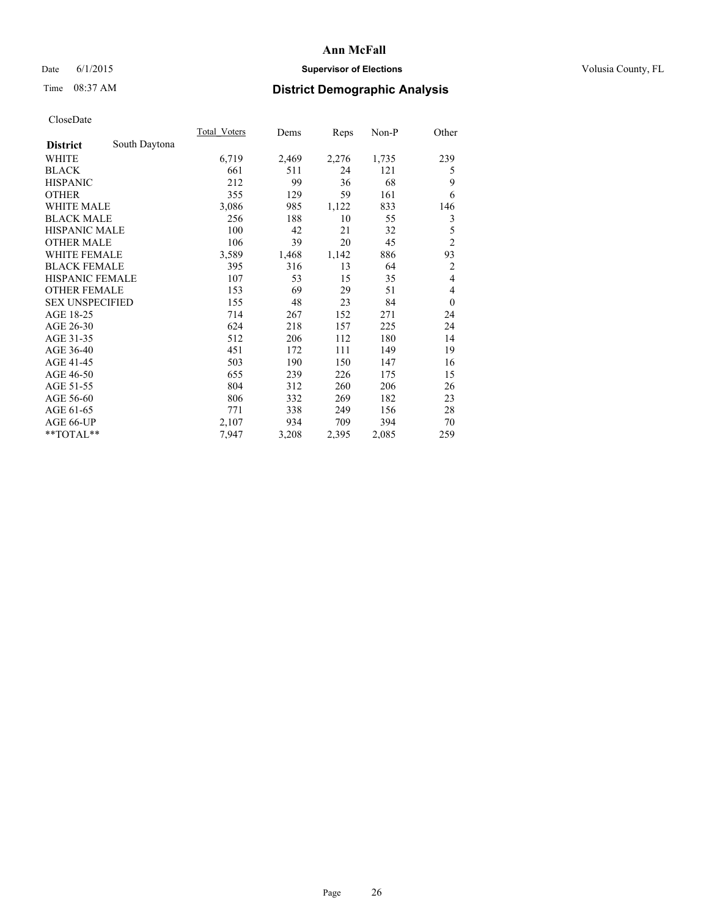# Date 6/1/2015 **Supervisor of Elections Supervisor of Elections** Volusia County, FL

# Time 08:37 AM **District Demographic Analysis**

|                        |               | Total Voters | Dems  | Reps  | Non-P | Other          |
|------------------------|---------------|--------------|-------|-------|-------|----------------|
| <b>District</b>        | South Daytona |              |       |       |       |                |
| WHITE                  |               | 6,719        | 2,469 | 2,276 | 1,735 | 239            |
| <b>BLACK</b>           |               | 661          | 511   | 24    | 121   | 5              |
| <b>HISPANIC</b>        |               | 212          | 99    | 36    | 68    | 9              |
| <b>OTHER</b>           |               | 355          | 129   | 59    | 161   | 6              |
| <b>WHITE MALE</b>      |               | 3,086        | 985   | 1,122 | 833   | 146            |
| <b>BLACK MALE</b>      |               | 256          | 188   | 10    | 55    | 3              |
| <b>HISPANIC MALE</b>   |               | 100          | 42    | 21    | 32    | 5              |
| <b>OTHER MALE</b>      |               | 106          | 39    | 20    | 45    | $\overline{c}$ |
| <b>WHITE FEMALE</b>    |               | 3,589        | 1,468 | 1,142 | 886   | 93             |
| <b>BLACK FEMALE</b>    |               | 395          | 316   | 13    | 64    | $\overline{c}$ |
| <b>HISPANIC FEMALE</b> |               | 107          | 53    | 15    | 35    | 4              |
| <b>OTHER FEMALE</b>    |               | 153          | 69    | 29    | 51    | 4              |
| <b>SEX UNSPECIFIED</b> |               | 155          | 48    | 23    | 84    | $\theta$       |
| AGE 18-25              |               | 714          | 267   | 152   | 271   | 24             |
| AGE 26-30              |               | 624          | 218   | 157   | 225   | 24             |
| AGE 31-35              |               | 512          | 206   | 112   | 180   | 14             |
| AGE 36-40              |               | 451          | 172   | 111   | 149   | 19             |
| AGE 41-45              |               | 503          | 190   | 150   | 147   | 16             |
| AGE 46-50              |               | 655          | 239   | 226   | 175   | 15             |
| AGE 51-55              |               | 804          | 312   | 260   | 206   | 26             |
| AGE 56-60              |               | 806          | 332   | 269   | 182   | 23             |
| AGE 61-65              |               | 771          | 338   | 249   | 156   | 28             |
| AGE 66-UP              |               | 2,107        | 934   | 709   | 394   | 70             |
| **TOTAL**              |               | 7,947        | 3,208 | 2,395 | 2,085 | 259            |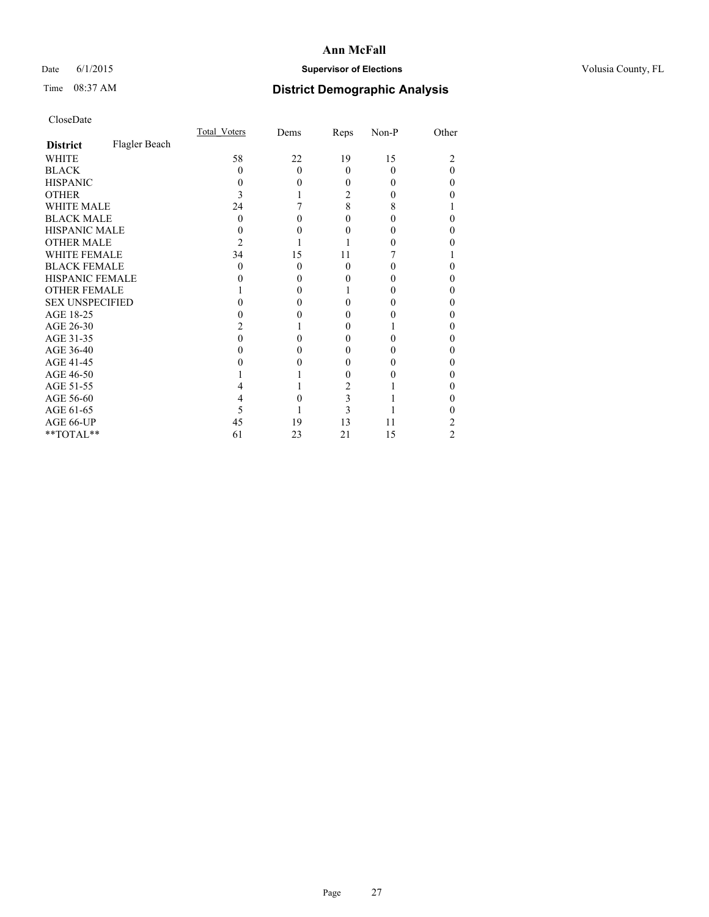# Date 6/1/2015 **Supervisor of Elections Supervisor of Elections** Volusia County, FL

# Time 08:37 AM **District Demographic Analysis**

|                        |               | <b>Total Voters</b> | Dems     | Reps     | Non-P    | Other |
|------------------------|---------------|---------------------|----------|----------|----------|-------|
| <b>District</b>        | Flagler Beach |                     |          |          |          |       |
| <b>WHITE</b>           |               | 58                  | 22       | 19       | 15       |       |
| <b>BLACK</b>           |               | 0                   | $\Omega$ | $\Omega$ | $\Omega$ | 0     |
| <b>HISPANIC</b>        |               | $\theta$            | 0        | 0        | 0        | 0     |
| <b>OTHER</b>           |               |                     |          | 2        |          |       |
| <b>WHITE MALE</b>      |               | 24                  |          | 8        | 8        |       |
| <b>BLACK MALE</b>      |               | 0                   | 0        | 0        |          | 0     |
| <b>HISPANIC MALE</b>   |               |                     |          | 0        |          |       |
| <b>OTHER MALE</b>      |               | 2                   |          |          |          |       |
| <b>WHITE FEMALE</b>    |               | 34                  | 15       | 11       |          |       |
| <b>BLACK FEMALE</b>    |               | $\theta$            | $\theta$ | $\theta$ |          | 0     |
| <b>HISPANIC FEMALE</b> |               |                     | 0        | 0        |          |       |
| <b>OTHER FEMALE</b>    |               |                     | 0        |          |          | 0     |
| <b>SEX UNSPECIFIED</b> |               |                     |          | 0        |          |       |
| AGE 18-25              |               |                     |          | 0        |          | 0     |
| AGE 26-30              |               |                     |          | 0        |          | 0     |
| AGE 31-35              |               |                     |          | 0        |          | 0     |
| AGE 36-40              |               |                     | 0        | 0        |          | 0     |
| AGE 41-45              |               |                     |          | 0        |          | 0     |
| AGE 46-50              |               |                     |          | 0        |          | 0     |
| AGE 51-55              |               |                     |          | 2        |          |       |
| AGE 56-60              |               |                     |          | 3        |          | 0     |
| AGE 61-65              |               | 5                   |          | 3        |          |       |
| AGE 66-UP              |               | 45                  | 19       | 13       | 11       | 2     |
| **TOTAL**              |               | 61                  | 23       | 21       | 15       | 2     |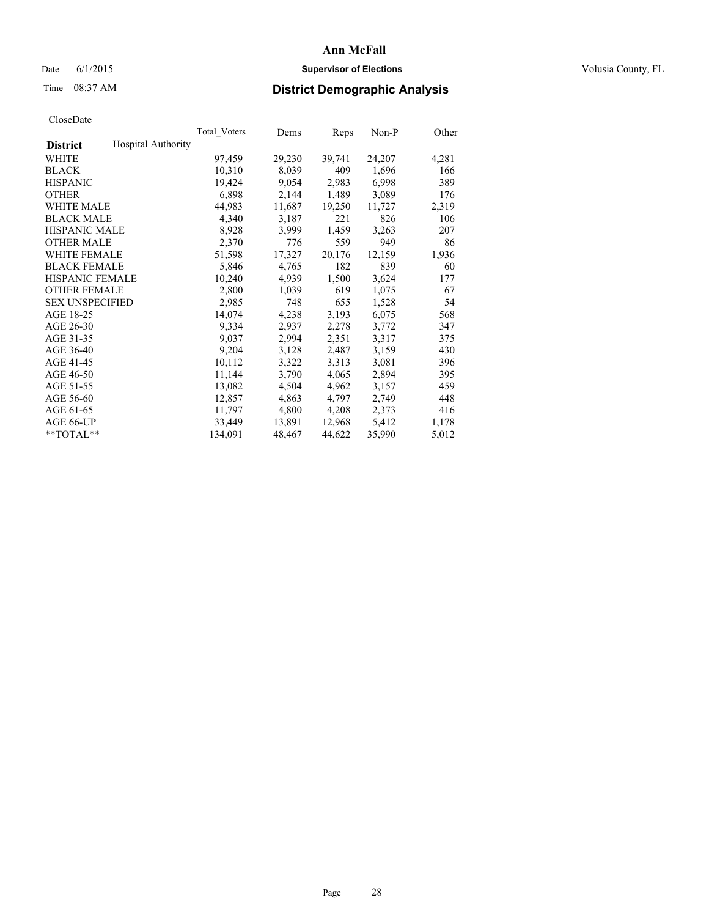# Date 6/1/2015 **Supervisor of Elections Supervisor of Elections** Volusia County, FL

# Time 08:37 AM **District Demographic Analysis**

|                                              | <b>Total Voters</b> | Dems   | Reps   | Non-P  | Other |
|----------------------------------------------|---------------------|--------|--------|--------|-------|
| <b>Hospital Authority</b><br><b>District</b> |                     |        |        |        |       |
| WHITE                                        | 97,459              | 29,230 | 39,741 | 24,207 | 4,281 |
| <b>BLACK</b>                                 | 10,310              | 8,039  | 409    | 1,696  | 166   |
| <b>HISPANIC</b>                              | 19,424              | 9,054  | 2,983  | 6,998  | 389   |
| <b>OTHER</b>                                 | 6,898               | 2,144  | 1,489  | 3,089  | 176   |
| WHITE MALE                                   | 44,983              | 11,687 | 19,250 | 11,727 | 2,319 |
| <b>BLACK MALE</b>                            | 4,340               | 3,187  | 221    | 826    | 106   |
| <b>HISPANIC MALE</b>                         | 8,928               | 3,999  | 1,459  | 3,263  | 207   |
| <b>OTHER MALE</b>                            | 2,370               | 776    | 559    | 949    | 86    |
| <b>WHITE FEMALE</b>                          | 51,598              | 17,327 | 20,176 | 12,159 | 1,936 |
| <b>BLACK FEMALE</b>                          | 5,846               | 4,765  | 182    | 839    | 60    |
| HISPANIC FEMALE                              | 10,240              | 4,939  | 1,500  | 3,624  | 177   |
| <b>OTHER FEMALE</b>                          | 2,800               | 1,039  | 619    | 1,075  | 67    |
| <b>SEX UNSPECIFIED</b>                       | 2,985               | 748    | 655    | 1,528  | 54    |
| AGE 18-25                                    | 14,074              | 4,238  | 3,193  | 6,075  | 568   |
| AGE 26-30                                    | 9,334               | 2,937  | 2,278  | 3,772  | 347   |
| AGE 31-35                                    | 9,037               | 2,994  | 2,351  | 3,317  | 375   |
| AGE 36-40                                    | 9,204               | 3,128  | 2,487  | 3,159  | 430   |
| AGE 41-45                                    | 10,112              | 3,322  | 3,313  | 3,081  | 396   |
| AGE 46-50                                    | 11,144              | 3,790  | 4,065  | 2,894  | 395   |
| AGE 51-55                                    | 13,082              | 4,504  | 4,962  | 3,157  | 459   |
| AGE 56-60                                    | 12,857              | 4,863  | 4,797  | 2,749  | 448   |
| AGE 61-65                                    | 11,797              | 4,800  | 4,208  | 2,373  | 416   |
| AGE 66-UP                                    | 33,449              | 13,891 | 12,968 | 5,412  | 1,178 |
| $*$ $TOTAL**$                                | 134,091             | 48,467 | 44,622 | 35,990 | 5,012 |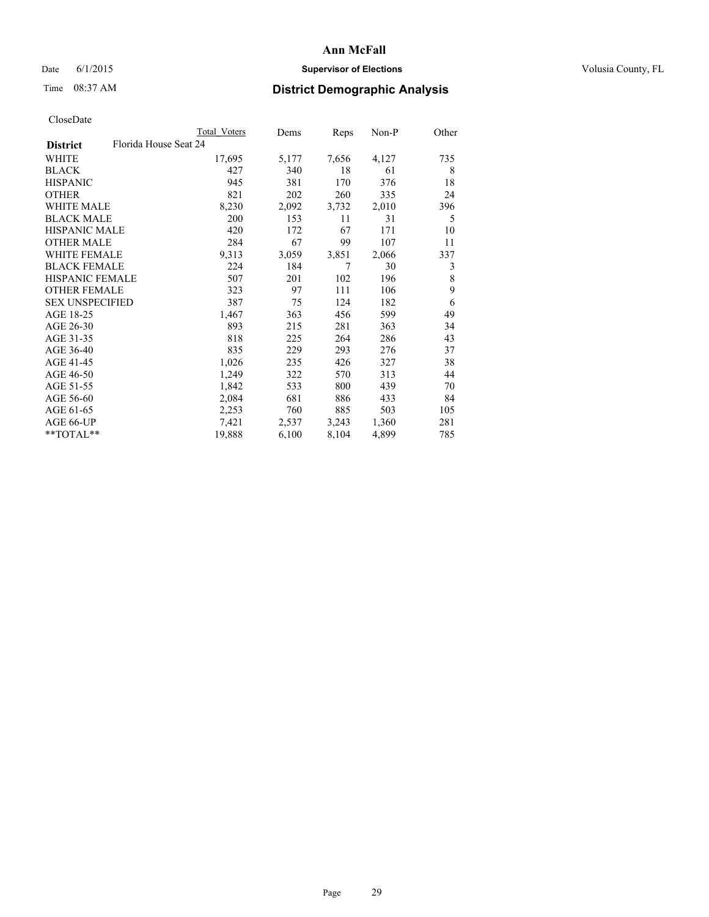# Date 6/1/2015 **Supervisor of Elections Supervisor of Elections** Volusia County, FL

# Time 08:37 AM **District Demographic Analysis**

|                                          | Total Voters | Dems  | Reps  | Non-P | Other |
|------------------------------------------|--------------|-------|-------|-------|-------|
| Florida House Seat 24<br><b>District</b> |              |       |       |       |       |
| WHITE                                    | 17,695       | 5,177 | 7,656 | 4,127 | 735   |
| <b>BLACK</b>                             | 427          | 340   | 18    | 61    | 8     |
| <b>HISPANIC</b>                          | 945          | 381   | 170   | 376   | 18    |
| <b>OTHER</b>                             | 821          | 202   | 260   | 335   | 24    |
| WHITE MALE                               | 8,230        | 2,092 | 3,732 | 2,010 | 396   |
| <b>BLACK MALE</b>                        | 200          | 153   | 11    | 31    | 5     |
| <b>HISPANIC MALE</b>                     | 420          | 172   | 67    | 171   | 10    |
| <b>OTHER MALE</b>                        | 284          | 67    | 99    | 107   | 11    |
| WHITE FEMALE                             | 9.313        | 3,059 | 3,851 | 2,066 | 337   |
| <b>BLACK FEMALE</b>                      | 224          | 184   | 7     | 30    | 3     |
| HISPANIC FEMALE                          | 507          | 201   | 102   | 196   | 8     |
| <b>OTHER FEMALE</b>                      | 323          | 97    | 111   | 106   | 9     |
| <b>SEX UNSPECIFIED</b>                   | 387          | 75    | 124   | 182   | 6     |
| AGE 18-25                                | 1,467        | 363   | 456   | 599   | 49    |
| AGE 26-30                                | 893          | 215   | 281   | 363   | 34    |
| AGE 31-35                                | 818          | 225   | 264   | 286   | 43    |
| AGE 36-40                                | 835          | 229   | 293   | 276   | 37    |
| AGE 41-45                                | 1,026        | 235   | 426   | 327   | 38    |
| AGE 46-50                                | 1,249        | 322   | 570   | 313   | 44    |
| AGE 51-55                                | 1,842        | 533   | 800   | 439   | 70    |
| AGE 56-60                                | 2,084        | 681   | 886   | 433   | 84    |
| AGE 61-65                                | 2,253        | 760   | 885   | 503   | 105   |
| AGE 66-UP                                | 7,421        | 2,537 | 3,243 | 1,360 | 281   |
| **TOTAL**                                | 19,888       | 6,100 | 8,104 | 4,899 | 785   |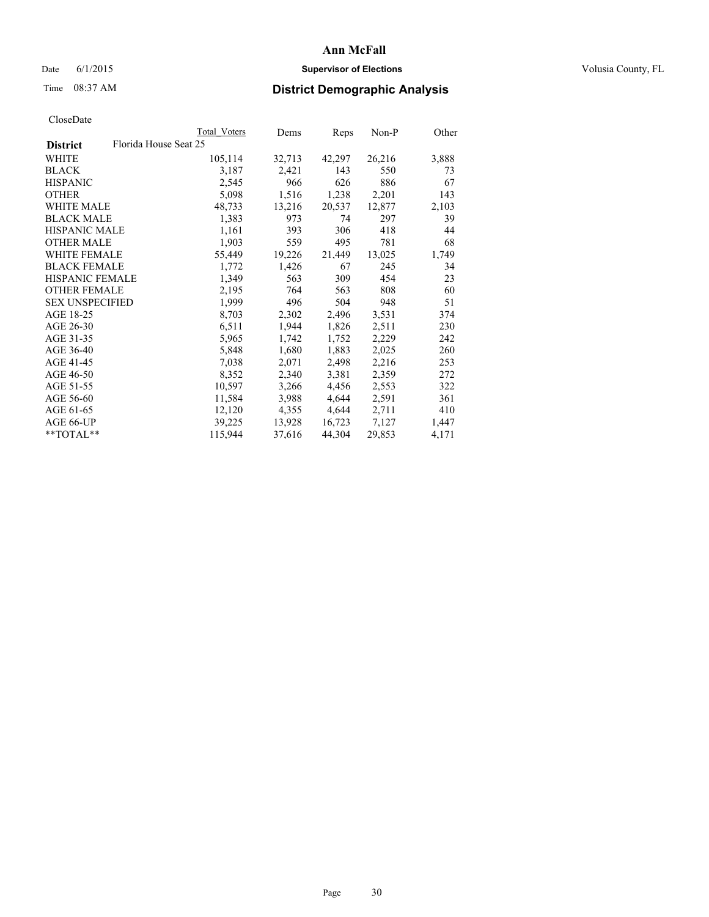# Date 6/1/2015 **Supervisor of Elections Supervisor of Elections** Volusia County, FL

# Time 08:37 AM **District Demographic Analysis**

|                        |                       | Total Voters | Dems   | Reps   | $Non-P$ | Other |
|------------------------|-----------------------|--------------|--------|--------|---------|-------|
| <b>District</b>        | Florida House Seat 25 |              |        |        |         |       |
| <b>WHITE</b>           |                       | 105,114      | 32,713 | 42,297 | 26,216  | 3,888 |
| <b>BLACK</b>           |                       | 3,187        | 2,421  | 143    | 550     | 73    |
| <b>HISPANIC</b>        |                       | 2,545        | 966    | 626    | 886     | 67    |
| <b>OTHER</b>           |                       | 5,098        | 1,516  | 1,238  | 2,201   | 143   |
| <b>WHITE MALE</b>      |                       | 48,733       | 13,216 | 20,537 | 12,877  | 2,103 |
| <b>BLACK MALE</b>      |                       | 1,383        | 973    | 74     | 297     | 39    |
| <b>HISPANIC MALE</b>   |                       | 1,161        | 393    | 306    | 418     | 44    |
| <b>OTHER MALE</b>      |                       | 1,903        | 559    | 495    | 781     | 68    |
| <b>WHITE FEMALE</b>    |                       | 55,449       | 19,226 | 21,449 | 13,025  | 1,749 |
| <b>BLACK FEMALE</b>    |                       | 1,772        | 1,426  | 67     | 245     | 34    |
| HISPANIC FEMALE        |                       | 1,349        | 563    | 309    | 454     | 23    |
| <b>OTHER FEMALE</b>    |                       | 2,195        | 764    | 563    | 808     | 60    |
| <b>SEX UNSPECIFIED</b> |                       | 1,999        | 496    | 504    | 948     | 51    |
| AGE 18-25              |                       | 8,703        | 2,302  | 2,496  | 3,531   | 374   |
| AGE 26-30              |                       | 6,511        | 1,944  | 1,826  | 2,511   | 230   |
| AGE 31-35              |                       | 5,965        | 1,742  | 1,752  | 2,229   | 242   |
| AGE 36-40              |                       | 5,848        | 1,680  | 1,883  | 2,025   | 260   |
| AGE 41-45              |                       | 7,038        | 2,071  | 2,498  | 2,216   | 253   |
| AGE 46-50              |                       | 8,352        | 2,340  | 3,381  | 2,359   | 272   |
| AGE 51-55              |                       | 10,597       | 3,266  | 4,456  | 2,553   | 322   |
| AGE 56-60              |                       | 11,584       | 3.988  | 4,644  | 2,591   | 361   |
| AGE 61-65              |                       | 12,120       | 4,355  | 4,644  | 2,711   | 410   |
| AGE 66-UP              |                       | 39,225       | 13,928 | 16,723 | 7,127   | 1,447 |
| $*$ $TOTAL**$          |                       | 115,944      | 37,616 | 44,304 | 29,853  | 4,171 |
|                        |                       |              |        |        |         |       |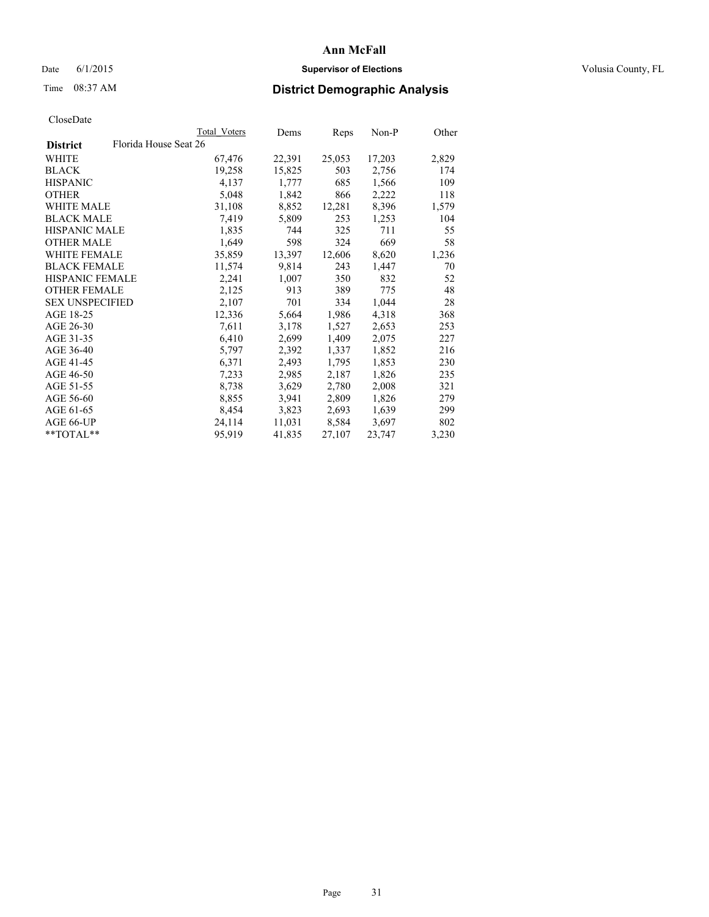# Date 6/1/2015 **Supervisor of Elections Supervisor of Elections** Volusia County, FL

# Time 08:37 AM **District Demographic Analysis**

|                                          | Total Voters | Dems   | Reps   | $Non-P$ | Other |
|------------------------------------------|--------------|--------|--------|---------|-------|
| Florida House Seat 26<br><b>District</b> |              |        |        |         |       |
| WHITE                                    | 67,476       | 22,391 | 25,053 | 17,203  | 2,829 |
| <b>BLACK</b>                             | 19,258       | 15,825 | 503    | 2,756   | 174   |
| <b>HISPANIC</b>                          | 4,137        | 1,777  | 685    | 1,566   | 109   |
| <b>OTHER</b>                             | 5,048        | 1,842  | 866    | 2,222   | 118   |
| WHITE MALE                               | 31,108       | 8,852  | 12,281 | 8,396   | 1,579 |
| <b>BLACK MALE</b>                        | 7,419        | 5,809  | 253    | 1,253   | 104   |
| <b>HISPANIC MALE</b>                     | 1,835        | 744    | 325    | 711     | 55    |
| <b>OTHER MALE</b>                        | 1,649        | 598    | 324    | 669     | 58    |
| <b>WHITE FEMALE</b>                      | 35,859       | 13,397 | 12,606 | 8,620   | 1,236 |
| <b>BLACK FEMALE</b>                      | 11,574       | 9,814  | 243    | 1,447   | 70    |
| <b>HISPANIC FEMALE</b>                   | 2,241        | 1,007  | 350    | 832     | 52    |
| <b>OTHER FEMALE</b>                      | 2,125        | 913    | 389    | 775     | 48    |
| <b>SEX UNSPECIFIED</b>                   | 2,107        | 701    | 334    | 1,044   | 28    |
| AGE 18-25                                | 12,336       | 5,664  | 1,986  | 4,318   | 368   |
| AGE 26-30                                | 7,611        | 3,178  | 1,527  | 2,653   | 253   |
| AGE 31-35                                | 6,410        | 2,699  | 1,409  | 2,075   | 227   |
| AGE 36-40                                | 5,797        | 2,392  | 1,337  | 1,852   | 216   |
| AGE 41-45                                | 6,371        | 2,493  | 1,795  | 1,853   | 230   |
| AGE 46-50                                | 7,233        | 2,985  | 2,187  | 1,826   | 235   |
| AGE 51-55                                | 8,738        | 3,629  | 2,780  | 2,008   | 321   |
| AGE 56-60                                | 8,855        | 3,941  | 2,809  | 1,826   | 279   |
| AGE 61-65                                | 8,454        | 3,823  | 2,693  | 1,639   | 299   |
| AGE 66-UP                                | 24,114       | 11,031 | 8,584  | 3,697   | 802   |
| **TOTAL**                                | 95,919       | 41,835 | 27,107 | 23,747  | 3,230 |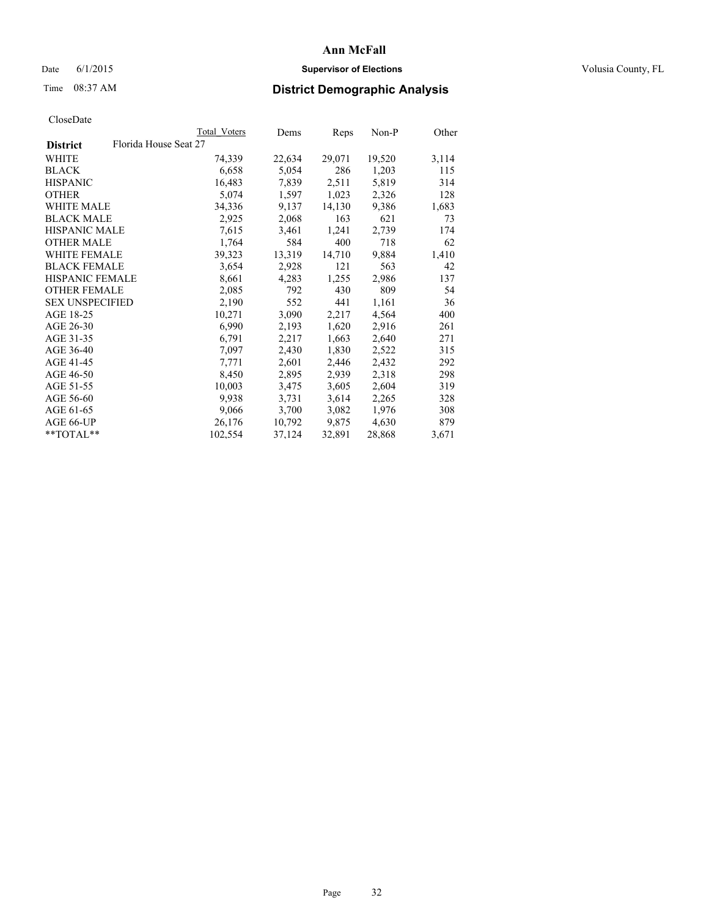# Date 6/1/2015 **Supervisor of Elections Supervisor of Elections** Volusia County, FL

# Time 08:37 AM **District Demographic Analysis**

|                        |                       | Total Voters | Dems   | <b>Reps</b> | $Non-P$ | Other |
|------------------------|-----------------------|--------------|--------|-------------|---------|-------|
| <b>District</b>        | Florida House Seat 27 |              |        |             |         |       |
| WHITE                  |                       | 74,339       | 22,634 | 29,071      | 19,520  | 3,114 |
| <b>BLACK</b>           |                       | 6,658        | 5,054  | 286         | 1,203   | 115   |
| <b>HISPANIC</b>        |                       | 16,483       | 7,839  | 2,511       | 5,819   | 314   |
| <b>OTHER</b>           |                       | 5,074        | 1,597  | 1,023       | 2,326   | 128   |
| WHITE MALE             |                       | 34,336       | 9,137  | 14,130      | 9,386   | 1,683 |
| <b>BLACK MALE</b>      |                       | 2,925        | 2,068  | 163         | 621     | 73    |
| <b>HISPANIC MALE</b>   |                       | 7,615        | 3,461  | 1,241       | 2,739   | 174   |
| <b>OTHER MALE</b>      |                       | 1,764        | 584    | 400         | 718     | 62    |
| <b>WHITE FEMALE</b>    |                       | 39,323       | 13,319 | 14,710      | 9,884   | 1,410 |
| <b>BLACK FEMALE</b>    |                       | 3,654        | 2,928  | 121         | 563     | 42    |
| <b>HISPANIC FEMALE</b> |                       | 8,661        | 4,283  | 1,255       | 2,986   | 137   |
| <b>OTHER FEMALE</b>    |                       | 2,085        | 792    | 430         | 809     | 54    |
| <b>SEX UNSPECIFIED</b> |                       | 2,190        | 552    | 441         | 1,161   | 36    |
| AGE 18-25              |                       | 10,271       | 3,090  | 2,217       | 4,564   | 400   |
| AGE 26-30              |                       | 6,990        | 2,193  | 1,620       | 2,916   | 261   |
| AGE 31-35              |                       | 6,791        | 2,217  | 1,663       | 2,640   | 271   |
| AGE 36-40              |                       | 7,097        | 2,430  | 1,830       | 2,522   | 315   |
| AGE 41-45              |                       | 7,771        | 2,601  | 2,446       | 2,432   | 292   |
| AGE 46-50              |                       | 8,450        | 2,895  | 2,939       | 2,318   | 298   |
| AGE 51-55              |                       | 10,003       | 3,475  | 3,605       | 2,604   | 319   |
| AGE 56-60              |                       | 9.938        | 3,731  | 3,614       | 2,265   | 328   |
| AGE 61-65              |                       | 9,066        | 3,700  | 3,082       | 1,976   | 308   |
| AGE 66-UP              |                       | 26,176       | 10,792 | 9,875       | 4,630   | 879   |
| $*$ TOTAL $*$          |                       | 102,554      | 37,124 | 32,891      | 28,868  | 3,671 |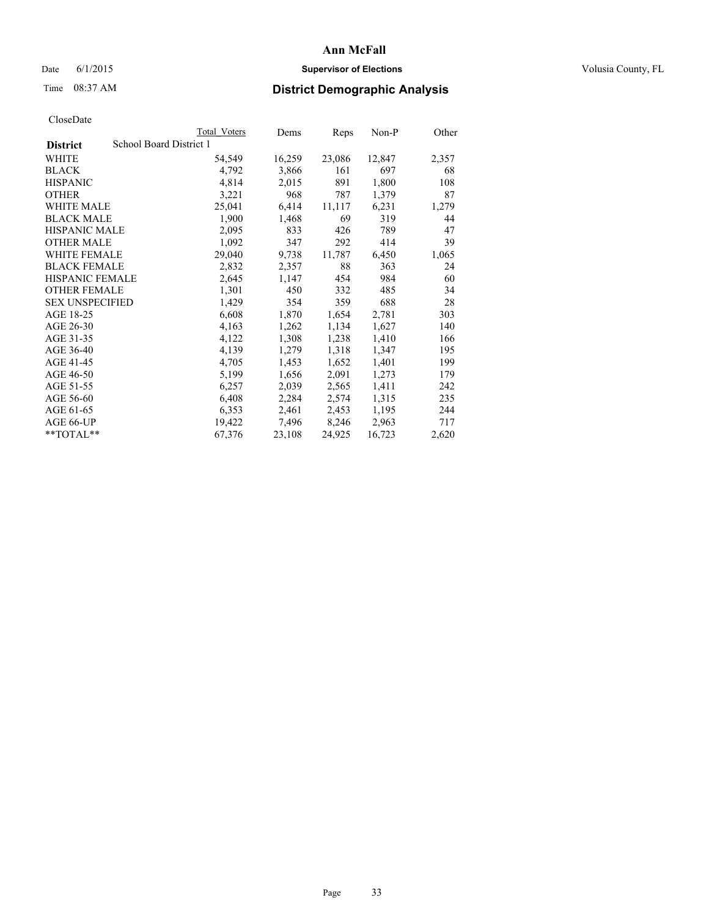# Date 6/1/2015 **Supervisor of Elections Supervisor of Elections** Volusia County, FL

# Time 08:37 AM **District Demographic Analysis**

|                        |                         | Total Voters | Dems   | <b>Reps</b> | Non-P  | Other |
|------------------------|-------------------------|--------------|--------|-------------|--------|-------|
| <b>District</b>        | School Board District 1 |              |        |             |        |       |
| WHITE                  |                         | 54,549       | 16,259 | 23,086      | 12,847 | 2,357 |
| <b>BLACK</b>           |                         | 4,792        | 3,866  | 161         | 697    | 68    |
| <b>HISPANIC</b>        |                         | 4,814        | 2,015  | 891         | 1,800  | 108   |
| <b>OTHER</b>           |                         | 3,221        | 968    | 787         | 1,379  | 87    |
| WHITE MALE             |                         | 25,041       | 6,414  | 11,117      | 6,231  | 1,279 |
| <b>BLACK MALE</b>      |                         | 1,900        | 1,468  | 69          | 319    | 44    |
| <b>HISPANIC MALE</b>   |                         | 2,095        | 833    | 426         | 789    | 47    |
| <b>OTHER MALE</b>      |                         | 1,092        | 347    | 292         | 414    | 39    |
| <b>WHITE FEMALE</b>    |                         | 29,040       | 9,738  | 11,787      | 6,450  | 1,065 |
| <b>BLACK FEMALE</b>    |                         | 2,832        | 2,357  | 88          | 363    | 24    |
| <b>HISPANIC FEMALE</b> |                         | 2,645        | 1,147  | 454         | 984    | 60    |
| <b>OTHER FEMALE</b>    |                         | 1,301        | 450    | 332         | 485    | 34    |
| <b>SEX UNSPECIFIED</b> |                         | 1,429        | 354    | 359         | 688    | 28    |
| AGE 18-25              |                         | 6,608        | 1,870  | 1,654       | 2,781  | 303   |
| AGE 26-30              |                         | 4,163        | 1,262  | 1,134       | 1,627  | 140   |
| AGE 31-35              |                         | 4,122        | 1,308  | 1,238       | 1,410  | 166   |
| AGE 36-40              |                         | 4,139        | 1,279  | 1,318       | 1,347  | 195   |
| AGE 41-45              |                         | 4,705        | 1,453  | 1,652       | 1,401  | 199   |
| AGE 46-50              |                         | 5,199        | 1,656  | 2,091       | 1,273  | 179   |
| AGE 51-55              |                         | 6,257        | 2,039  | 2,565       | 1,411  | 242   |
| AGE 56-60              |                         | 6,408        | 2,284  | 2,574       | 1,315  | 235   |
| AGE 61-65              |                         | 6,353        | 2,461  | 2,453       | 1,195  | 244   |
| AGE 66-UP              |                         | 19,422       | 7,496  | 8,246       | 2,963  | 717   |
| **TOTAL**              |                         | 67,376       | 23,108 | 24,925      | 16,723 | 2,620 |
|                        |                         |              |        |             |        |       |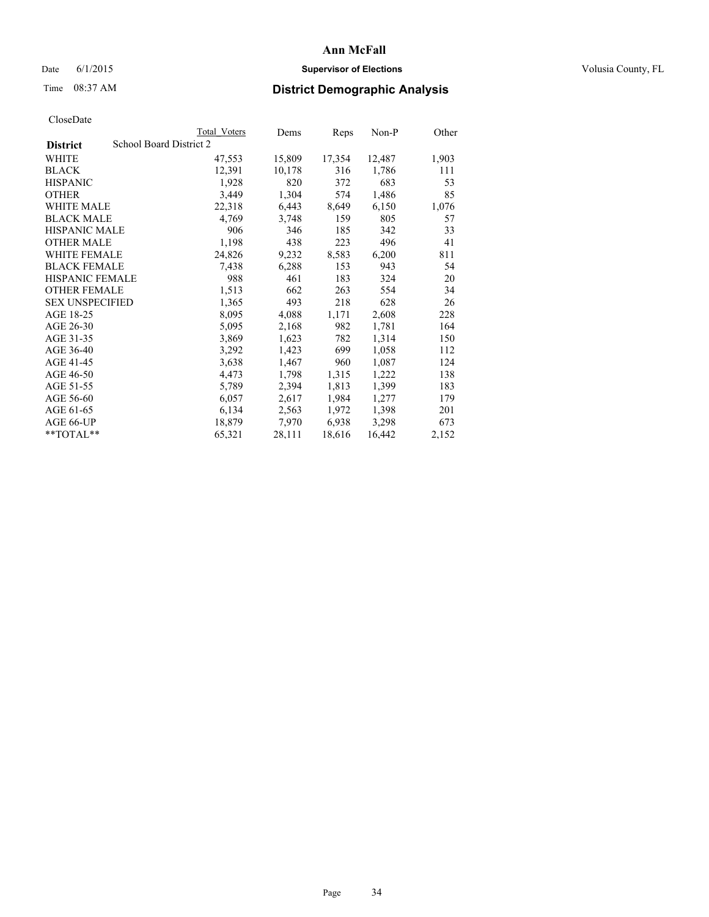# Date 6/1/2015 **Supervisor of Elections Supervisor of Elections** Volusia County, FL

# Time 08:37 AM **District Demographic Analysis**

|                        | Total Voters            | Dems   | Reps   | Non-P  | Other |
|------------------------|-------------------------|--------|--------|--------|-------|
| <b>District</b>        | School Board District 2 |        |        |        |       |
| WHITE                  | 47,553                  | 15,809 | 17,354 | 12,487 | 1,903 |
| <b>BLACK</b>           | 12,391                  | 10,178 | 316    | 1,786  | 111   |
| <b>HISPANIC</b>        | 1,928                   | 820    | 372    | 683    | 53    |
| <b>OTHER</b>           | 3,449                   | 1,304  | 574    | 1,486  | 85    |
| WHITE MALE             | 22,318                  | 6,443  | 8,649  | 6,150  | 1,076 |
| <b>BLACK MALE</b>      | 4,769                   | 3,748  | 159    | 805    | 57    |
| <b>HISPANIC MALE</b>   | 906                     | 346    | 185    | 342    | 33    |
| <b>OTHER MALE</b>      | 1,198                   | 438    | 223    | 496    | 41    |
| <b>WHITE FEMALE</b>    | 24,826                  | 9,232  | 8,583  | 6,200  | 811   |
| <b>BLACK FEMALE</b>    | 7.438                   | 6,288  | 153    | 943    | 54    |
| <b>HISPANIC FEMALE</b> | 988                     | 461    | 183    | 324    | 20    |
| <b>OTHER FEMALE</b>    | 1,513                   | 662    | 263    | 554    | 34    |
| <b>SEX UNSPECIFIED</b> | 1,365                   | 493    | 218    | 628    | 26    |
| AGE 18-25              | 8,095                   | 4,088  | 1,171  | 2,608  | 228   |
| AGE 26-30              | 5,095                   | 2,168  | 982    | 1,781  | 164   |
| AGE 31-35              | 3,869                   | 1,623  | 782    | 1,314  | 150   |
| AGE 36-40              | 3,292                   | 1,423  | 699    | 1,058  | 112   |
| AGE 41-45              | 3,638                   | 1,467  | 960    | 1,087  | 124   |
| AGE 46-50              | 4,473                   | 1,798  | 1,315  | 1,222  | 138   |
| AGE 51-55              | 5,789                   | 2,394  | 1,813  | 1,399  | 183   |
| AGE 56-60              | 6,057                   | 2,617  | 1,984  | 1,277  | 179   |
| AGE 61-65              | 6,134                   | 2,563  | 1,972  | 1,398  | 201   |
| AGE 66-UP              | 18,879                  | 7,970  | 6,938  | 3,298  | 673   |
| $*$ TOTAL $*$          | 65,321                  | 28,111 | 18,616 | 16,442 | 2,152 |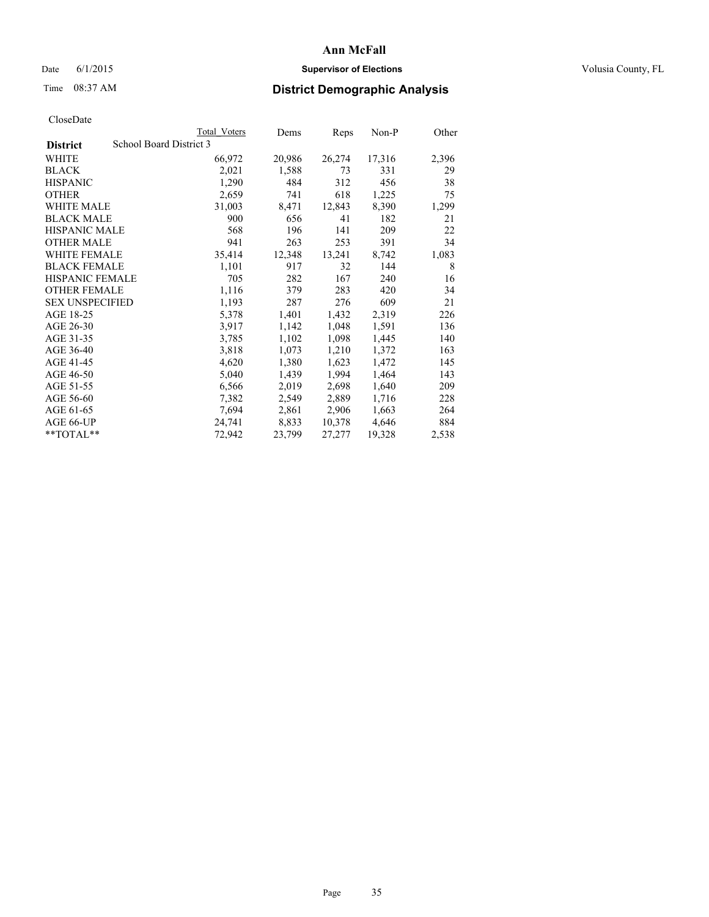# Date 6/1/2015 **Supervisor of Elections Supervisor of Elections** Volusia County, FL

# Time 08:37 AM **District Demographic Analysis**

|                        |                         | <b>Total Voters</b> | Dems   | Reps   | Non-P  | Other |
|------------------------|-------------------------|---------------------|--------|--------|--------|-------|
| <b>District</b>        | School Board District 3 |                     |        |        |        |       |
| WHITE                  |                         | 66,972              | 20,986 | 26,274 | 17,316 | 2,396 |
| <b>BLACK</b>           |                         | 2,021               | 1,588  | 73     | 331    | 29    |
| <b>HISPANIC</b>        |                         | 1,290               | 484    | 312    | 456    | 38    |
| <b>OTHER</b>           |                         | 2,659               | 741    | 618    | 1,225  | 75    |
| WHITE MALE             |                         | 31,003              | 8,471  | 12,843 | 8,390  | 1,299 |
| <b>BLACK MALE</b>      |                         | 900                 | 656    | 41     | 182    | 21    |
| <b>HISPANIC MALE</b>   |                         | 568                 | 196    | 141    | 209    | 22    |
| <b>OTHER MALE</b>      |                         | 941                 | 263    | 253    | 391    | 34    |
| <b>WHITE FEMALE</b>    |                         | 35,414              | 12,348 | 13,241 | 8,742  | 1,083 |
| <b>BLACK FEMALE</b>    |                         | 1,101               | 917    | 32     | 144    | 8     |
| <b>HISPANIC FEMALE</b> |                         | 705                 | 282    | 167    | 240    | 16    |
| <b>OTHER FEMALE</b>    |                         | 1,116               | 379    | 283    | 420    | 34    |
| <b>SEX UNSPECIFIED</b> |                         | 1,193               | 287    | 276    | 609    | 21    |
| AGE 18-25              |                         | 5,378               | 1,401  | 1,432  | 2,319  | 226   |
| AGE 26-30              |                         | 3,917               | 1,142  | 1,048  | 1,591  | 136   |
| AGE 31-35              |                         | 3,785               | 1,102  | 1,098  | 1,445  | 140   |
| AGE 36-40              |                         | 3,818               | 1,073  | 1,210  | 1,372  | 163   |
| AGE 41-45              |                         | 4,620               | 1,380  | 1,623  | 1,472  | 145   |
| AGE 46-50              |                         | 5,040               | 1,439  | 1,994  | 1,464  | 143   |
| AGE 51-55              |                         | 6,566               | 2,019  | 2,698  | 1,640  | 209   |
| AGE 56-60              |                         | 7,382               | 2,549  | 2,889  | 1,716  | 228   |
| AGE 61-65              |                         | 7,694               | 2,861  | 2,906  | 1,663  | 264   |
| AGE 66-UP              |                         | 24,741              | 8,833  | 10,378 | 4,646  | 884   |
| **TOTAL**              |                         | 72,942              | 23,799 | 27,277 | 19,328 | 2,538 |
|                        |                         |                     |        |        |        |       |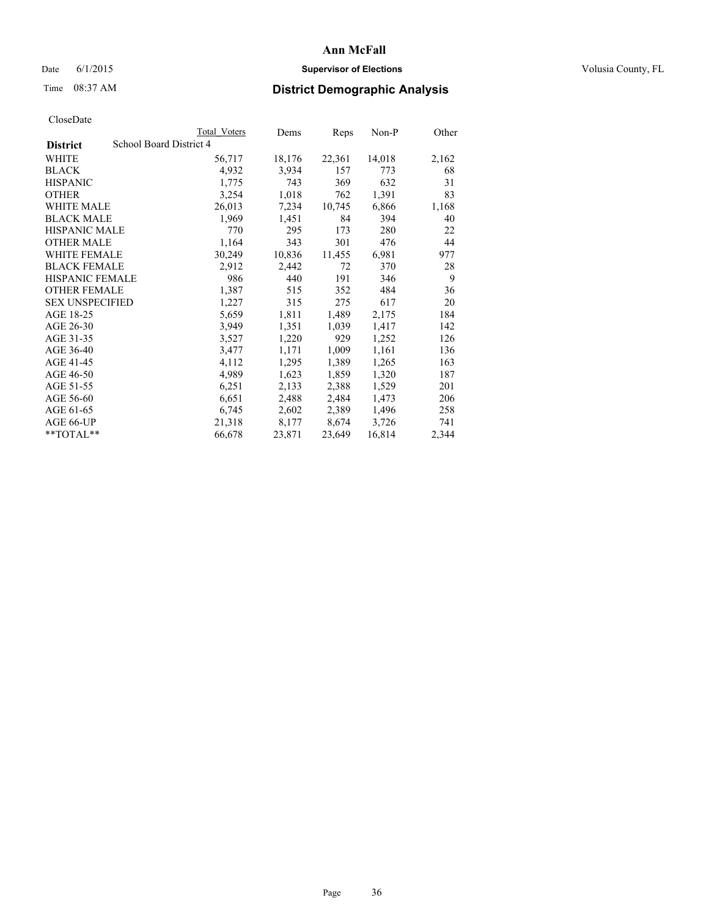# Date 6/1/2015 **Supervisor of Elections Supervisor of Elections** Volusia County, FL

# Time 08:37 AM **District Demographic Analysis**

|                        |                         | Total Voters | Dems   | <b>Reps</b> | $Non-P$ | Other |
|------------------------|-------------------------|--------------|--------|-------------|---------|-------|
| <b>District</b>        | School Board District 4 |              |        |             |         |       |
| WHITE                  |                         | 56,717       | 18,176 | 22,361      | 14,018  | 2,162 |
| <b>BLACK</b>           |                         | 4,932        | 3,934  | 157         | 773     | 68    |
| <b>HISPANIC</b>        |                         | 1,775        | 743    | 369         | 632     | 31    |
| <b>OTHER</b>           |                         | 3,254        | 1,018  | 762         | 1,391   | 83    |
| <b>WHITE MALE</b>      |                         | 26,013       | 7,234  | 10,745      | 6,866   | 1,168 |
| <b>BLACK MALE</b>      |                         | 1,969        | 1,451  | 84          | 394     | 40    |
| <b>HISPANIC MALE</b>   |                         | 770          | 295    | 173         | 280     | 22    |
| <b>OTHER MALE</b>      |                         | 1,164        | 343    | 301         | 476     | 44    |
| <b>WHITE FEMALE</b>    |                         | 30,249       | 10,836 | 11,455      | 6,981   | 977   |
| <b>BLACK FEMALE</b>    |                         | 2,912        | 2,442  | 72          | 370     | 28    |
| <b>HISPANIC FEMALE</b> |                         | 986          | 440    | 191         | 346     | 9     |
| <b>OTHER FEMALE</b>    |                         | 1,387        | 515    | 352         | 484     | 36    |
| <b>SEX UNSPECIFIED</b> |                         | 1,227        | 315    | 275         | 617     | 20    |
| AGE 18-25              |                         | 5,659        | 1,811  | 1,489       | 2,175   | 184   |
| AGE 26-30              |                         | 3,949        | 1,351  | 1,039       | 1,417   | 142   |
| AGE 31-35              |                         | 3,527        | 1,220  | 929         | 1,252   | 126   |
| AGE 36-40              |                         | 3,477        | 1,171  | 1,009       | 1,161   | 136   |
| AGE 41-45              |                         | 4,112        | 1,295  | 1,389       | 1,265   | 163   |
| AGE 46-50              |                         | 4,989        | 1,623  | 1,859       | 1,320   | 187   |
| AGE 51-55              |                         | 6,251        | 2,133  | 2,388       | 1,529   | 201   |
| AGE 56-60              |                         | 6,651        | 2,488  | 2,484       | 1,473   | 206   |
| AGE 61-65              |                         | 6,745        | 2,602  | 2,389       | 1,496   | 258   |
| AGE 66-UP              |                         | 21,318       | 8,177  | 8,674       | 3,726   | 741   |
| $*$ TOTAL $*$          |                         | 66,678       | 23,871 | 23,649      | 16,814  | 2,344 |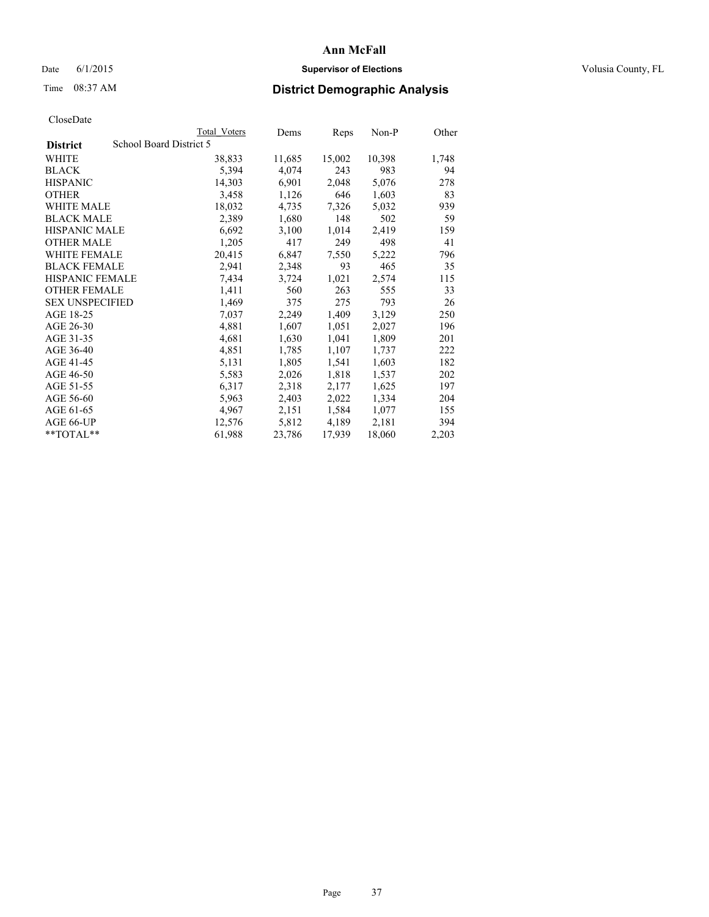## Date 6/1/2015 **Supervisor of Elections Supervisor of Elections** Volusia County, FL

## Time 08:37 AM **District Demographic Analysis**

|                                            | Total Voters | Dems   | Reps   | $Non-P$ | Other |
|--------------------------------------------|--------------|--------|--------|---------|-------|
| School Board District 5<br><b>District</b> |              |        |        |         |       |
| WHITE                                      | 38,833       | 11,685 | 15,002 | 10,398  | 1,748 |
| <b>BLACK</b>                               | 5,394        | 4,074  | 243    | 983     | 94    |
| <b>HISPANIC</b>                            | 14,303       | 6,901  | 2,048  | 5,076   | 278   |
| <b>OTHER</b>                               | 3,458        | 1,126  | 646    | 1,603   | 83    |
| <b>WHITE MALE</b>                          | 18,032       | 4,735  | 7,326  | 5,032   | 939   |
| <b>BLACK MALE</b>                          | 2,389        | 1,680  | 148    | 502     | 59    |
| <b>HISPANIC MALE</b>                       | 6,692        | 3,100  | 1,014  | 2,419   | 159   |
| <b>OTHER MALE</b>                          | 1,205        | 417    | 249    | 498     | 41    |
| <b>WHITE FEMALE</b>                        | 20,415       | 6,847  | 7,550  | 5,222   | 796   |
| <b>BLACK FEMALE</b>                        | 2,941        | 2,348  | 93     | 465     | 35    |
| HISPANIC FEMALE                            | 7,434        | 3,724  | 1,021  | 2,574   | 115   |
| <b>OTHER FEMALE</b>                        | 1,411        | 560    | 263    | 555     | 33    |
| <b>SEX UNSPECIFIED</b>                     | 1,469        | 375    | 275    | 793     | 26    |
| AGE 18-25                                  | 7,037        | 2,249  | 1,409  | 3,129   | 250   |
| AGE 26-30                                  | 4,881        | 1,607  | 1,051  | 2,027   | 196   |
| AGE 31-35                                  | 4,681        | 1,630  | 1,041  | 1,809   | 201   |
| AGE 36-40                                  | 4,851        | 1,785  | 1,107  | 1,737   | 222   |
| AGE 41-45                                  | 5,131        | 1,805  | 1,541  | 1,603   | 182   |
| AGE 46-50                                  | 5,583        | 2,026  | 1,818  | 1,537   | 202   |
| AGE 51-55                                  | 6,317        | 2,318  | 2,177  | 1,625   | 197   |
| AGE 56-60                                  | 5,963        | 2,403  | 2,022  | 1,334   | 204   |
| AGE 61-65                                  | 4,967        | 2,151  | 1,584  | 1,077   | 155   |
| AGE 66-UP                                  | 12,576       | 5,812  | 4,189  | 2,181   | 394   |
| $*$ TOTAL $*$                              | 61,988       | 23,786 | 17,939 | 18,060  | 2,203 |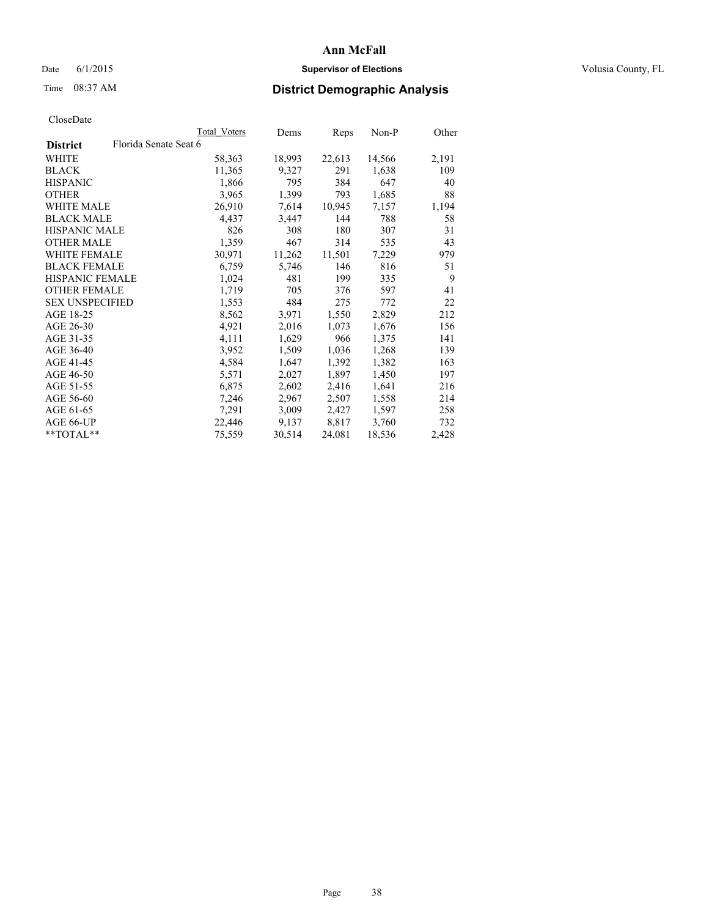## Date 6/1/2015 **Supervisor of Elections Supervisor of Elections** Volusia County, FL

# Time 08:37 AM **District Demographic Analysis**

|                        |                       | <b>Total Voters</b> | Dems   | <b>Reps</b> | $Non-P$ | Other |
|------------------------|-----------------------|---------------------|--------|-------------|---------|-------|
| <b>District</b>        | Florida Senate Seat 6 |                     |        |             |         |       |
| WHITE                  |                       | 58,363              | 18,993 | 22,613      | 14,566  | 2,191 |
| <b>BLACK</b>           |                       | 11,365              | 9,327  | 291         | 1,638   | 109   |
| <b>HISPANIC</b>        |                       | 1,866               | 795    | 384         | 647     | 40    |
| <b>OTHER</b>           |                       | 3,965               | 1,399  | 793         | 1,685   | 88    |
| WHITE MALE             |                       | 26,910              | 7,614  | 10,945      | 7,157   | 1,194 |
| <b>BLACK MALE</b>      |                       | 4,437               | 3,447  | 144         | 788     | 58    |
| <b>HISPANIC MALE</b>   |                       | 826                 | 308    | 180         | 307     | 31    |
| <b>OTHER MALE</b>      |                       | 1,359               | 467    | 314         | 535     | 43    |
| <b>WHITE FEMALE</b>    |                       | 30,971              | 11,262 | 11,501      | 7,229   | 979   |
| <b>BLACK FEMALE</b>    |                       | 6,759               | 5,746  | 146         | 816     | 51    |
| <b>HISPANIC FEMALE</b> |                       | 1,024               | 481    | 199         | 335     | 9     |
| <b>OTHER FEMALE</b>    |                       | 1,719               | 705    | 376         | 597     | 41    |
| <b>SEX UNSPECIFIED</b> |                       | 1,553               | 484    | 275         | 772     | 22    |
| AGE 18-25              |                       | 8,562               | 3,971  | 1,550       | 2,829   | 212   |
| AGE 26-30              |                       | 4,921               | 2,016  | 1,073       | 1,676   | 156   |
| AGE 31-35              |                       | 4,111               | 1,629  | 966         | 1,375   | 141   |
| AGE 36-40              |                       | 3,952               | 1,509  | 1,036       | 1,268   | 139   |
| AGE 41-45              |                       | 4,584               | 1,647  | 1,392       | 1,382   | 163   |
| AGE 46-50              |                       | 5,571               | 2,027  | 1,897       | 1,450   | 197   |
| AGE 51-55              |                       | 6,875               | 2,602  | 2,416       | 1,641   | 216   |
| AGE 56-60              |                       | 7,246               | 2,967  | 2,507       | 1,558   | 214   |
| AGE 61-65              |                       | 7,291               | 3,009  | 2,427       | 1,597   | 258   |
| AGE 66-UP              |                       | 22,446              | 9,137  | 8,817       | 3,760   | 732   |
| $*$ TOTAL $*$          |                       | 75,559              | 30,514 | 24,081      | 18,536  | 2,428 |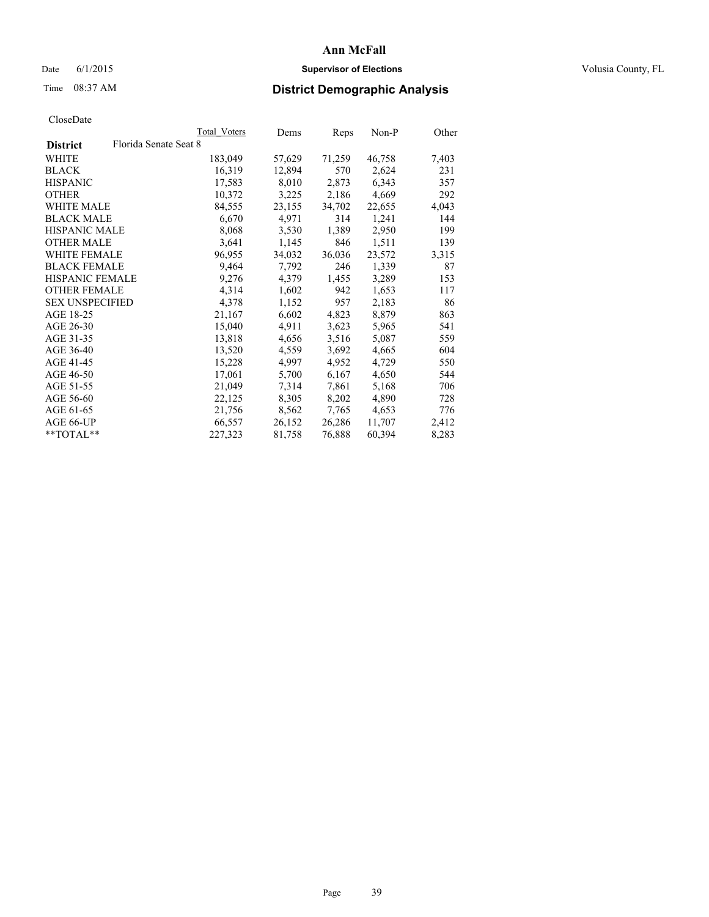## Date 6/1/2015 **Supervisor of Elections Supervisor of Elections** Volusia County, FL

## Time 08:37 AM **District Demographic Analysis**

|                        |                       | Total Voters | Dems   | <b>Reps</b> | Non-P  | Other |
|------------------------|-----------------------|--------------|--------|-------------|--------|-------|
| <b>District</b>        | Florida Senate Seat 8 |              |        |             |        |       |
| WHITE                  |                       | 183,049      | 57,629 | 71,259      | 46,758 | 7,403 |
| <b>BLACK</b>           |                       | 16,319       | 12,894 | 570         | 2,624  | 231   |
| <b>HISPANIC</b>        |                       | 17,583       | 8,010  | 2,873       | 6,343  | 357   |
| <b>OTHER</b>           |                       | 10,372       | 3,225  | 2,186       | 4,669  | 292   |
| WHITE MALE             |                       | 84,555       | 23,155 | 34,702      | 22,655 | 4,043 |
| <b>BLACK MALE</b>      |                       | 6,670        | 4,971  | 314         | 1,241  | 144   |
| <b>HISPANIC MALE</b>   |                       | 8,068        | 3,530  | 1,389       | 2,950  | 199   |
| <b>OTHER MALE</b>      |                       | 3,641        | 1,145  | 846         | 1,511  | 139   |
| <b>WHITE FEMALE</b>    |                       | 96,955       | 34,032 | 36,036      | 23,572 | 3,315 |
| <b>BLACK FEMALE</b>    |                       | 9,464        | 7,792  | 246         | 1,339  | 87    |
| HISPANIC FEMALE        |                       | 9,276        | 4,379  | 1,455       | 3,289  | 153   |
| <b>OTHER FEMALE</b>    |                       | 4,314        | 1,602  | 942         | 1,653  | 117   |
| <b>SEX UNSPECIFIED</b> |                       | 4,378        | 1,152  | 957         | 2,183  | 86    |
| AGE 18-25              |                       | 21,167       | 6,602  | 4,823       | 8,879  | 863   |
| AGE 26-30              |                       | 15,040       | 4,911  | 3,623       | 5,965  | 541   |
| AGE 31-35              |                       | 13,818       | 4,656  | 3,516       | 5,087  | 559   |
| AGE 36-40              |                       | 13,520       | 4,559  | 3,692       | 4,665  | 604   |
| AGE 41-45              |                       | 15,228       | 4,997  | 4,952       | 4,729  | 550   |
| AGE 46-50              |                       | 17,061       | 5,700  | 6,167       | 4,650  | 544   |
| AGE 51-55              |                       | 21,049       | 7,314  | 7,861       | 5,168  | 706   |
| AGE 56-60              |                       | 22,125       | 8,305  | 8,202       | 4,890  | 728   |
| AGE 61-65              |                       | 21,756       | 8,562  | 7,765       | 4,653  | 776   |
| AGE 66-UP              |                       | 66,557       | 26,152 | 26,286      | 11,707 | 2,412 |
| $*$ $TOTAL**$          |                       | 227,323      | 81,758 | 76,888      | 60,394 | 8,283 |
|                        |                       |              |        |             |        |       |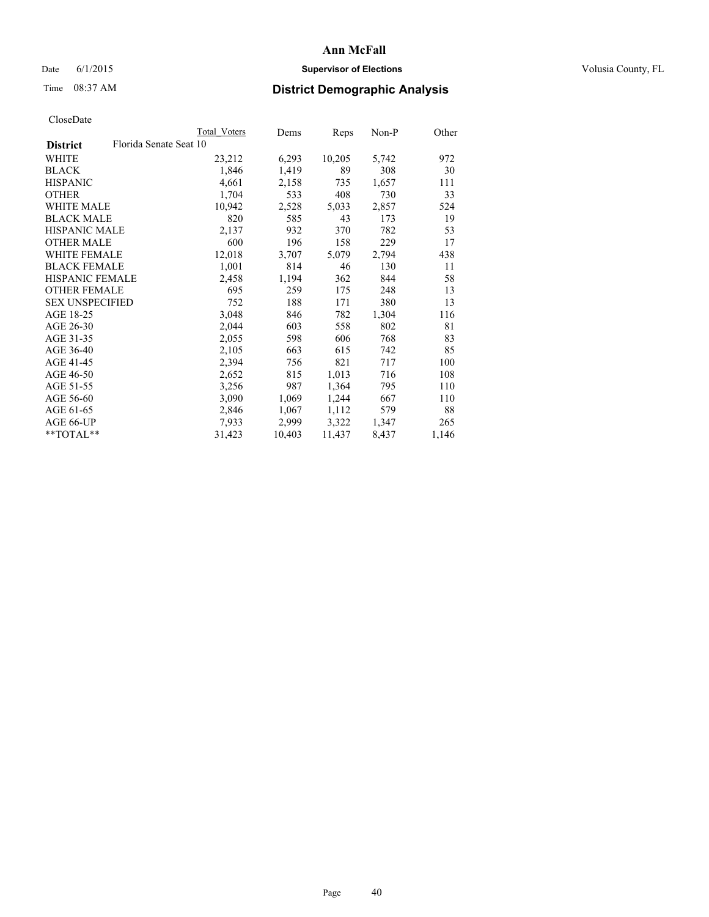## Date 6/1/2015 **Supervisor of Elections Supervisor of Elections** Volusia County, FL

## Time 08:37 AM **District Demographic Analysis**

| Total Voters | Dems                   | Reps   | Non-P | Other |
|--------------|------------------------|--------|-------|-------|
|              |                        |        |       |       |
| 23,212       | 6,293                  | 10,205 | 5,742 | 972   |
| 1,846        | 1,419                  | 89     | 308   | 30    |
| 4,661        | 2,158                  | 735    | 1,657 | 111   |
| 1,704        | 533                    | 408    | 730   | 33    |
| 10,942       | 2,528                  | 5,033  | 2,857 | 524   |
| 820          | 585                    | 43     | 173   | 19    |
| 2,137        | 932                    | 370    | 782   | 53    |
| 600          | 196                    | 158    | 229   | 17    |
| 12,018       | 3,707                  | 5,079  | 2,794 | 438   |
| 1,001        | 814                    | 46     | 130   | 11    |
| 2,458        | 1,194                  | 362    | 844   | 58    |
| 695          | 259                    | 175    | 248   | 13    |
| 752          | 188                    | 171    | 380   | 13    |
| 3,048        | 846                    | 782    | 1,304 | 116   |
| 2,044        | 603                    | 558    | 802   | 81    |
| 2,055        | 598                    | 606    | 768   | 83    |
| 2,105        | 663                    | 615    | 742   | 85    |
| 2,394        | 756                    | 821    | 717   | 100   |
| 2,652        | 815                    | 1,013  | 716   | 108   |
| 3,256        | 987                    | 1,364  | 795   | 110   |
| 3,090        | 1,069                  | 1,244  | 667   | 110   |
| 2,846        | 1,067                  | 1,112  | 579   | 88    |
| 7,933        | 2,999                  | 3,322  | 1,347 | 265   |
| 31,423       | 10,403                 | 11,437 | 8,437 | 1,146 |
|              | Florida Senate Seat 10 |        |       |       |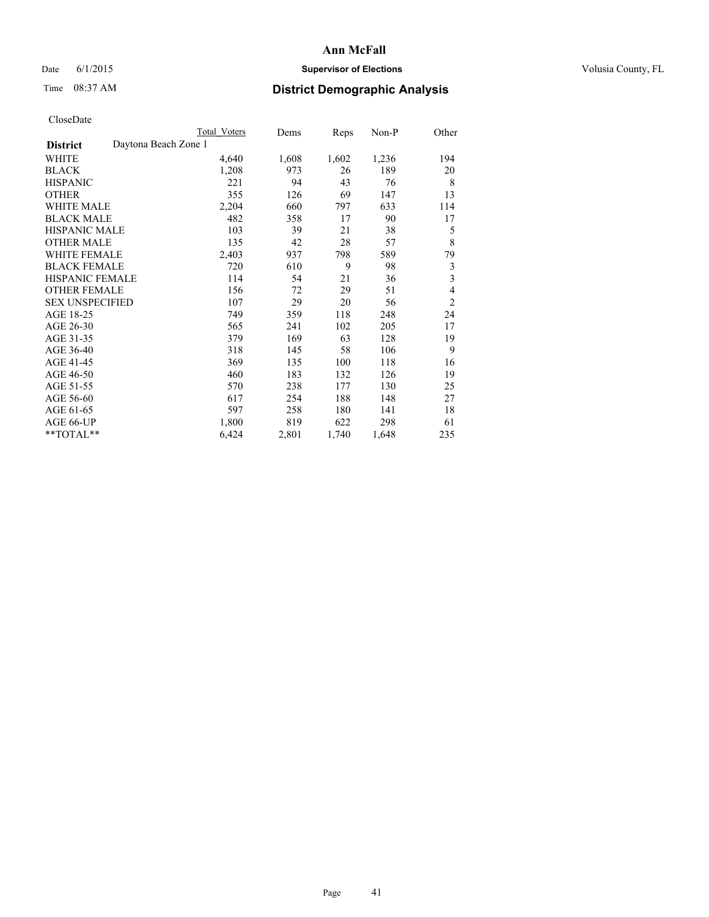## Date 6/1/2015 **Supervisor of Elections Supervisor of Elections** Volusia County, FL

# Time 08:37 AM **District Demographic Analysis**

|                                         | <b>Total Voters</b> | Dems  | Reps  | Non-P | Other                   |
|-----------------------------------------|---------------------|-------|-------|-------|-------------------------|
| Daytona Beach Zone 1<br><b>District</b> |                     |       |       |       |                         |
| WHITE                                   | 4,640               | 1,608 | 1,602 | 1,236 | 194                     |
| <b>BLACK</b>                            | 1,208               | 973   | 26    | 189   | 20                      |
| <b>HISPANIC</b>                         | 221                 | 94    | 43    | 76    | 8                       |
| <b>OTHER</b>                            | 355                 | 126   | 69    | 147   | 13                      |
| WHITE MALE                              | 2,204               | 660   | 797   | 633   | 114                     |
| <b>BLACK MALE</b>                       | 482                 | 358   | 17    | 90    | 17                      |
| HISPANIC MALE                           | 103                 | 39    | 21    | 38    | 5                       |
| <b>OTHER MALE</b>                       | 135                 | 42    | 28    | 57    | 8                       |
| WHITE FEMALE                            | 2,403               | 937   | 798   | 589   | 79                      |
| <b>BLACK FEMALE</b>                     | 720                 | 610   | 9     | 98    | 3                       |
| <b>HISPANIC FEMALE</b>                  | 114                 | 54    | 21    | 36    | $\overline{\mathbf{3}}$ |
| <b>OTHER FEMALE</b>                     | 156                 | 72    | 29    | 51    | 4                       |
| <b>SEX UNSPECIFIED</b>                  | 107                 | 29    | 20    | 56    | $\overline{c}$          |
| AGE 18-25                               | 749                 | 359   | 118   | 248   | 24                      |
| AGE 26-30                               | 565                 | 241   | 102   | 205   | 17                      |
| AGE 31-35                               | 379                 | 169   | 63    | 128   | 19                      |
| AGE 36-40                               | 318                 | 145   | 58    | 106   | 9                       |
| AGE 41-45                               | 369                 | 135   | 100   | 118   | 16                      |
| AGE 46-50                               | 460                 | 183   | 132   | 126   | 19                      |
| AGE 51-55                               | 570                 | 238   | 177   | 130   | 25                      |
| AGE 56-60                               | 617                 | 254   | 188   | 148   | 27                      |
| AGE 61-65                               | 597                 | 258   | 180   | 141   | 18                      |
| AGE 66-UP                               | 1,800               | 819   | 622   | 298   | 61                      |
| **TOTAL**                               | 6,424               | 2,801 | 1,740 | 1,648 | 235                     |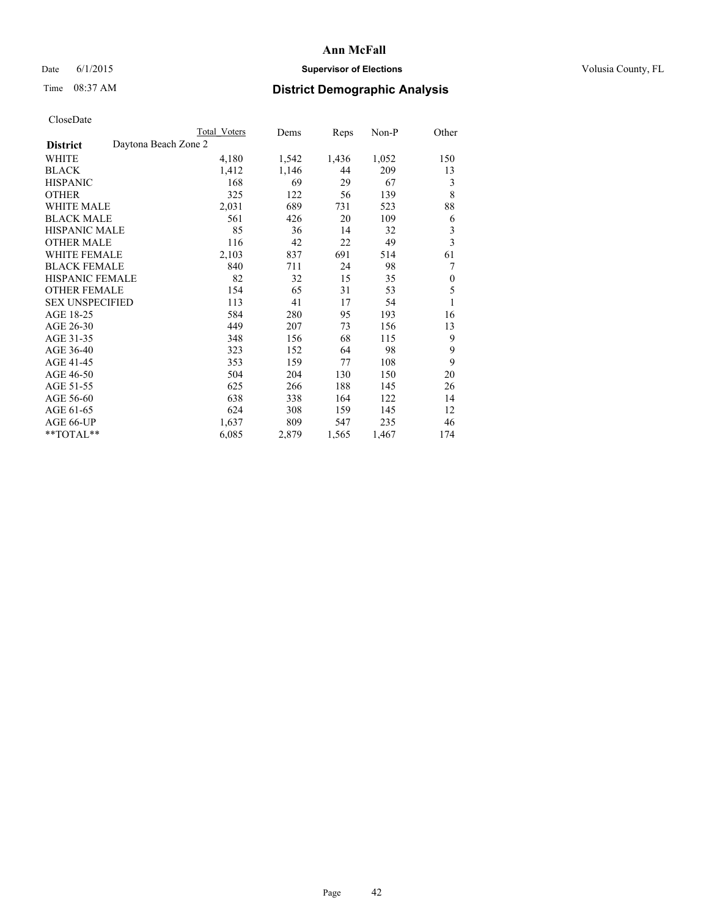## Date 6/1/2015 **Supervisor of Elections Supervisor of Elections** Volusia County, FL

# Time 08:37 AM **District Demographic Analysis**

|                                         | Total Voters | Dems  | Reps  | Non-P | Other            |
|-----------------------------------------|--------------|-------|-------|-------|------------------|
| Daytona Beach Zone 2<br><b>District</b> |              |       |       |       |                  |
| WHITE                                   | 4,180        | 1,542 | 1,436 | 1,052 | 150              |
| <b>BLACK</b>                            | 1,412        | 1,146 | 44    | 209   | 13               |
| <b>HISPANIC</b>                         | 168          | 69    | 29    | 67    | 3                |
| <b>OTHER</b>                            | 325          | 122   | 56    | 139   | 8                |
| <b>WHITE MALE</b>                       | 2,031        | 689   | 731   | 523   | 88               |
| <b>BLACK MALE</b>                       | 561          | 426   | 20    | 109   | 6                |
| <b>HISPANIC MALE</b>                    | 85           | 36    | 14    | 32    | 3                |
| <b>OTHER MALE</b>                       | 116          | 42    | 22    | 49    | 3                |
| <b>WHITE FEMALE</b>                     | 2,103        | 837   | 691   | 514   | 61               |
| <b>BLACK FEMALE</b>                     | 840          | 711   | 24    | 98    | 7                |
| <b>HISPANIC FEMALE</b>                  | 82           | 32    | 15    | 35    | $\boldsymbol{0}$ |
| <b>OTHER FEMALE</b>                     | 154          | 65    | 31    | 53    | 5                |
| <b>SEX UNSPECIFIED</b>                  | 113          | 41    | 17    | 54    | 1                |
| AGE 18-25                               | 584          | 280   | 95    | 193   | 16               |
| AGE 26-30                               | 449          | 207   | 73    | 156   | 13               |
| AGE 31-35                               | 348          | 156   | 68    | 115   | 9                |
| AGE 36-40                               | 323          | 152   | 64    | 98    | 9                |
| AGE 41-45                               | 353          | 159   | 77    | 108   | 9                |
| AGE 46-50                               | 504          | 204   | 130   | 150   | 20               |
| AGE 51-55                               | 625          | 266   | 188   | 145   | 26               |
| AGE 56-60                               | 638          | 338   | 164   | 122   | 14               |
| AGE 61-65                               | 624          | 308   | 159   | 145   | 12               |
| AGE 66-UP                               | 1,637        | 809   | 547   | 235   | 46               |
| **TOTAL**                               | 6,085        | 2,879 | 1,565 | 1,467 | 174              |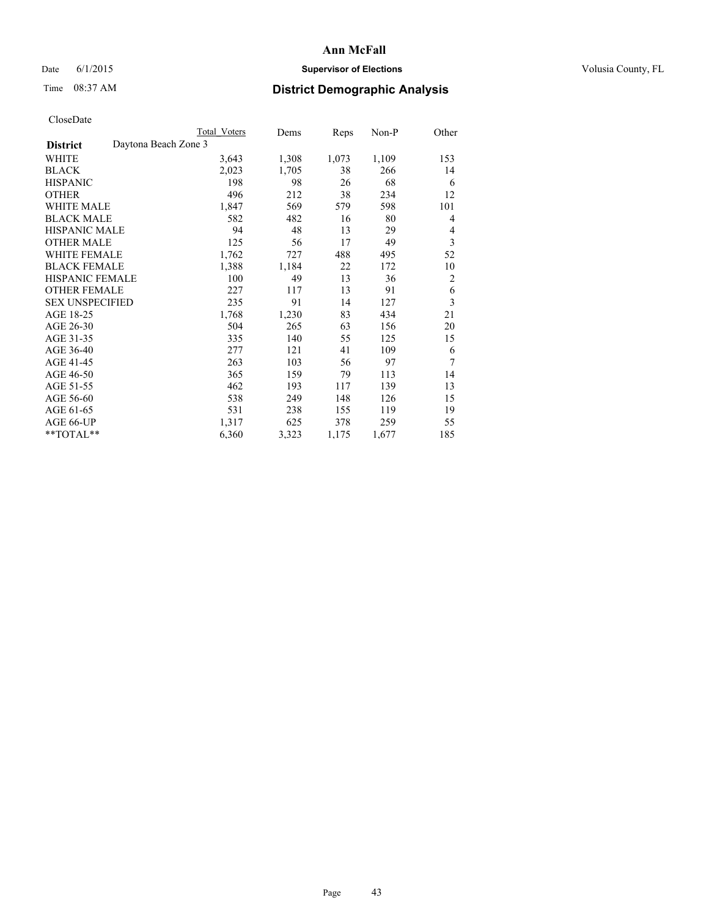## Date 6/1/2015 **Supervisor of Elections Supervisor of Elections** Volusia County, FL

## Time 08:37 AM **District Demographic Analysis**

|                                         | <b>Total Voters</b> | Dems  | Reps  | Non-P | Other          |
|-----------------------------------------|---------------------|-------|-------|-------|----------------|
| Daytona Beach Zone 3<br><b>District</b> |                     |       |       |       |                |
| WHITE                                   | 3,643               | 1,308 | 1,073 | 1,109 | 153            |
| <b>BLACK</b>                            | 2,023               | 1,705 | 38    | 266   | 14             |
| <b>HISPANIC</b>                         | 198                 | 98    | 26    | 68    | 6              |
| OTHER                                   | 496                 | 212   | 38    | 234   | 12             |
| <b>WHITE MALE</b>                       | 1,847               | 569   | 579   | 598   | 101            |
| <b>BLACK MALE</b>                       | 582                 | 482   | 16    | 80    | 4              |
| <b>HISPANIC MALE</b>                    | 94                  | 48    | 13    | 29    | 4              |
| <b>OTHER MALE</b>                       | 125                 | 56    | 17    | 49    | 3              |
| <b>WHITE FEMALE</b>                     | 1,762               | 727   | 488   | 495   | 52             |
| <b>BLACK FEMALE</b>                     | 1,388               | 1,184 | 22    | 172   | 10             |
| <b>HISPANIC FEMALE</b>                  | 100                 | 49    | 13    | 36    | $\overline{2}$ |
| <b>OTHER FEMALE</b>                     | 227                 | 117   | 13    | 91    | 6              |
| <b>SEX UNSPECIFIED</b>                  | 235                 | 91    | 14    | 127   | 3              |
| AGE 18-25                               | 1,768               | 1,230 | 83    | 434   | 21             |
| AGE 26-30                               | 504                 | 265   | 63    | 156   | 20             |
| AGE 31-35                               | 335                 | 140   | 55    | 125   | 15             |
| AGE 36-40                               | 277                 | 121   | 41    | 109   | 6              |
| AGE 41-45                               | 263                 | 103   | 56    | 97    | 7              |
| AGE 46-50                               | 365                 | 159   | 79    | 113   | 14             |
| AGE 51-55                               | 462                 | 193   | 117   | 139   | 13             |
| AGE 56-60                               | 538                 | 249   | 148   | 126   | 15             |
| AGE 61-65                               | 531                 | 238   | 155   | 119   | 19             |
| AGE 66-UP                               | 1,317               | 625   | 378   | 259   | 55             |
| **TOTAL**                               | 6,360               | 3,323 | 1,175 | 1,677 | 185            |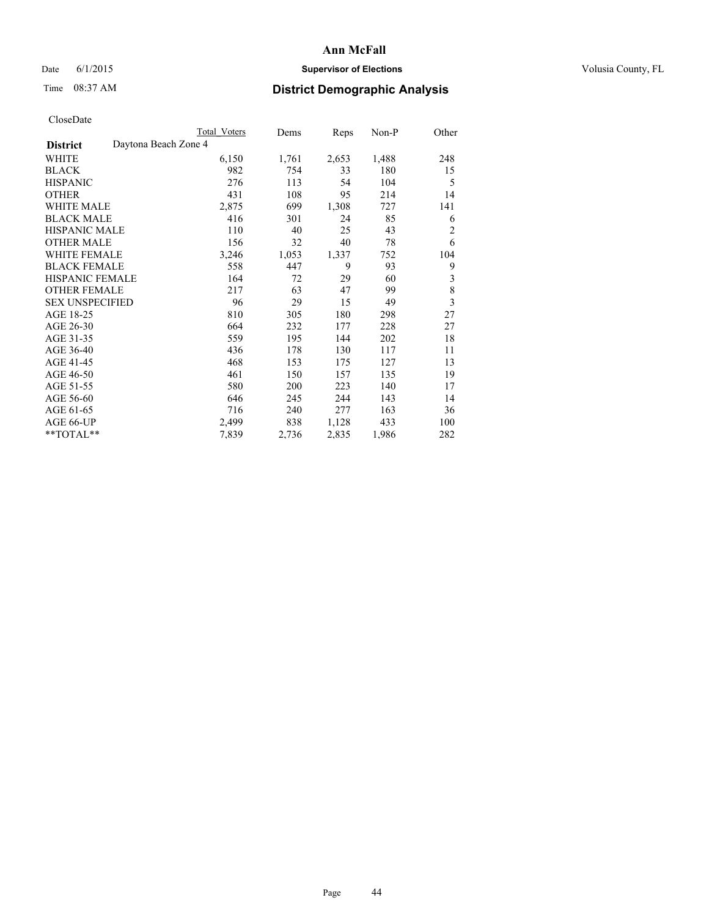## Date 6/1/2015 **Supervisor of Elections Supervisor of Elections** Volusia County, FL

## Time 08:37 AM **District Demographic Analysis**

|                                         | Total Voters | Dems  | Reps  | Non-P | Other                   |
|-----------------------------------------|--------------|-------|-------|-------|-------------------------|
| Daytona Beach Zone 4<br><b>District</b> |              |       |       |       |                         |
| WHITE                                   | 6,150        | 1,761 | 2,653 | 1,488 | 248                     |
| <b>BLACK</b>                            | 982          | 754   | 33    | 180   | 15                      |
| <b>HISPANIC</b>                         | 276          | 113   | 54    | 104   | 5                       |
| <b>OTHER</b>                            | 431          | 108   | 95    | 214   | 14                      |
| WHITE MALE                              | 2,875        | 699   | 1,308 | 727   | 141                     |
| <b>BLACK MALE</b>                       | 416          | 301   | 24    | 85    | 6                       |
| HISPANIC MALE                           | 110          | 40    | 25    | 43    | $\overline{2}$          |
| <b>OTHER MALE</b>                       | 156          | 32    | 40    | 78    | 6                       |
| WHITE FEMALE                            | 3,246        | 1,053 | 1,337 | 752   | 104                     |
| <b>BLACK FEMALE</b>                     | 558          | 447   | 9     | 93    | 9                       |
| <b>HISPANIC FEMALE</b>                  | 164          | 72    | 29    | 60    | 3                       |
| <b>OTHER FEMALE</b>                     | 217          | 63    | 47    | 99    | 8                       |
| <b>SEX UNSPECIFIED</b>                  | 96           | 29    | 15    | 49    | $\overline{\mathbf{3}}$ |
| AGE 18-25                               | 810          | 305   | 180   | 298   | 27                      |
| AGE 26-30                               | 664          | 232   | 177   | 228   | 27                      |
| AGE 31-35                               | 559          | 195   | 144   | 202   | 18                      |
| AGE 36-40                               | 436          | 178   | 130   | 117   | 11                      |
| AGE 41-45                               | 468          | 153   | 175   | 127   | 13                      |
| AGE 46-50                               | 461          | 150   | 157   | 135   | 19                      |
| AGE 51-55                               | 580          | 200   | 223   | 140   | 17                      |
| AGE 56-60                               | 646          | 245   | 244   | 143   | 14                      |
| AGE 61-65                               | 716          | 240   | 277   | 163   | 36                      |
| AGE 66-UP                               | 2,499        | 838   | 1,128 | 433   | 100                     |
| **TOTAL**                               | 7,839        | 2,736 | 2,835 | 1,986 | 282                     |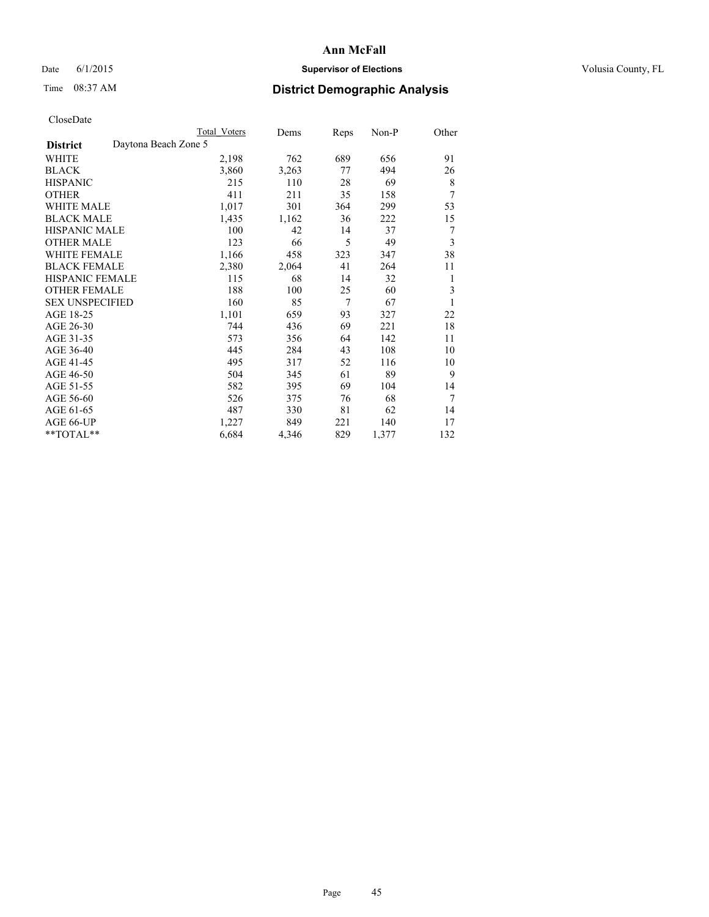## Date 6/1/2015 **Supervisor of Elections Supervisor of Elections** Volusia County, FL

# Time 08:37 AM **District Demographic Analysis**

|                                         | <b>Total Voters</b> | Dems  | Reps | Non-P | Other |
|-----------------------------------------|---------------------|-------|------|-------|-------|
| Daytona Beach Zone 5<br><b>District</b> |                     |       |      |       |       |
| WHITE                                   | 2,198               | 762   | 689  | 656   | 91    |
| <b>BLACK</b>                            | 3,860               | 3,263 | 77   | 494   | 26    |
| <b>HISPANIC</b>                         | 215                 | 110   | 28   | 69    | 8     |
| <b>OTHER</b>                            | 411                 | 211   | 35   | 158   | 7     |
| <b>WHITE MALE</b>                       | 1,017               | 301   | 364  | 299   | 53    |
| <b>BLACK MALE</b>                       | 1,435               | 1,162 | 36   | 222   | 15    |
| HISPANIC MALE                           | 100                 | 42    | 14   | 37    | 7     |
| <b>OTHER MALE</b>                       | 123                 | 66    | 5    | 49    | 3     |
| <b>WHITE FEMALE</b>                     | 1,166               | 458   | 323  | 347   | 38    |
| <b>BLACK FEMALE</b>                     | 2,380               | 2,064 | 41   | 264   | 11    |
| <b>HISPANIC FEMALE</b>                  | 115                 | 68    | 14   | 32    | 1     |
| <b>OTHER FEMALE</b>                     | 188                 | 100   | 25   | 60    | 3     |
| <b>SEX UNSPECIFIED</b>                  | 160                 | 85    | 7    | 67    | 1     |
| AGE 18-25                               | 1,101               | 659   | 93   | 327   | 22    |
| AGE 26-30                               | 744                 | 436   | 69   | 221   | 18    |
| AGE 31-35                               | 573                 | 356   | 64   | 142   | 11    |
| AGE 36-40                               | 445                 | 284   | 43   | 108   | 10    |
| AGE 41-45                               | 495                 | 317   | 52   | 116   | 10    |
| AGE 46-50                               | 504                 | 345   | 61   | 89    | 9     |
| AGE 51-55                               | 582                 | 395   | 69   | 104   | 14    |
| AGE 56-60                               | 526                 | 375   | 76   | 68    | 7     |
| AGE 61-65                               | 487                 | 330   | 81   | 62    | 14    |
| AGE 66-UP                               | 1,227               | 849   | 221  | 140   | 17    |
| **TOTAL**                               | 6,684               | 4,346 | 829  | 1,377 | 132   |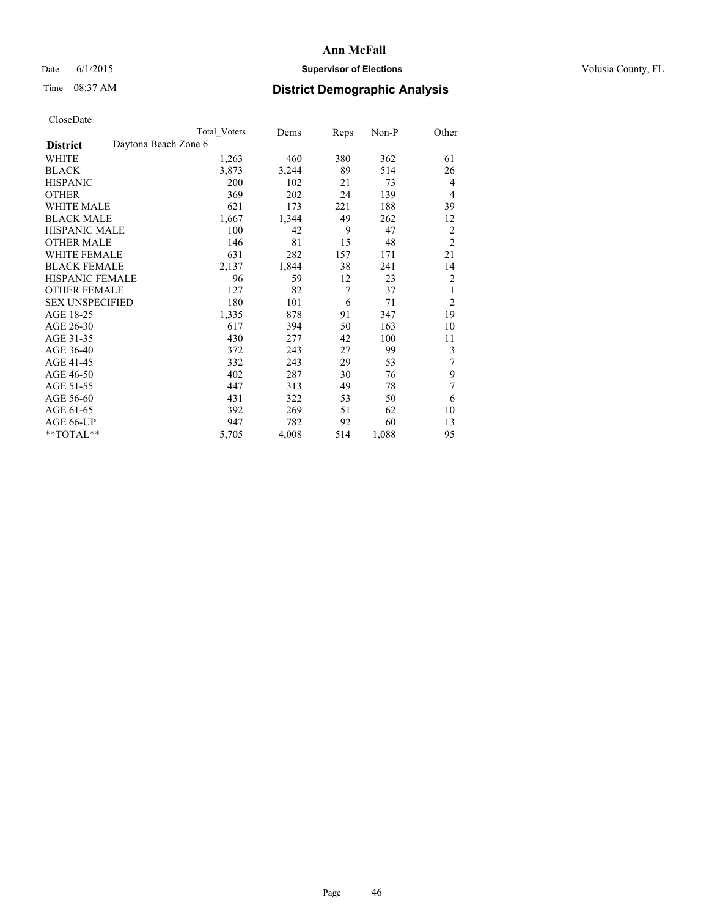## Date 6/1/2015 **Supervisor of Elections Supervisor of Elections** Volusia County, FL

## Time 08:37 AM **District Demographic Analysis**

|                                         | Total Voters | Dems  | <b>Reps</b> | Non-P | Other          |
|-----------------------------------------|--------------|-------|-------------|-------|----------------|
| Daytona Beach Zone 6<br><b>District</b> |              |       |             |       |                |
| WHITE                                   | 1,263        | 460   | 380         | 362   | 61             |
| <b>BLACK</b>                            | 3,873        | 3,244 | 89          | 514   | 26             |
| <b>HISPANIC</b>                         | 200          | 102   | 21          | 73    | 4              |
| <b>OTHER</b>                            | 369          | 202   | 24          | 139   | 4              |
| <b>WHITE MALE</b>                       | 621          | 173   | 221         | 188   | 39             |
| <b>BLACK MALE</b>                       | 1,667        | 1,344 | 49          | 262   | 12             |
| <b>HISPANIC MALE</b>                    | 100          | 42    | 9           | 47    | $\overline{c}$ |
| <b>OTHER MALE</b>                       | 146          | 81    | 15          | 48    | $\overline{c}$ |
| <b>WHITE FEMALE</b>                     | 631          | 282   | 157         | 171   | 21             |
| <b>BLACK FEMALE</b>                     | 2,137        | 1,844 | 38          | 241   | 14             |
| <b>HISPANIC FEMALE</b>                  | 96           | 59    | 12          | 23    | $\overline{2}$ |
| <b>OTHER FEMALE</b>                     | 127          | 82    | 7           | 37    | 1              |
| <b>SEX UNSPECIFIED</b>                  | 180          | 101   | 6           | 71    | $\overline{2}$ |
| AGE 18-25                               | 1,335        | 878   | 91          | 347   | 19             |
| AGE 26-30                               | 617          | 394   | 50          | 163   | 10             |
| AGE 31-35                               | 430          | 277   | 42          | 100   | 11             |
| AGE 36-40                               | 372          | 243   | 27          | 99    | 3              |
| AGE 41-45                               | 332          | 243   | 29          | 53    | 7              |
| AGE 46-50                               | 402          | 287   | 30          | 76    | 9              |
| AGE 51-55                               | 447          | 313   | 49          | 78    | 7              |
| AGE 56-60                               | 431          | 322   | 53          | 50    | 6              |
| AGE 61-65                               | 392          | 269   | 51          | 62    | 10             |
| AGE 66-UP                               | 947          | 782   | 92          | 60    | 13             |
| **TOTAL**                               | 5,705        | 4,008 | 514         | 1,088 | 95             |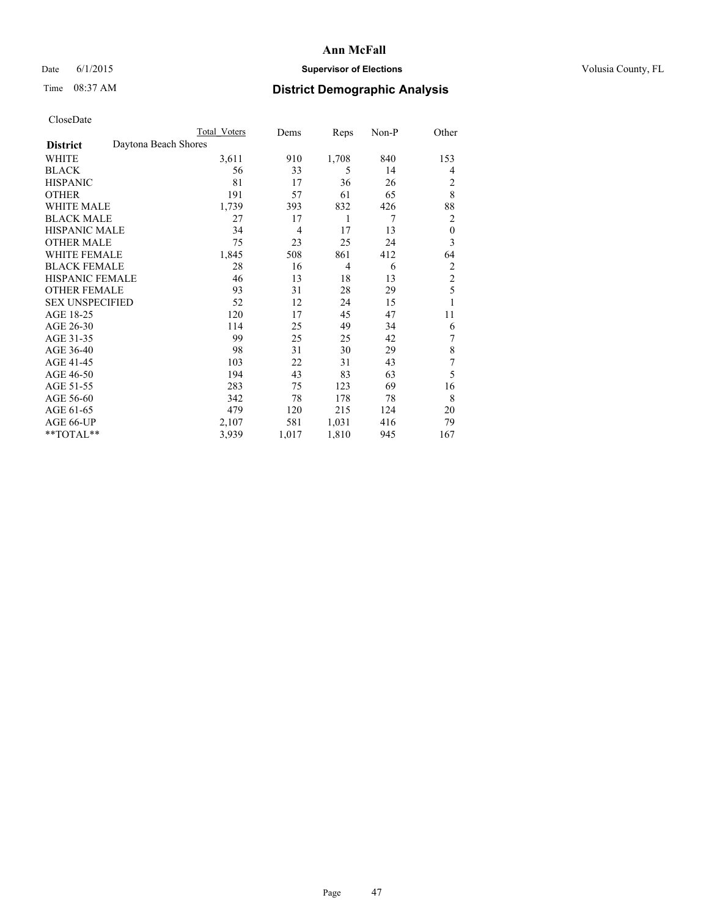## Date 6/1/2015 **Supervisor of Elections Supervisor of Elections** Volusia County, FL

# Time 08:37 AM **District Demographic Analysis**

|                        | <b>Total Voters</b>  | Dems  | Reps  | Non-P | Other            |
|------------------------|----------------------|-------|-------|-------|------------------|
| <b>District</b>        | Daytona Beach Shores |       |       |       |                  |
| WHITE                  | 3,611                | 910   | 1,708 | 840   | 153              |
| <b>BLACK</b>           | 56                   | 33    | 5     | 14    | 4                |
| <b>HISPANIC</b>        | 81                   | 17    | 36    | 26    | 2                |
| <b>OTHER</b>           | 191                  | 57    | 61    | 65    | 8                |
| WHITE MALE             | 1,739                | 393   | 832   | 426   | 88               |
| <b>BLACK MALE</b>      | 27                   | 17    | 1     | 7     | 2                |
| <b>HISPANIC MALE</b>   | 34                   | 4     | 17    | 13    | $\boldsymbol{0}$ |
| <b>OTHER MALE</b>      | 75                   | 23    | 25    | 24    | 3                |
| WHITE FEMALE           | 1,845                | 508   | 861   | 412   | 64               |
| <b>BLACK FEMALE</b>    | 28                   | 16    | 4     | 6     | $\overline{2}$   |
| <b>HISPANIC FEMALE</b> | 46                   | 13    | 18    | 13    | $\overline{2}$   |
| <b>OTHER FEMALE</b>    | 93                   | 31    | 28    | 29    | 5                |
| <b>SEX UNSPECIFIED</b> | 52                   | 12    | 24    | 15    | 1                |
| AGE 18-25              | 120                  | 17    | 45    | 47    | 11               |
| AGE 26-30              | 114                  | 25    | 49    | 34    | 6                |
| AGE 31-35              | 99                   | 25    | 25    | 42    | 7                |
| AGE 36-40              | 98                   | 31    | 30    | 29    | 8                |
| AGE 41-45              | 103                  | 22    | 31    | 43    | 7                |
| AGE 46-50              | 194                  | 43    | 83    | 63    | 5                |
| AGE 51-55              | 283                  | 75    | 123   | 69    | 16               |
| AGE 56-60              | 342                  | 78    | 178   | 78    | 8                |
| AGE 61-65              | 479                  | 120   | 215   | 124   | 20               |
| AGE 66-UP              | 2,107                | 581   | 1,031 | 416   | 79               |
| **TOTAL**              | 3,939                | 1,017 | 1,810 | 945   | 167              |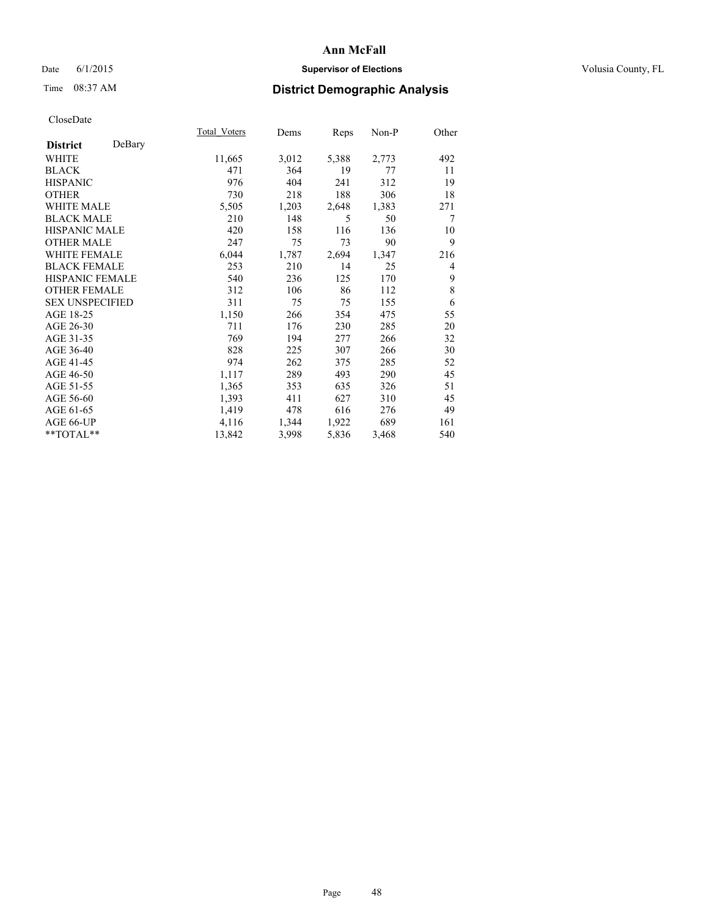## Date 6/1/2015 **Supervisor of Elections Supervisor of Elections** Volusia County, FL

## Time 08:37 AM **District Demographic Analysis**

|                        |        | <b>Total Voters</b> | Dems  | Reps  | $Non-P$ | Other |
|------------------------|--------|---------------------|-------|-------|---------|-------|
| <b>District</b>        | DeBary |                     |       |       |         |       |
| WHITE                  |        | 11,665              | 3,012 | 5,388 | 2,773   | 492   |
| <b>BLACK</b>           |        | 471                 | 364   | 19    | 77      | 11    |
| <b>HISPANIC</b>        |        | 976                 | 404   | 241   | 312     | 19    |
| <b>OTHER</b>           |        | 730                 | 218   | 188   | 306     | 18    |
| WHITE MALE             |        | 5,505               | 1,203 | 2,648 | 1,383   | 271   |
| <b>BLACK MALE</b>      |        | 210                 | 148   | 5     | 50      | 7     |
| <b>HISPANIC MALE</b>   |        | 420                 | 158   | 116   | 136     | 10    |
| OTHER MALE             |        | 247                 | 75    | 73    | 90      | 9     |
| <b>WHITE FEMALE</b>    |        | 6,044               | 1,787 | 2,694 | 1,347   | 216   |
| <b>BLACK FEMALE</b>    |        | 253                 | 210   | 14    | 25      | 4     |
| HISPANIC FEMALE        |        | 540                 | 236   | 125   | 170     | 9     |
| <b>OTHER FEMALE</b>    |        | 312                 | 106   | 86    | 112     | 8     |
| <b>SEX UNSPECIFIED</b> |        | 311                 | 75    | 75    | 155     | 6     |
| AGE 18-25              |        | 1,150               | 266   | 354   | 475     | 55    |
| AGE 26-30              |        | 711                 | 176   | 230   | 285     | 20    |
| AGE 31-35              |        | 769                 | 194   | 277   | 266     | 32    |
| AGE 36-40              |        | 828                 | 225   | 307   | 266     | 30    |
| AGE 41-45              |        | 974                 | 262   | 375   | 285     | 52    |
| AGE 46-50              |        | 1,117               | 289   | 493   | 290     | 45    |
| AGE 51-55              |        | 1,365               | 353   | 635   | 326     | 51    |
| AGE 56-60              |        | 1,393               | 411   | 627   | 310     | 45    |
| AGE 61-65              |        | 1,419               | 478   | 616   | 276     | 49    |
| AGE 66-UP              |        | 4,116               | 1,344 | 1,922 | 689     | 161   |
| $*$ $TOTAL**$          |        | 13,842              | 3,998 | 5,836 | 3,468   | 540   |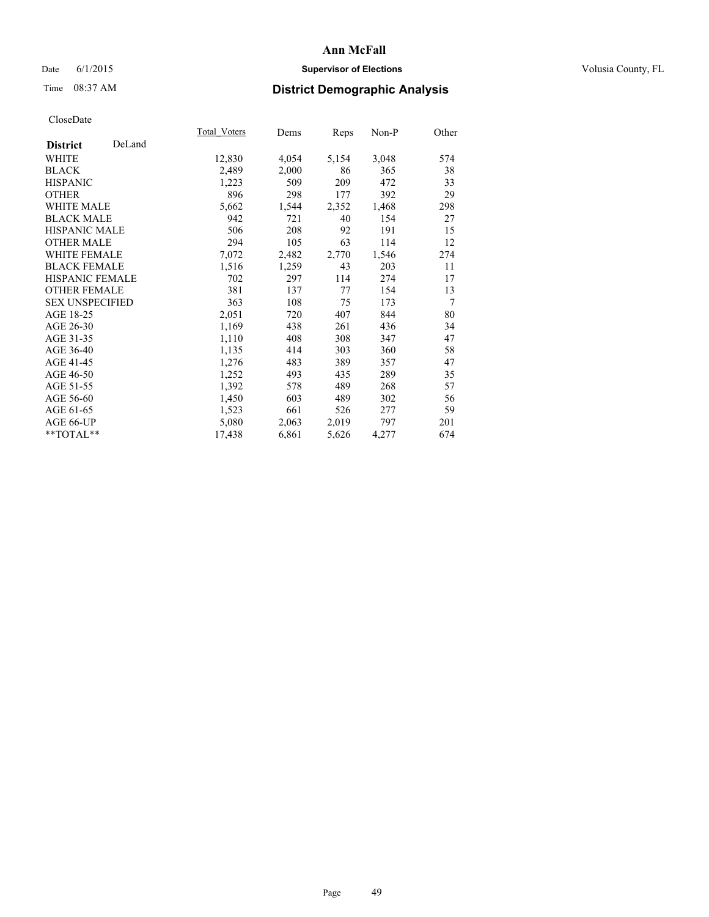## Date 6/1/2015 **Supervisor of Elections Supervisor of Elections** Volusia County, FL

## Time 08:37 AM **District Demographic Analysis**

|                        |        | <b>Total Voters</b> | Dems  | Reps  | Non-P | Other |
|------------------------|--------|---------------------|-------|-------|-------|-------|
| <b>District</b>        | DeLand |                     |       |       |       |       |
| <b>WHITE</b>           |        | 12,830              | 4,054 | 5,154 | 3,048 | 574   |
| <b>BLACK</b>           |        | 2,489               | 2,000 | 86    | 365   | 38    |
| <b>HISPANIC</b>        |        | 1,223               | 509   | 209   | 472   | 33    |
| <b>OTHER</b>           |        | 896                 | 298   | 177   | 392   | 29    |
| WHITE MALE             |        | 5,662               | 1,544 | 2,352 | 1,468 | 298   |
| <b>BLACK MALE</b>      |        | 942                 | 721   | 40    | 154   | 27    |
| <b>HISPANIC MALE</b>   |        | 506                 | 208   | 92    | 191   | 15    |
| <b>OTHER MALE</b>      |        | 294                 | 105   | 63    | 114   | 12    |
| <b>WHITE FEMALE</b>    |        | 7,072               | 2,482 | 2,770 | 1,546 | 274   |
| <b>BLACK FEMALE</b>    |        | 1,516               | 1,259 | 43    | 203   | 11    |
| HISPANIC FEMALE        |        | 702                 | 297   | 114   | 274   | 17    |
| <b>OTHER FEMALE</b>    |        | 381                 | 137   | 77    | 154   | 13    |
| <b>SEX UNSPECIFIED</b> |        | 363                 | 108   | 75    | 173   | 7     |
| AGE 18-25              |        | 2,051               | 720   | 407   | 844   | 80    |
| AGE 26-30              |        | 1,169               | 438   | 261   | 436   | 34    |
| AGE 31-35              |        | 1,110               | 408   | 308   | 347   | 47    |
| AGE 36-40              |        | 1,135               | 414   | 303   | 360   | 58    |
| AGE 41-45              |        | 1,276               | 483   | 389   | 357   | 47    |
| AGE 46-50              |        | 1,252               | 493   | 435   | 289   | 35    |
| AGE 51-55              |        | 1,392               | 578   | 489   | 268   | 57    |
| AGE 56-60              |        | 1,450               | 603   | 489   | 302   | 56    |
| AGE 61-65              |        | 1,523               | 661   | 526   | 277   | 59    |
| AGE 66-UP              |        | 5,080               | 2,063 | 2,019 | 797   | 201   |
| $*$ TOTAL $*$          |        | 17,438              | 6,861 | 5,626 | 4,277 | 674   |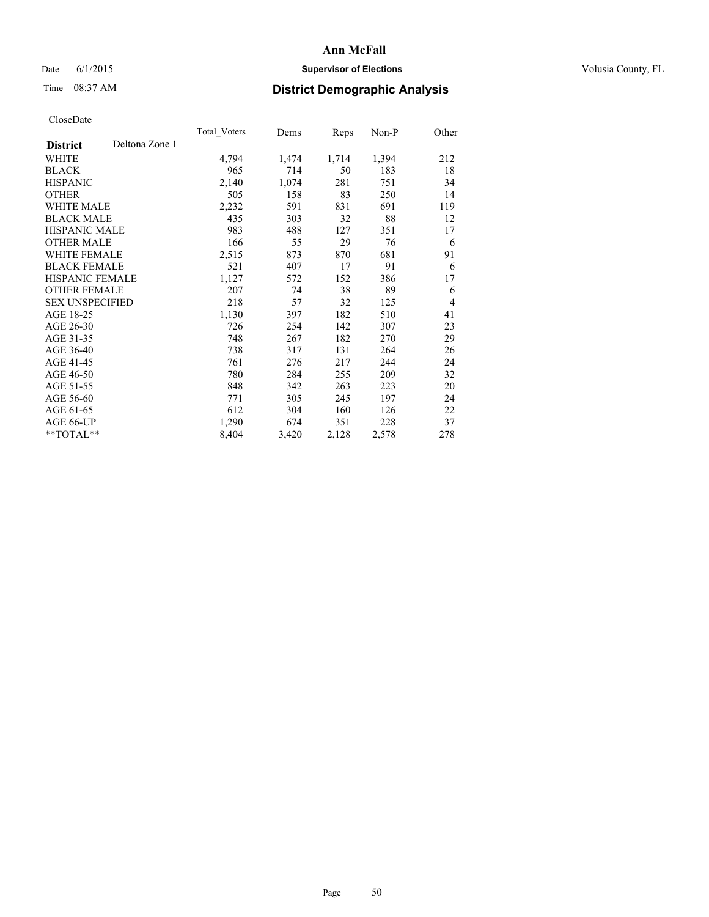## Date 6/1/2015 **Supervisor of Elections Supervisor of Elections** Volusia County, FL

## Time 08:37 AM **District Demographic Analysis**

|                        |                | <b>Total Voters</b> | Dems  | Reps  | Non-P | Other          |
|------------------------|----------------|---------------------|-------|-------|-------|----------------|
| <b>District</b>        | Deltona Zone 1 |                     |       |       |       |                |
| WHITE                  |                | 4,794               | 1,474 | 1,714 | 1,394 | 212            |
| <b>BLACK</b>           |                | 965                 | 714   | 50    | 183   | 18             |
| <b>HISPANIC</b>        |                | 2,140               | 1,074 | 281   | 751   | 34             |
| <b>OTHER</b>           |                | 505                 | 158   | 83    | 250   | 14             |
| WHITE MALE             |                | 2,232               | 591   | 831   | 691   | 119            |
| <b>BLACK MALE</b>      |                | 435                 | 303   | 32    | 88    | 12             |
| <b>HISPANIC MALE</b>   |                | 983                 | 488   | 127   | 351   | 17             |
| <b>OTHER MALE</b>      |                | 166                 | 55    | 29    | 76    | 6              |
| WHITE FEMALE           |                | 2,515               | 873   | 870   | 681   | 91             |
| <b>BLACK FEMALE</b>    |                | 521                 | 407   | 17    | 91    | 6              |
| HISPANIC FEMALE        |                | 1,127               | 572   | 152   | 386   | 17             |
| <b>OTHER FEMALE</b>    |                | 207                 | 74    | 38    | 89    | 6              |
| <b>SEX UNSPECIFIED</b> |                | 218                 | 57    | 32    | 125   | $\overline{4}$ |
| AGE 18-25              |                | 1,130               | 397   | 182   | 510   | 41             |
| AGE 26-30              |                | 726                 | 254   | 142   | 307   | 23             |
| AGE 31-35              |                | 748                 | 267   | 182   | 270   | 29             |
| AGE 36-40              |                | 738                 | 317   | 131   | 264   | 26             |
| AGE 41-45              |                | 761                 | 276   | 217   | 244   | 24             |
| AGE 46-50              |                | 780                 | 284   | 255   | 209   | 32             |
| AGE 51-55              |                | 848                 | 342   | 263   | 223   | 20             |
| AGE 56-60              |                | 771                 | 305   | 245   | 197   | 24             |
| AGE 61-65              |                | 612                 | 304   | 160   | 126   | 22             |
| AGE 66-UP              |                | 1,290               | 674   | 351   | 228   | 37             |
| **TOTAL**              |                | 8,404               | 3,420 | 2,128 | 2,578 | 278            |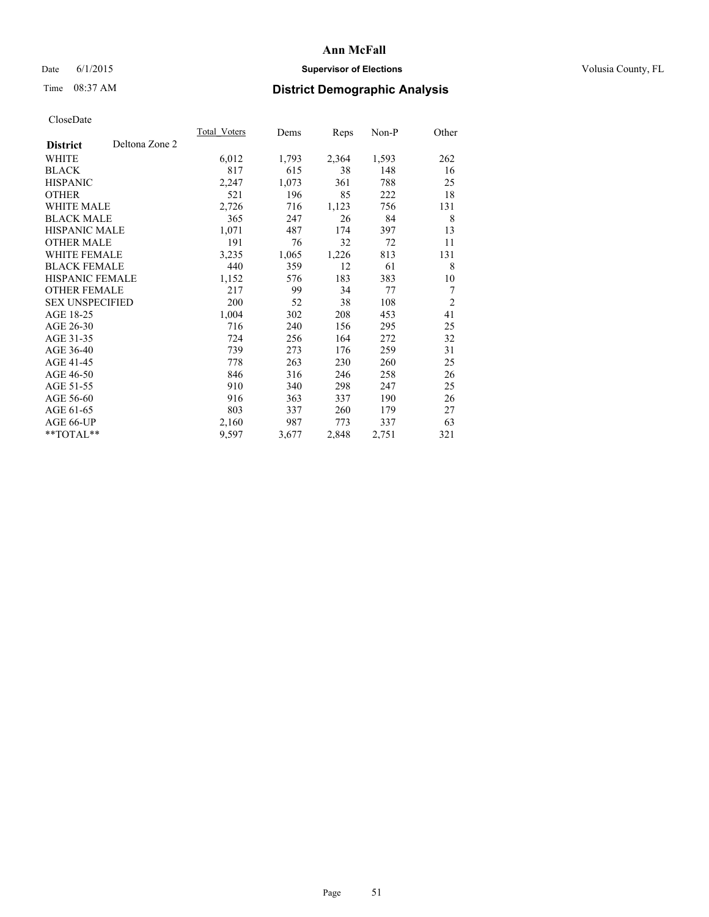## Date 6/1/2015 **Supervisor of Elections Supervisor of Elections** Volusia County, FL

## Time 08:37 AM **District Demographic Analysis**

|                        |                | Total Voters | Dems  | <b>Reps</b> | Non-P | Other          |
|------------------------|----------------|--------------|-------|-------------|-------|----------------|
| <b>District</b>        | Deltona Zone 2 |              |       |             |       |                |
| WHITE                  |                | 6,012        | 1,793 | 2,364       | 1,593 | 262            |
| <b>BLACK</b>           |                | 817          | 615   | 38          | 148   | 16             |
| <b>HISPANIC</b>        |                | 2,247        | 1,073 | 361         | 788   | 25             |
| <b>OTHER</b>           |                | 521          | 196   | 85          | 222   | 18             |
| <b>WHITE MALE</b>      |                | 2,726        | 716   | 1,123       | 756   | 131            |
| <b>BLACK MALE</b>      |                | 365          | 247   | 26          | 84    | 8              |
| <b>HISPANIC MALE</b>   |                | 1,071        | 487   | 174         | 397   | 13             |
| <b>OTHER MALE</b>      |                | 191          | 76    | 32          | 72    | 11             |
| WHITE FEMALE           |                | 3,235        | 1,065 | 1,226       | 813   | 131            |
| <b>BLACK FEMALE</b>    |                | 440          | 359   | 12          | 61    | 8              |
| <b>HISPANIC FEMALE</b> |                | 1,152        | 576   | 183         | 383   | 10             |
| <b>OTHER FEMALE</b>    |                | 217          | 99    | 34          | 77    | $\overline{7}$ |
| <b>SEX UNSPECIFIED</b> |                | 200          | 52    | 38          | 108   | $\overline{2}$ |
| AGE 18-25              |                | 1,004        | 302   | 208         | 453   | 41             |
| AGE 26-30              |                | 716          | 240   | 156         | 295   | 25             |
| AGE 31-35              |                | 724          | 256   | 164         | 272   | 32             |
| AGE 36-40              |                | 739          | 273   | 176         | 259   | 31             |
| AGE 41-45              |                | 778          | 263   | 230         | 260   | 25             |
| AGE 46-50              |                | 846          | 316   | 246         | 258   | 26             |
| AGE 51-55              |                | 910          | 340   | 298         | 247   | 25             |
| AGE 56-60              |                | 916          | 363   | 337         | 190   | 26             |
| AGE 61-65              |                | 803          | 337   | 260         | 179   | 27             |
| AGE 66-UP              |                | 2,160        | 987   | 773         | 337   | 63             |
| **TOTAL**              |                | 9,597        | 3,677 | 2,848       | 2,751 | 321            |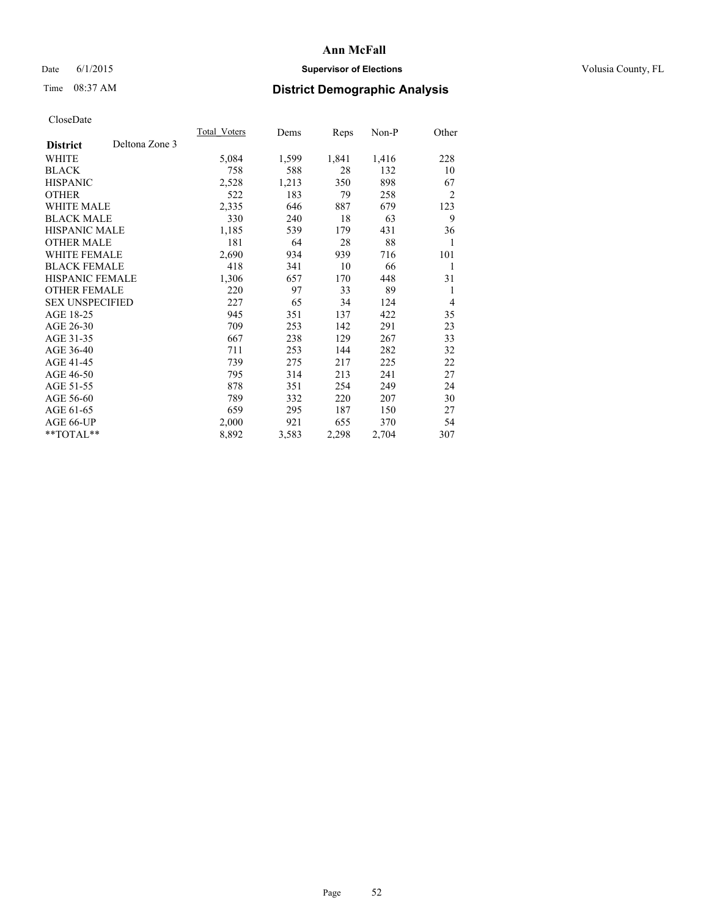## Date 6/1/2015 **Supervisor of Elections Supervisor of Elections** Volusia County, FL

## Time 08:37 AM **District Demographic Analysis**

|                        |                | Total Voters | Dems  | <b>Reps</b> | Non-P | Other          |
|------------------------|----------------|--------------|-------|-------------|-------|----------------|
| <b>District</b>        | Deltona Zone 3 |              |       |             |       |                |
| WHITE                  |                | 5,084        | 1,599 | 1,841       | 1,416 | 228            |
| <b>BLACK</b>           |                | 758          | 588   | 28          | 132   | 10             |
| <b>HISPANIC</b>        |                | 2,528        | 1,213 | 350         | 898   | 67             |
| <b>OTHER</b>           |                | 522          | 183   | 79          | 258   | $\overline{2}$ |
| WHITE MALE             |                | 2,335        | 646   | 887         | 679   | 123            |
| <b>BLACK MALE</b>      |                | 330          | 240   | 18          | 63    | 9              |
| <b>HISPANIC MALE</b>   |                | 1,185        | 539   | 179         | 431   | 36             |
| <b>OTHER MALE</b>      |                | 181          | 64    | 28          | 88    | 1              |
| WHITE FEMALE           |                | 2,690        | 934   | 939         | 716   | 101            |
| <b>BLACK FEMALE</b>    |                | 418          | 341   | 10          | 66    | 1              |
| HISPANIC FEMALE        |                | 1,306        | 657   | 170         | 448   | 31             |
| <b>OTHER FEMALE</b>    |                | 220          | 97    | 33          | 89    | 1              |
| <b>SEX UNSPECIFIED</b> |                | 227          | 65    | 34          | 124   | $\overline{4}$ |
| AGE 18-25              |                | 945          | 351   | 137         | 422   | 35             |
| AGE 26-30              |                | 709          | 253   | 142         | 291   | 23             |
| AGE 31-35              |                | 667          | 238   | 129         | 267   | 33             |
| AGE 36-40              |                | 711          | 253   | 144         | 282   | 32             |
| AGE 41-45              |                | 739          | 275   | 217         | 225   | 22             |
| AGE 46-50              |                | 795          | 314   | 213         | 241   | 27             |
| AGE 51-55              |                | 878          | 351   | 254         | 249   | 24             |
| AGE 56-60              |                | 789          | 332   | 220         | 207   | 30             |
| AGE 61-65              |                | 659          | 295   | 187         | 150   | 27             |
| AGE 66-UP              |                | 2,000        | 921   | 655         | 370   | 54             |
| **TOTAL**              |                | 8,892        | 3,583 | 2,298       | 2,704 | 307            |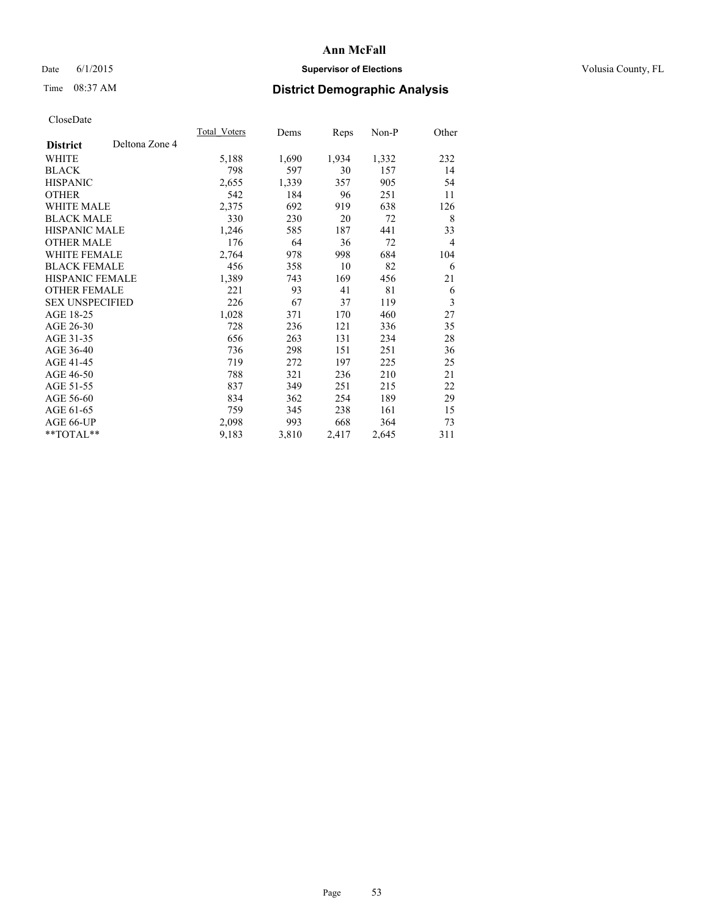## Date 6/1/2015 **Supervisor of Elections Supervisor of Elections** Volusia County, FL

## Time 08:37 AM **District Demographic Analysis**

|                        |                | Total Voters | Dems  | <b>Reps</b> | Non-P | Other          |
|------------------------|----------------|--------------|-------|-------------|-------|----------------|
| <b>District</b>        | Deltona Zone 4 |              |       |             |       |                |
| WHITE                  |                | 5,188        | 1,690 | 1,934       | 1,332 | 232            |
| <b>BLACK</b>           |                | 798          | 597   | 30          | 157   | 14             |
| <b>HISPANIC</b>        |                | 2,655        | 1,339 | 357         | 905   | 54             |
| <b>OTHER</b>           |                | 542          | 184   | 96          | 251   | 11             |
| <b>WHITE MALE</b>      |                | 2,375        | 692   | 919         | 638   | 126            |
| <b>BLACK MALE</b>      |                | 330          | 230   | 20          | 72    | 8              |
| <b>HISPANIC MALE</b>   |                | 1,246        | 585   | 187         | 441   | 33             |
| <b>OTHER MALE</b>      |                | 176          | 64    | 36          | 72    | $\overline{4}$ |
| <b>WHITE FEMALE</b>    |                | 2,764        | 978   | 998         | 684   | 104            |
| <b>BLACK FEMALE</b>    |                | 456          | 358   | 10          | 82    | 6              |
| <b>HISPANIC FEMALE</b> |                | 1,389        | 743   | 169         | 456   | 21             |
| <b>OTHER FEMALE</b>    |                | 221          | 93    | 41          | 81    | 6              |
| <b>SEX UNSPECIFIED</b> |                | 226          | 67    | 37          | 119   | 3              |
| AGE 18-25              |                | 1,028        | 371   | 170         | 460   | 27             |
| AGE 26-30              |                | 728          | 236   | 121         | 336   | 35             |
| AGE 31-35              |                | 656          | 263   | 131         | 234   | 28             |
| AGE 36-40              |                | 736          | 298   | 151         | 251   | 36             |
| AGE 41-45              |                | 719          | 272   | 197         | 225   | 25             |
| AGE 46-50              |                | 788          | 321   | 236         | 210   | 21             |
| AGE 51-55              |                | 837          | 349   | 251         | 215   | 22             |
| AGE 56-60              |                | 834          | 362   | 254         | 189   | 29             |
| AGE 61-65              |                | 759          | 345   | 238         | 161   | 15             |
| AGE 66-UP              |                | 2,098        | 993   | 668         | 364   | 73             |
| **TOTAL**              |                | 9,183        | 3,810 | 2,417       | 2,645 | 311            |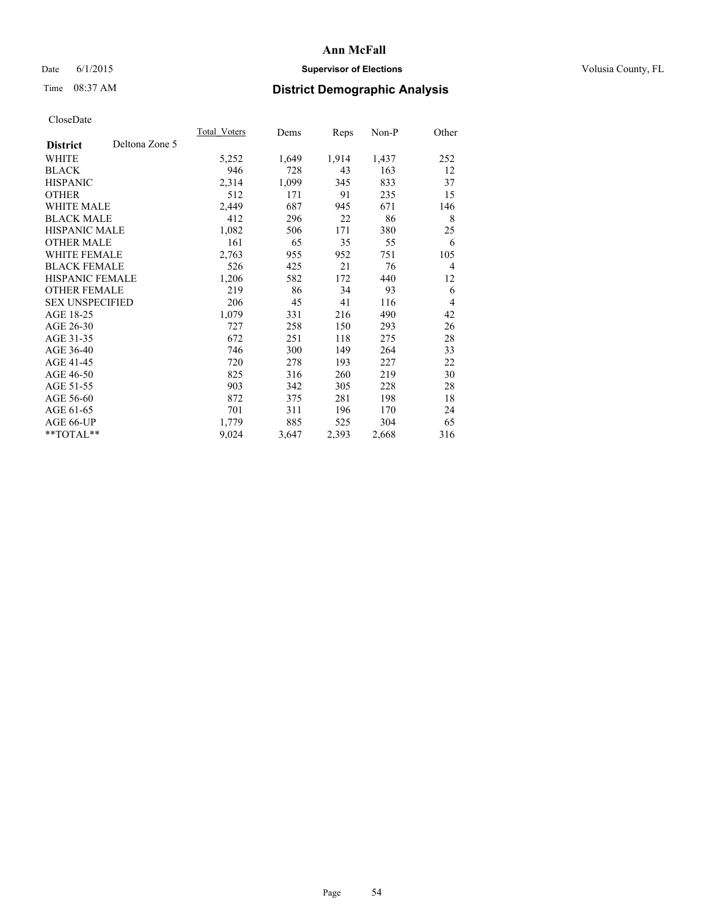## Date 6/1/2015 **Supervisor of Elections Supervisor of Elections** Volusia County, FL

## Time 08:37 AM **District Demographic Analysis**

|                        |                | Total Voters | Dems  | Reps  | Non-P | Other          |
|------------------------|----------------|--------------|-------|-------|-------|----------------|
| <b>District</b>        | Deltona Zone 5 |              |       |       |       |                |
| WHITE                  |                | 5,252        | 1,649 | 1,914 | 1,437 | 252            |
| <b>BLACK</b>           |                | 946          | 728   | 43    | 163   | 12             |
| <b>HISPANIC</b>        |                | 2,314        | 1,099 | 345   | 833   | 37             |
| <b>OTHER</b>           |                | 512          | 171   | 91    | 235   | 15             |
| WHITE MALE             |                | 2,449        | 687   | 945   | 671   | 146            |
| <b>BLACK MALE</b>      |                | 412          | 296   | 22    | 86    | 8              |
| <b>HISPANIC MALE</b>   |                | 1,082        | 506   | 171   | 380   | 25             |
| <b>OTHER MALE</b>      |                | 161          | 65    | 35    | 55    | 6              |
| WHITE FEMALE           |                | 2,763        | 955   | 952   | 751   | 105            |
| <b>BLACK FEMALE</b>    |                | 526          | 425   | 21    | 76    | $\overline{4}$ |
| HISPANIC FEMALE        |                | 1,206        | 582   | 172   | 440   | 12             |
| <b>OTHER FEMALE</b>    |                | 219          | 86    | 34    | 93    | 6              |
| <b>SEX UNSPECIFIED</b> |                | 206          | 45    | 41    | 116   | $\overline{4}$ |
| AGE 18-25              |                | 1,079        | 331   | 216   | 490   | 42             |
| AGE 26-30              |                | 727          | 258   | 150   | 293   | 26             |
| AGE 31-35              |                | 672          | 251   | 118   | 275   | 28             |
| AGE 36-40              |                | 746          | 300   | 149   | 264   | 33             |
| AGE 41-45              |                | 720          | 278   | 193   | 227   | 22             |
| AGE 46-50              |                | 825          | 316   | 260   | 219   | 30             |
| AGE 51-55              |                | 903          | 342   | 305   | 228   | 28             |
| AGE 56-60              |                | 872          | 375   | 281   | 198   | 18             |
| AGE 61-65              |                | 701          | 311   | 196   | 170   | 24             |
| AGE 66-UP              |                | 1,779        | 885   | 525   | 304   | 65             |
| **TOTAL**              |                | 9,024        | 3,647 | 2,393 | 2,668 | 316            |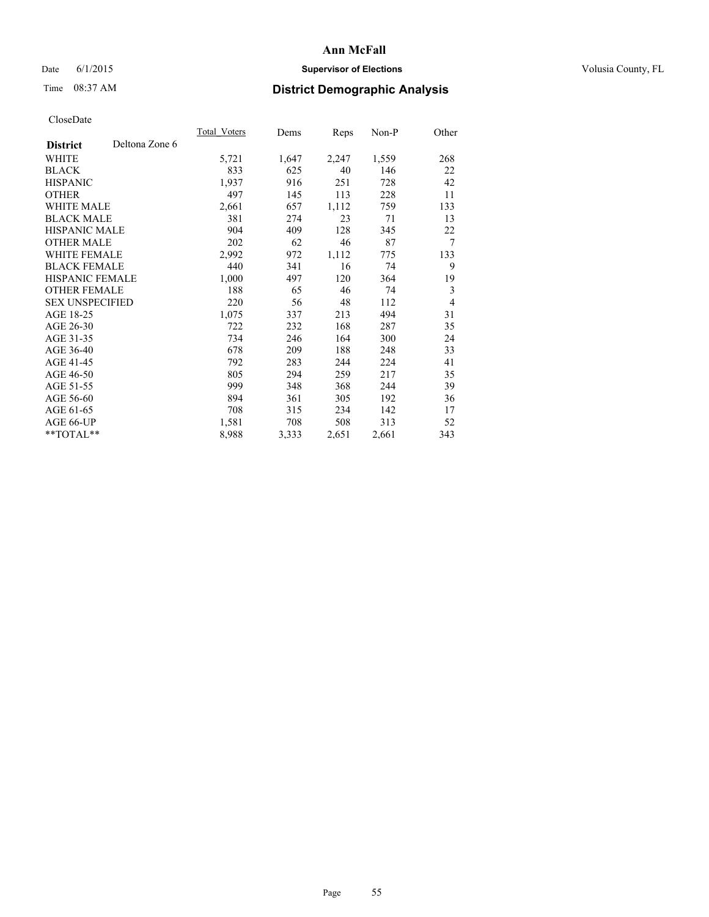## Date 6/1/2015 **Supervisor of Elections Supervisor of Elections** Volusia County, FL

## Time 08:37 AM **District Demographic Analysis**

|                        |                | Total Voters | Dems  | Reps  | Non-P | Other          |
|------------------------|----------------|--------------|-------|-------|-------|----------------|
| <b>District</b>        | Deltona Zone 6 |              |       |       |       |                |
| WHITE                  |                | 5,721        | 1,647 | 2,247 | 1,559 | 268            |
| <b>BLACK</b>           |                | 833          | 625   | 40    | 146   | 22             |
| <b>HISPANIC</b>        |                | 1,937        | 916   | 251   | 728   | 42             |
| <b>OTHER</b>           |                | 497          | 145   | 113   | 228   | 11             |
| WHITE MALE             |                | 2,661        | 657   | 1,112 | 759   | 133            |
| <b>BLACK MALE</b>      |                | 381          | 274   | 23    | 71    | 13             |
| <b>HISPANIC MALE</b>   |                | 904          | 409   | 128   | 345   | 22             |
| <b>OTHER MALE</b>      |                | 202          | 62    | 46    | 87    | $\overline{7}$ |
| WHITE FEMALE           |                | 2,992        | 972   | 1,112 | 775   | 133            |
| <b>BLACK FEMALE</b>    |                | 440          | 341   | 16    | 74    | 9              |
| <b>HISPANIC FEMALE</b> |                | 1,000        | 497   | 120   | 364   | 19             |
| <b>OTHER FEMALE</b>    |                | 188          | 65    | 46    | 74    | 3              |
| <b>SEX UNSPECIFIED</b> |                | 220          | 56    | 48    | 112   | $\overline{4}$ |
| AGE 18-25              |                | 1,075        | 337   | 213   | 494   | 31             |
| AGE 26-30              |                | 722          | 232   | 168   | 287   | 35             |
| AGE 31-35              |                | 734          | 246   | 164   | 300   | 24             |
| AGE 36-40              |                | 678          | 209   | 188   | 248   | 33             |
| AGE 41-45              |                | 792          | 283   | 244   | 224   | 41             |
| AGE 46-50              |                | 805          | 294   | 259   | 217   | 35             |
| AGE 51-55              |                | 999          | 348   | 368   | 244   | 39             |
| AGE 56-60              |                | 894          | 361   | 305   | 192   | 36             |
| AGE 61-65              |                | 708          | 315   | 234   | 142   | 17             |
| AGE 66-UP              |                | 1,581        | 708   | 508   | 313   | 52             |
| **TOTAL**              |                | 8,988        | 3,333 | 2,651 | 2,661 | 343            |
|                        |                |              |       |       |       |                |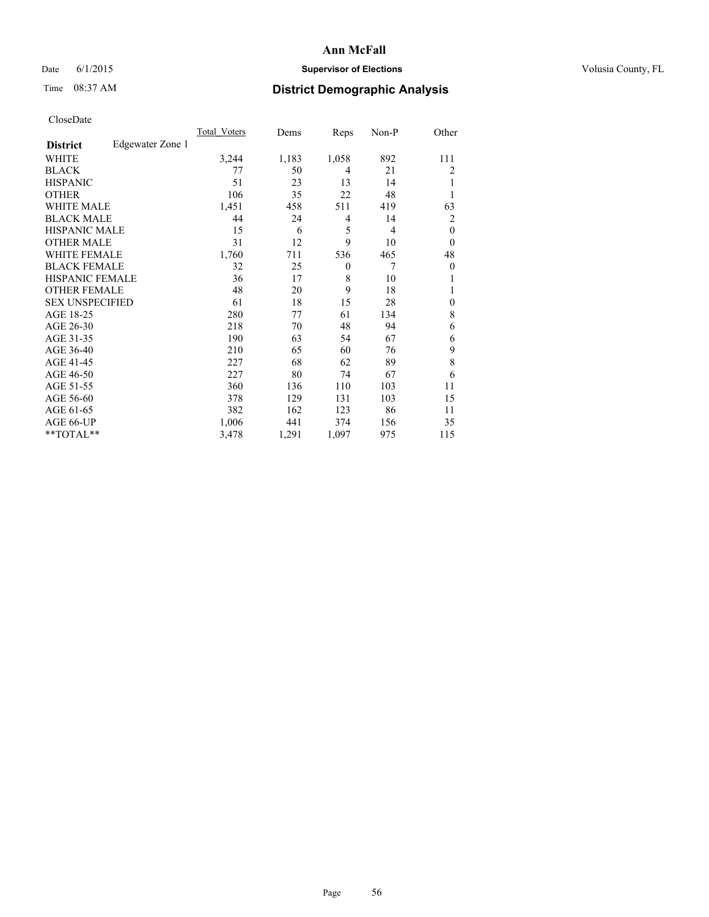## Date 6/1/2015 **Supervisor of Elections Supervisor of Elections** Volusia County, FL

## Time 08:37 AM **District Demographic Analysis**

|                        |                  | Total Voters | Dems  | Reps     | Non-P          | Other        |
|------------------------|------------------|--------------|-------|----------|----------------|--------------|
| <b>District</b>        | Edgewater Zone 1 |              |       |          |                |              |
| WHITE                  |                  | 3,244        | 1,183 | 1,058    | 892            | 111          |
| <b>BLACK</b>           |                  | 77           | 50    | 4        | 21             | 2            |
| <b>HISPANIC</b>        |                  | 51           | 23    | 13       | 14             | 1            |
| <b>OTHER</b>           |                  | 106          | 35    | 22       | 48             |              |
| <b>WHITE MALE</b>      |                  | 1,451        | 458   | 511      | 419            | 63           |
| <b>BLACK MALE</b>      |                  | 44           | 24    | 4        | 14             | 2            |
| <b>HISPANIC MALE</b>   |                  | 15           | 6     | 5        | $\overline{4}$ | $\mathbf{0}$ |
| <b>OTHER MALE</b>      |                  | 31           | 12    | 9        | 10             | $\mathbf{0}$ |
| <b>WHITE FEMALE</b>    |                  | 1,760        | 711   | 536      | 465            | 48           |
| <b>BLACK FEMALE</b>    |                  | 32           | 25    | $\theta$ | 7              | $\theta$     |
| <b>HISPANIC FEMALE</b> |                  | 36           | 17    | 8        | 10             |              |
| <b>OTHER FEMALE</b>    |                  | 48           | 20    | 9        | 18             |              |
| <b>SEX UNSPECIFIED</b> |                  | 61           | 18    | 15       | 28             | $\mathbf{0}$ |
| AGE 18-25              |                  | 280          | 77    | 61       | 134            | 8            |
| AGE 26-30              |                  | 218          | 70    | 48       | 94             | 6            |
| AGE 31-35              |                  | 190          | 63    | 54       | 67             | 6            |
| AGE 36-40              |                  | 210          | 65    | 60       | 76             | 9            |
| AGE 41-45              |                  | 227          | 68    | 62       | 89             | 8            |
| AGE 46-50              |                  | 227          | 80    | 74       | 67             | 6            |
| AGE 51-55              |                  | 360          | 136   | 110      | 103            | 11           |
| AGE 56-60              |                  | 378          | 129   | 131      | 103            | 15           |
| AGE 61-65              |                  | 382          | 162   | 123      | 86             | 11           |
| AGE 66-UP              |                  | 1,006        | 441   | 374      | 156            | 35           |
| **TOTAL**              |                  | 3,478        | 1,291 | 1,097    | 975            | 115          |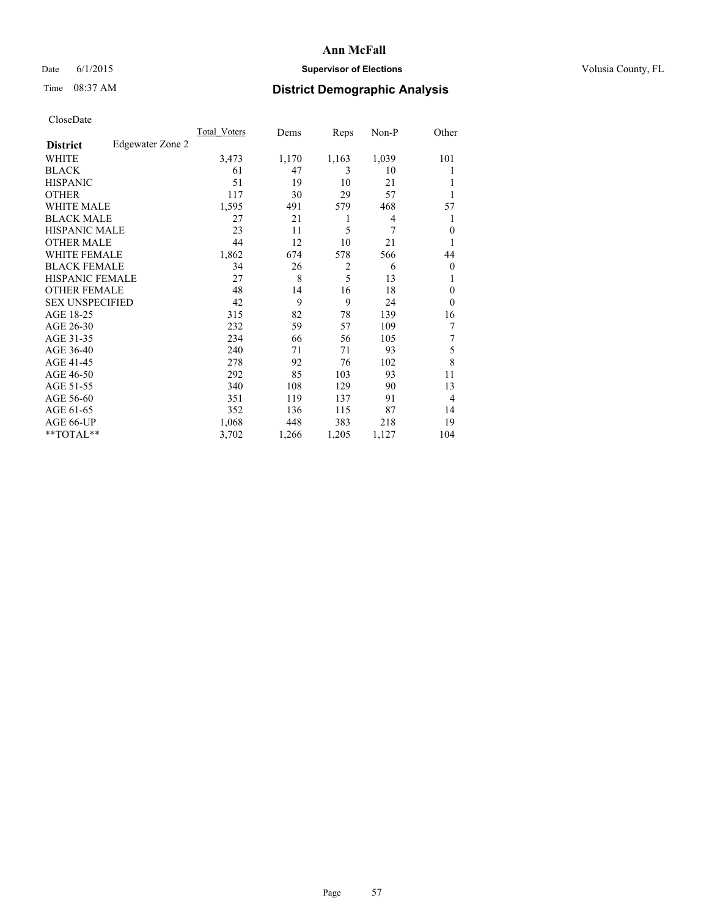## Date 6/1/2015 **Supervisor of Elections Supervisor of Elections** Volusia County, FL

## Time 08:37 AM **District Demographic Analysis**

|                        |                  | Total Voters | Dems  | Reps           | Non-P | Other          |
|------------------------|------------------|--------------|-------|----------------|-------|----------------|
| <b>District</b>        | Edgewater Zone 2 |              |       |                |       |                |
| WHITE                  |                  | 3,473        | 1,170 | 1,163          | 1,039 | 101            |
| <b>BLACK</b>           |                  | 61           | 47    | 3              | 10    |                |
| <b>HISPANIC</b>        |                  | 51           | 19    | 10             | 21    |                |
| <b>OTHER</b>           |                  | 117          | 30    | 29             | 57    |                |
| <b>WHITE MALE</b>      |                  | 1,595        | 491   | 579            | 468   | 57             |
| <b>BLACK MALE</b>      |                  | 27           | 21    | 1              | 4     | 1              |
| <b>HISPANIC MALE</b>   |                  | 23           | 11    | 5              | 7     | $\Omega$       |
| <b>OTHER MALE</b>      |                  | 44           | 12    | 10             | 21    |                |
| WHITE FEMALE           |                  | 1,862        | 674   | 578            | 566   | 44             |
| <b>BLACK FEMALE</b>    |                  | 34           | 26    | $\overline{2}$ | 6     | $\overline{0}$ |
| <b>HISPANIC FEMALE</b> |                  | 27           | 8     | 5              | 13    |                |
| <b>OTHER FEMALE</b>    |                  | 48           | 14    | 16             | 18    | $\overline{0}$ |
| <b>SEX UNSPECIFIED</b> |                  | 42           | 9     | 9              | 24    | $\Omega$       |
| AGE 18-25              |                  | 315          | 82    | 78             | 139   | 16             |
| AGE 26-30              |                  | 232          | 59    | 57             | 109   | 7              |
| AGE 31-35              |                  | 234          | 66    | 56             | 105   | 7              |
| AGE 36-40              |                  | 240          | 71    | 71             | 93    | 5              |
| AGE 41-45              |                  | 278          | 92    | 76             | 102   | 8              |
| AGE 46-50              |                  | 292          | 85    | 103            | 93    | 11             |
| AGE 51-55              |                  | 340          | 108   | 129            | 90    | 13             |
| AGE 56-60              |                  | 351          | 119   | 137            | 91    | $\overline{4}$ |
| AGE 61-65              |                  | 352          | 136   | 115            | 87    | 14             |
| AGE 66-UP              |                  | 1,068        | 448   | 383            | 218   | 19             |
| **TOTAL**              |                  | 3,702        | 1,266 | 1,205          | 1,127 | 104            |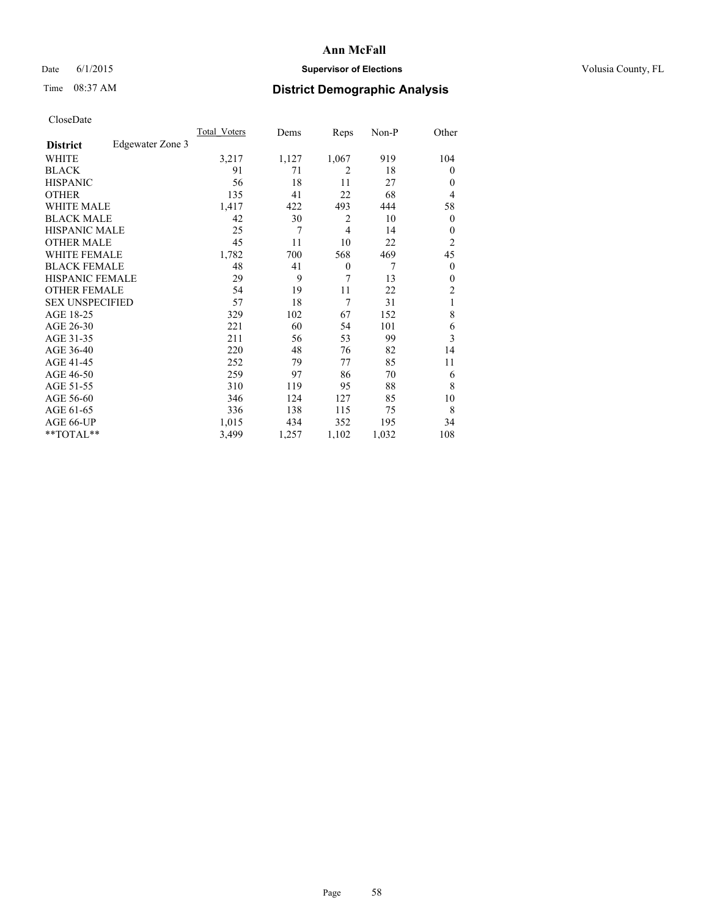## Date 6/1/2015 **Supervisor of Elections Supervisor of Elections** Volusia County, FL

## Time 08:37 AM **District Demographic Analysis**

|                        |                  | Total Voters | Dems  | Reps           | Non-P | Other            |
|------------------------|------------------|--------------|-------|----------------|-------|------------------|
| <b>District</b>        | Edgewater Zone 3 |              |       |                |       |                  |
| WHITE                  |                  | 3,217        | 1,127 | 1,067          | 919   | 104              |
| <b>BLACK</b>           |                  | 91           | 71    | $\overline{2}$ | 18    | $\theta$         |
| <b>HISPANIC</b>        |                  | 56           | 18    | 11             | 27    | $\theta$         |
| <b>OTHER</b>           |                  | 135          | 41    | 22             | 68    | 4                |
| <b>WHITE MALE</b>      |                  | 1,417        | 422   | 493            | 444   | 58               |
| <b>BLACK MALE</b>      |                  | 42           | 30    | $\overline{2}$ | 10    | $\boldsymbol{0}$ |
| <b>HISPANIC MALE</b>   |                  | 25           | 7     | $\overline{4}$ | 14    | $\theta$         |
| <b>OTHER MALE</b>      |                  | 45           | 11    | 10             | 22    | $\overline{c}$   |
| <b>WHITE FEMALE</b>    |                  | 1,782        | 700   | 568            | 469   | 45               |
| <b>BLACK FEMALE</b>    |                  | 48           | 41    | $\theta$       | 7     | $\theta$         |
| <b>HISPANIC FEMALE</b> |                  | 29           | 9     | 7              | 13    | $\theta$         |
| <b>OTHER FEMALE</b>    |                  | 54           | 19    | 11             | 22    | 2                |
| <b>SEX UNSPECIFIED</b> |                  | 57           | 18    | 7              | 31    | 1                |
| AGE 18-25              |                  | 329          | 102   | 67             | 152   | 8                |
| AGE 26-30              |                  | 221          | 60    | 54             | 101   | 6                |
| AGE 31-35              |                  | 211          | 56    | 53             | 99    | 3                |
| AGE 36-40              |                  | 220          | 48    | 76             | 82    | 14               |
| AGE 41-45              |                  | 252          | 79    | 77             | 85    | 11               |
| AGE 46-50              |                  | 259          | 97    | 86             | 70    | 6                |
| AGE 51-55              |                  | 310          | 119   | 95             | 88    | 8                |
| AGE 56-60              |                  | 346          | 124   | 127            | 85    | 10               |
| AGE 61-65              |                  | 336          | 138   | 115            | 75    | 8                |
| AGE 66-UP              |                  | 1,015        | 434   | 352            | 195   | 34               |
| **TOTAL**              |                  | 3,499        | 1,257 | 1,102          | 1,032 | 108              |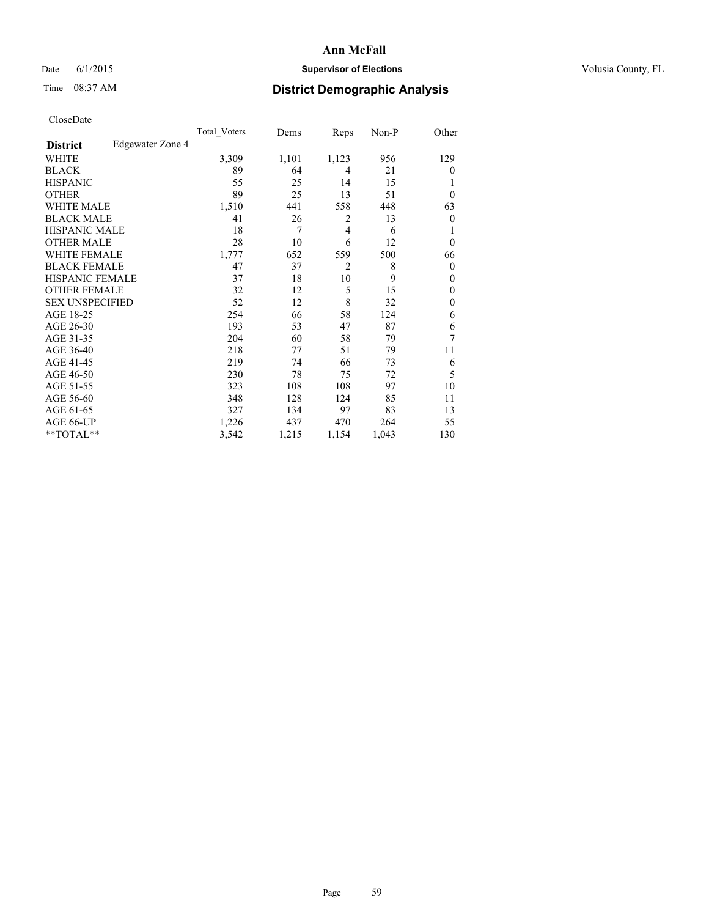## Date 6/1/2015 **Supervisor of Elections Supervisor of Elections** Volusia County, FL

## Time 08:37 AM **District Demographic Analysis**

|                        |                  | Total Voters | Dems  | Reps           | Non-P | Other          |
|------------------------|------------------|--------------|-------|----------------|-------|----------------|
| <b>District</b>        | Edgewater Zone 4 |              |       |                |       |                |
| WHITE                  |                  | 3,309        | 1,101 | 1,123          | 956   | 129            |
| <b>BLACK</b>           |                  | 89           | 64    | 4              | 21    | $\theta$       |
| <b>HISPANIC</b>        |                  | 55           | 25    | 14             | 15    | 1              |
| <b>OTHER</b>           |                  | 89           | 25    | 13             | 51    | $\theta$       |
| WHITE MALE             |                  | 1,510        | 441   | 558            | 448   | 63             |
| <b>BLACK MALE</b>      |                  | 41           | 26    | 2              | 13    | $\overline{0}$ |
| <b>HISPANIC MALE</b>   |                  | 18           | 7     | 4              | 6     | 1              |
| <b>OTHER MALE</b>      |                  | 28           | 10    | 6              | 12    | $\mathbf{0}$   |
| <b>WHITE FEMALE</b>    |                  | 1,777        | 652   | 559            | 500   | 66             |
| <b>BLACK FEMALE</b>    |                  | 47           | 37    | $\overline{2}$ | 8     | $\theta$       |
| <b>HISPANIC FEMALE</b> |                  | 37           | 18    | 10             | 9     | $\theta$       |
| <b>OTHER FEMALE</b>    |                  | 32           | 12    | 5              | 15    | $\theta$       |
| <b>SEX UNSPECIFIED</b> |                  | 52           | 12    | 8              | 32    | $\mathbf{0}$   |
| AGE 18-25              |                  | 254          | 66    | 58             | 124   | 6              |
| AGE 26-30              |                  | 193          | 53    | 47             | 87    | 6              |
| AGE 31-35              |                  | 204          | 60    | 58             | 79    | 7              |
| AGE 36-40              |                  | 218          | 77    | 51             | 79    | 11             |
| AGE 41-45              |                  | 219          | 74    | 66             | 73    | 6              |
| AGE 46-50              |                  | 230          | 78    | 75             | 72    | 5              |
| AGE 51-55              |                  | 323          | 108   | 108            | 97    | 10             |
| AGE 56-60              |                  | 348          | 128   | 124            | 85    | 11             |
| AGE 61-65              |                  | 327          | 134   | 97             | 83    | 13             |
| AGE 66-UP              |                  | 1,226        | 437   | 470            | 264   | 55             |
| **TOTAL**              |                  | 3,542        | 1,215 | 1,154          | 1,043 | 130            |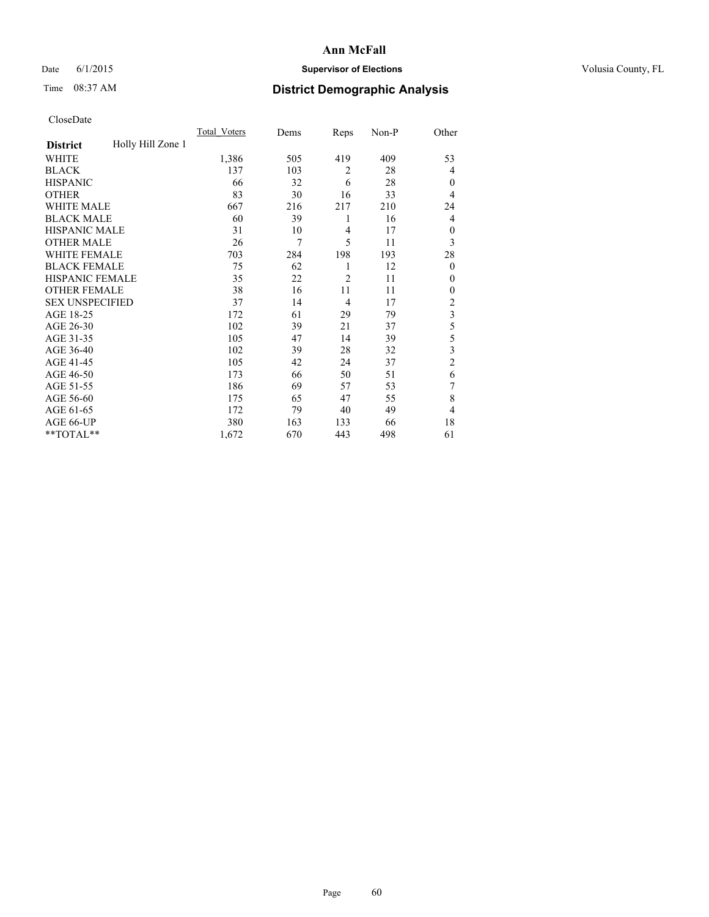## Date 6/1/2015 **Supervisor of Elections Supervisor of Elections** Volusia County, FL

## Time 08:37 AM **District Demographic Analysis**

|                        |                   | <b>Total Voters</b> | Dems | Reps           | Non-P | Other                   |
|------------------------|-------------------|---------------------|------|----------------|-------|-------------------------|
| <b>District</b>        | Holly Hill Zone 1 |                     |      |                |       |                         |
| WHITE                  |                   | 1,386               | 505  | 419            | 409   | 53                      |
| <b>BLACK</b>           |                   | 137                 | 103  | $\overline{2}$ | 28    | 4                       |
| <b>HISPANIC</b>        |                   | 66                  | 32   | 6              | 28    | $\theta$                |
| <b>OTHER</b>           |                   | 83                  | 30   | 16             | 33    | 4                       |
| <b>WHITE MALE</b>      |                   | 667                 | 216  | 217            | 210   | 24                      |
| <b>BLACK MALE</b>      |                   | 60                  | 39   | 1              | 16    | 4                       |
| <b>HISPANIC MALE</b>   |                   | 31                  | 10   | $\overline{4}$ | 17    | $\theta$                |
| <b>OTHER MALE</b>      |                   | 26                  | 7    | 5              | 11    | 3                       |
| <b>WHITE FEMALE</b>    |                   | 703                 | 284  | 198            | 193   | 28                      |
| <b>BLACK FEMALE</b>    |                   | 75                  | 62   | 1              | 12    | $\theta$                |
| HISPANIC FEMALE        |                   | 35                  | 22   | 2              | 11    | $\theta$                |
| <b>OTHER FEMALE</b>    |                   | 38                  | 16   | 11             | 11    | $\theta$                |
| <b>SEX UNSPECIFIED</b> |                   | 37                  | 14   | $\overline{4}$ | 17    | $\overline{c}$          |
| AGE 18-25              |                   | 172                 | 61   | 29             | 79    | $\overline{\mathbf{3}}$ |
| AGE 26-30              |                   | 102                 | 39   | 21             | 37    | 5                       |
| AGE 31-35              |                   | 105                 | 47   | 14             | 39    | 5                       |
| AGE 36-40              |                   | 102                 | 39   | 28             | 32    | 3                       |
| AGE 41-45              |                   | 105                 | 42   | 24             | 37    | $\overline{2}$          |
| AGE 46-50              |                   | 173                 | 66   | 50             | 51    | 6                       |
| AGE 51-55              |                   | 186                 | 69   | 57             | 53    | 7                       |
| AGE 56-60              |                   | 175                 | 65   | 47             | 55    | 8                       |
| AGE 61-65              |                   | 172                 | 79   | 40             | 49    | 4                       |
| AGE 66-UP              |                   | 380                 | 163  | 133            | 66    | 18                      |
| **TOTAL**              |                   | 1,672               | 670  | 443            | 498   | 61                      |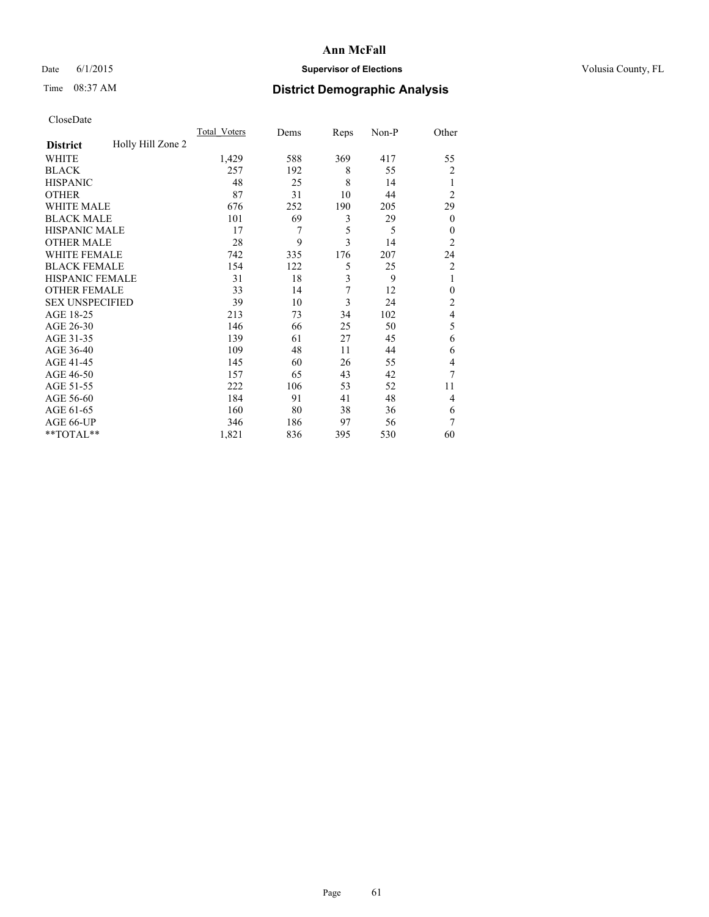## Date 6/1/2015 **Supervisor of Elections Supervisor of Elections** Volusia County, FL

# Time 08:37 AM **District Demographic Analysis**

|                        |                   | <b>Total Voters</b> | Dems | Reps | Non-P | Other            |
|------------------------|-------------------|---------------------|------|------|-------|------------------|
| <b>District</b>        | Holly Hill Zone 2 |                     |      |      |       |                  |
| WHITE                  |                   | 1,429               | 588  | 369  | 417   | 55               |
| <b>BLACK</b>           |                   | 257                 | 192  | 8    | 55    | $\overline{c}$   |
| <b>HISPANIC</b>        |                   | 48                  | 25   | 8    | 14    | 1                |
| <b>OTHER</b>           |                   | 87                  | 31   | 10   | 44    | $\overline{2}$   |
| WHITE MALE             |                   | 676                 | 252  | 190  | 205   | 29               |
| <b>BLACK MALE</b>      |                   | 101                 | 69   | 3    | 29    | $\boldsymbol{0}$ |
| <b>HISPANIC MALE</b>   |                   | 17                  | 7    | 5    | 5     | $\theta$         |
| <b>OTHER MALE</b>      |                   | 28                  | 9    | 3    | 14    | $\overline{2}$   |
| <b>WHITE FEMALE</b>    |                   | 742                 | 335  | 176  | 207   | 24               |
| <b>BLACK FEMALE</b>    |                   | 154                 | 122  | 5    | 25    | $\overline{c}$   |
| <b>HISPANIC FEMALE</b> |                   | 31                  | 18   | 3    | 9     | 1                |
| <b>OTHER FEMALE</b>    |                   | 33                  | 14   | 7    | 12    | $\theta$         |
| <b>SEX UNSPECIFIED</b> |                   | 39                  | 10   | 3    | 24    | $\overline{c}$   |
| AGE 18-25              |                   | 213                 | 73   | 34   | 102   | 4                |
| AGE 26-30              |                   | 146                 | 66   | 25   | 50    | 5                |
| AGE 31-35              |                   | 139                 | 61   | 27   | 45    | 6                |
| AGE 36-40              |                   | 109                 | 48   | 11   | 44    | 6                |
| AGE 41-45              |                   | 145                 | 60   | 26   | 55    | 4                |
| AGE 46-50              |                   | 157                 | 65   | 43   | 42    | 7                |
| AGE 51-55              |                   | 222                 | 106  | 53   | 52    | 11               |
| AGE 56-60              |                   | 184                 | 91   | 41   | 48    | 4                |
| AGE 61-65              |                   | 160                 | 80   | 38   | 36    | 6                |
| AGE 66-UP              |                   | 346                 | 186  | 97   | 56    | 7                |
| **TOTAL**              |                   | 1,821               | 836  | 395  | 530   | 60               |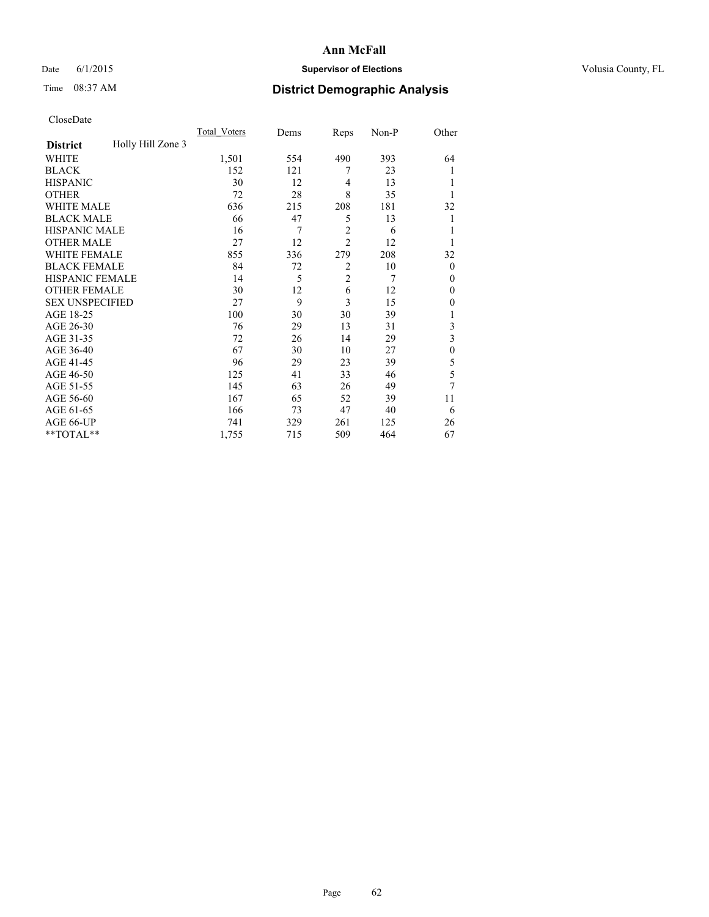## Date 6/1/2015 **Supervisor of Elections Supervisor of Elections** Volusia County, FL

## Time 08:37 AM **District Demographic Analysis**

|                        |                   | <b>Total Voters</b> | Dems | Reps           | Non-P | Other          |
|------------------------|-------------------|---------------------|------|----------------|-------|----------------|
| <b>District</b>        | Holly Hill Zone 3 |                     |      |                |       |                |
| WHITE                  |                   | 1,501               | 554  | 490            | 393   | 64             |
| <b>BLACK</b>           |                   | 152                 | 121  | 7              | 23    |                |
| <b>HISPANIC</b>        |                   | 30                  | 12   | $\overline{4}$ | 13    |                |
| <b>OTHER</b>           |                   | 72                  | 28   | 8              | 35    |                |
| <b>WHITE MALE</b>      |                   | 636                 | 215  | 208            | 181   | 32             |
| <b>BLACK MALE</b>      |                   | 66                  | 47   | 5              | 13    | 1              |
| <b>HISPANIC MALE</b>   |                   | 16                  | 7    | $\overline{2}$ | 6     |                |
| <b>OTHER MALE</b>      |                   | 27                  | 12   | $\overline{2}$ | 12    |                |
| <b>WHITE FEMALE</b>    |                   | 855                 | 336  | 279            | 208   | 32             |
| <b>BLACK FEMALE</b>    |                   | 84                  | 72   | $\overline{2}$ | 10    | $\overline{0}$ |
| <b>HISPANIC FEMALE</b> |                   | 14                  | 5    | $\overline{2}$ | 7     | $\Omega$       |
| <b>OTHER FEMALE</b>    |                   | 30                  | 12   | 6              | 12    | $\Omega$       |
| <b>SEX UNSPECIFIED</b> |                   | 27                  | 9    | 3              | 15    | $\Omega$       |
| AGE 18-25              |                   | 100                 | 30   | 30             | 39    |                |
| AGE 26-30              |                   | 76                  | 29   | 13             | 31    | 3              |
| AGE 31-35              |                   | 72                  | 26   | 14             | 29    | 3              |
| AGE 36-40              |                   | 67                  | 30   | 10             | 27    | $\theta$       |
| AGE 41-45              |                   | 96                  | 29   | 23             | 39    | 5              |
| AGE 46-50              |                   | 125                 | 41   | 33             | 46    | 5              |
| AGE 51-55              |                   | 145                 | 63   | 26             | 49    | 7              |
| AGE 56-60              |                   | 167                 | 65   | 52             | 39    | 11             |
| AGE 61-65              |                   | 166                 | 73   | 47             | 40    | 6              |
| AGE 66-UP              |                   | 741                 | 329  | 261            | 125   | 26             |
| **TOTAL**              |                   | 1,755               | 715  | 509            | 464   | 67             |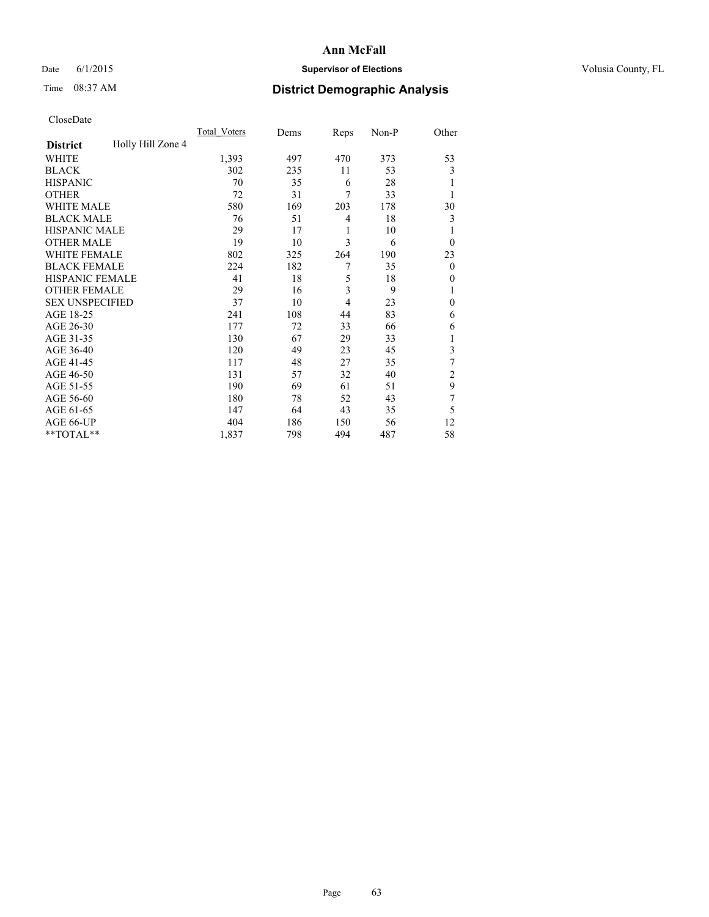## Date 6/1/2015 **Supervisor of Elections Supervisor of Elections** Volusia County, FL

## Time 08:37 AM **District Demographic Analysis**

|                        |                   | <b>Total Voters</b> | Dems | Reps | Non-P | Other        |
|------------------------|-------------------|---------------------|------|------|-------|--------------|
| <b>District</b>        | Holly Hill Zone 4 |                     |      |      |       |              |
| WHITE                  |                   | 1,393               | 497  | 470  | 373   | 53           |
| <b>BLACK</b>           |                   | 302                 | 235  | 11   | 53    | 3            |
| <b>HISPANIC</b>        |                   | 70                  | 35   | 6    | 28    |              |
| <b>OTHER</b>           |                   | 72                  | 31   | 7    | 33    |              |
| <b>WHITE MALE</b>      |                   | 580                 | 169  | 203  | 178   | 30           |
| <b>BLACK MALE</b>      |                   | 76                  | 51   | 4    | 18    | 3            |
| <b>HISPANIC MALE</b>   |                   | 29                  | 17   | 1    | 10    | 1            |
| <b>OTHER MALE</b>      |                   | 19                  | 10   | 3    | 6     | $\theta$     |
| <b>WHITE FEMALE</b>    |                   | 802                 | 325  | 264  | 190   | 23           |
| <b>BLACK FEMALE</b>    |                   | 224                 | 182  | 7    | 35    | $\theta$     |
| <b>HISPANIC FEMALE</b> |                   | 41                  | 18   | 5    | 18    | $\theta$     |
| <b>OTHER FEMALE</b>    |                   | 29                  | 16   | 3    | 9     | 1            |
| <b>SEX UNSPECIFIED</b> |                   | 37                  | 10   | 4    | 23    | $\mathbf{0}$ |
| AGE 18-25              |                   | 241                 | 108  | 44   | 83    | 6            |
| AGE 26-30              |                   | 177                 | 72   | 33   | 66    | 6            |
| AGE 31-35              |                   | 130                 | 67   | 29   | 33    |              |
| AGE 36-40              |                   | 120                 | 49   | 23   | 45    | 3            |
| AGE 41-45              |                   | 117                 | 48   | 27   | 35    | 7            |
| AGE 46-50              |                   | 131                 | 57   | 32   | 40    | 2            |
| AGE 51-55              |                   | 190                 | 69   | 61   | 51    | 9            |
| AGE 56-60              |                   | 180                 | 78   | 52   | 43    | 7            |
| AGE 61-65              |                   | 147                 | 64   | 43   | 35    | 5            |
| AGE 66-UP              |                   | 404                 | 186  | 150  | 56    | 12           |
| **TOTAL**              |                   | 1,837               | 798  | 494  | 487   | 58           |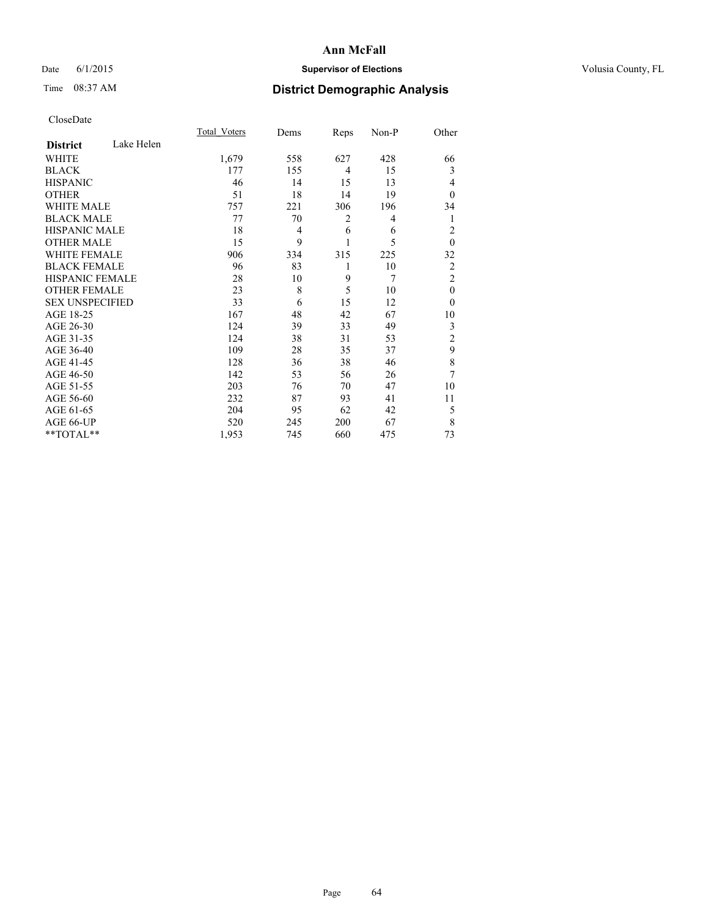## Date 6/1/2015 **Supervisor of Elections Supervisor of Elections** Volusia County, FL

# Time 08:37 AM **District Demographic Analysis**

|                        |            | <b>Total Voters</b> | Dems | Reps           | Non-P | Other          |
|------------------------|------------|---------------------|------|----------------|-------|----------------|
| <b>District</b>        | Lake Helen |                     |      |                |       |                |
| <b>WHITE</b>           |            | 1,679               | 558  | 627            | 428   | 66             |
| <b>BLACK</b>           |            | 177                 | 155  | $\overline{4}$ | 15    | 3              |
| <b>HISPANIC</b>        |            | 46                  | 14   | 15             | 13    | 4              |
| <b>OTHER</b>           |            | 51                  | 18   | 14             | 19    | $\theta$       |
| WHITE MALE             |            | 757                 | 221  | 306            | 196   | 34             |
| <b>BLACK MALE</b>      |            | 77                  | 70   | 2              | 4     | 1              |
| <b>HISPANIC MALE</b>   |            | 18                  | 4    | 6              | 6     | $\overline{2}$ |
| <b>OTHER MALE</b>      |            | 15                  | 9    | 1              | 5     | $\mathbf{0}$   |
| WHITE FEMALE           |            | 906                 | 334  | 315            | 225   | 32             |
| <b>BLACK FEMALE</b>    |            | 96                  | 83   | 1              | 10    | $\overline{2}$ |
| <b>HISPANIC FEMALE</b> |            | 28                  | 10   | 9              | 7     | $\overline{2}$ |
| <b>OTHER FEMALE</b>    |            | 23                  | 8    | 5              | 10    | $\theta$       |
| <b>SEX UNSPECIFIED</b> |            | 33                  | 6    | 15             | 12    | $\theta$       |
| AGE 18-25              |            | 167                 | 48   | 42             | 67    | 10             |
| AGE 26-30              |            | 124                 | 39   | 33             | 49    | 3              |
| AGE 31-35              |            | 124                 | 38   | 31             | 53    | $\overline{c}$ |
| AGE 36-40              |            | 109                 | 28   | 35             | 37    | 9              |
| AGE 41-45              |            | 128                 | 36   | 38             | 46    | 8              |
| AGE 46-50              |            | 142                 | 53   | 56             | 26    | 7              |
| AGE 51-55              |            | 203                 | 76   | 70             | 47    | 10             |
| AGE 56-60              |            | 232                 | 87   | 93             | 41    | 11             |
| AGE 61-65              |            | 204                 | 95   | 62             | 42    | 5              |
| AGE 66-UP              |            | 520                 | 245  | 200            | 67    | 8              |
| **TOTAL**              |            | 1,953               | 745  | 660            | 475   | 73             |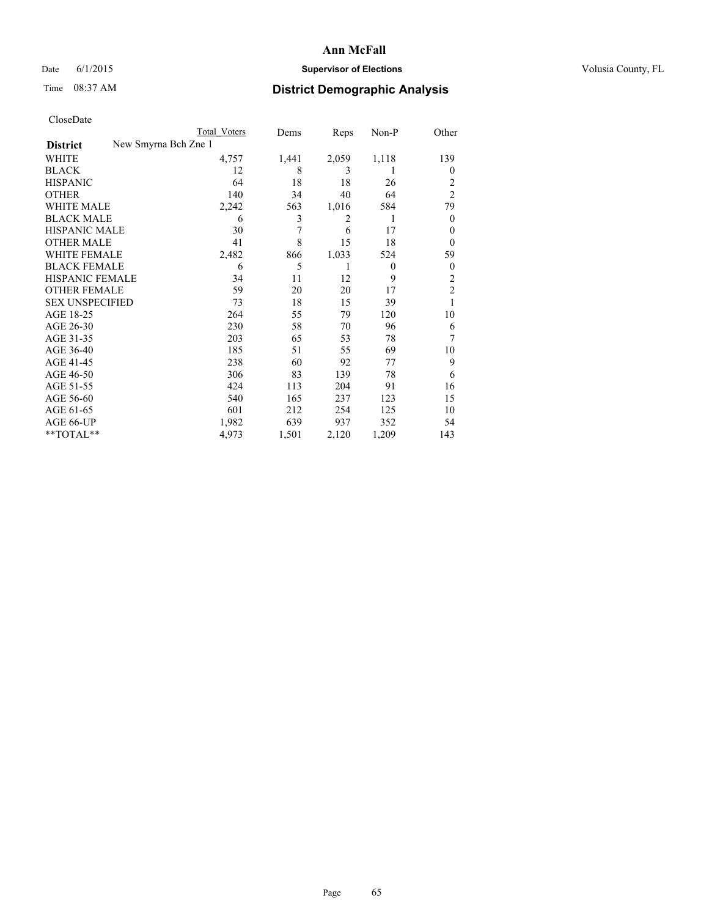## Date 6/1/2015 **Supervisor of Elections Supervisor of Elections** Volusia County, FL

|                        |                      | <b>Total Voters</b> | Dems  | Reps  | Non-P          | Other          |
|------------------------|----------------------|---------------------|-------|-------|----------------|----------------|
| <b>District</b>        | New Smyrna Bch Zne 1 |                     |       |       |                |                |
| WHITE                  |                      | 4,757               | 1,441 | 2,059 | 1,118          | 139            |
| <b>BLACK</b>           |                      | 12                  | 8     | 3     | 1              | $\overline{0}$ |
| <b>HISPANIC</b>        |                      | 64                  | 18    | 18    | 26             | 2              |
| <b>OTHER</b>           |                      | 140                 | 34    | 40    | 64             | $\overline{2}$ |
| WHITE MALE             |                      | 2,242               | 563   | 1,016 | 584            | 79             |
| <b>BLACK MALE</b>      |                      | 6                   | 3     | 2     | 1              | $\overline{0}$ |
| <b>HISPANIC MALE</b>   |                      | 30                  | 7     | 6     | 17             | $\theta$       |
| <b>OTHER MALE</b>      |                      | 41                  | 8     | 15    | 18             | $\overline{0}$ |
| <b>WHITE FEMALE</b>    |                      | 2,482               | 866   | 1,033 | 524            | 59             |
| <b>BLACK FEMALE</b>    |                      | 6                   | 5     | 1     | $\overline{0}$ | $\overline{0}$ |
| <b>HISPANIC FEMALE</b> |                      | 34                  | 11    | 12    | 9              | 2              |
| <b>OTHER FEMALE</b>    |                      | 59                  | 20    | 20    | 17             | $\overline{c}$ |
| <b>SEX UNSPECIFIED</b> |                      | 73                  | 18    | 15    | 39             |                |
| AGE 18-25              |                      | 264                 | 55    | 79    | 120            | 10             |
| AGE 26-30              |                      | 230                 | 58    | 70    | 96             | 6              |
| AGE 31-35              |                      | 203                 | 65    | 53    | 78             | 7              |
| AGE 36-40              |                      | 185                 | 51    | 55    | 69             | 10             |
| AGE 41-45              |                      | 238                 | 60    | 92    | 77             | 9              |
| AGE 46-50              |                      | 306                 | 83    | 139   | 78             | 6              |
| AGE 51-55              |                      | 424                 | 113   | 204   | 91             | 16             |
| AGE 56-60              |                      | 540                 | 165   | 237   | 123            | 15             |
| AGE 61-65              |                      | 601                 | 212   | 254   | 125            | 10             |
| AGE 66-UP              |                      | 1,982               | 639   | 937   | 352            | 54             |
| $*$ TOTAL $**$         |                      | 4,973               | 1,501 | 2,120 | 1,209          | 143            |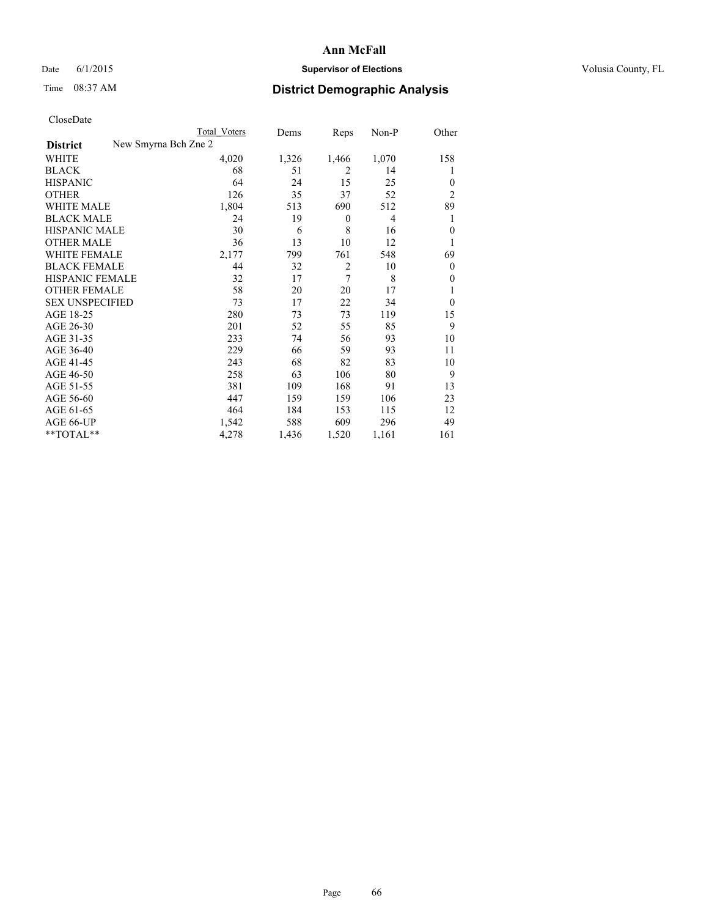## Date 6/1/2015 **Supervisor of Elections Supervisor of Elections** Volusia County, FL

|                        | <b>Total Voters</b>  | Dems  | Reps             | Non-P | Other          |
|------------------------|----------------------|-------|------------------|-------|----------------|
| <b>District</b>        | New Smyrna Bch Zne 2 |       |                  |       |                |
| WHITE                  | 4,020                | 1,326 | 1,466            | 1,070 | 158            |
| <b>BLACK</b>           | 68                   | 51    | 2                | 14    | 1              |
| <b>HISPANIC</b>        | 64                   | 24    | 15               | 25    | $\Omega$       |
| <b>OTHER</b>           | 126                  | 35    | 37               | 52    | $\overline{2}$ |
| WHITE MALE             | 1,804                | 513   | 690              | 512   | 89             |
| <b>BLACK MALE</b>      | 24                   | 19    | $\boldsymbol{0}$ | 4     | 1              |
| <b>HISPANIC MALE</b>   | 30                   | 6     | 8                | 16    | $\theta$       |
| <b>OTHER MALE</b>      | 36                   | 13    | 10               | 12    | 1              |
| <b>WHITE FEMALE</b>    | 2,177                | 799   | 761              | 548   | 69             |
| <b>BLACK FEMALE</b>    | 44                   | 32    | $\overline{2}$   | 10    | $\overline{0}$ |
| <b>HISPANIC FEMALE</b> | 32                   | 17    | 7                | 8     | $\Omega$       |
| <b>OTHER FEMALE</b>    | 58                   | 20    | 20               | 17    |                |
| <b>SEX UNSPECIFIED</b> | 73                   | 17    | 22               | 34    | $\theta$       |
| AGE 18-25              | 280                  | 73    | 73               | 119   | 15             |
| AGE 26-30              | 201                  | 52    | 55               | 85    | 9              |
| AGE 31-35              | 233                  | 74    | 56               | 93    | 10             |
| AGE 36-40              | 229                  | 66    | 59               | 93    | 11             |
| AGE 41-45              | 243                  | 68    | 82               | 83    | 10             |
| AGE 46-50              | 258                  | 63    | 106              | 80    | 9              |
| AGE 51-55              | 381                  | 109   | 168              | 91    | 13             |
| AGE 56-60              | 447                  | 159   | 159              | 106   | 23             |
| AGE 61-65              | 464                  | 184   | 153              | 115   | 12             |
| AGE 66-UP              | 1,542                | 588   | 609              | 296   | 49             |
| $*$ TOTAL $**$         | 4,278                | 1,436 | 1,520            | 1,161 | 161            |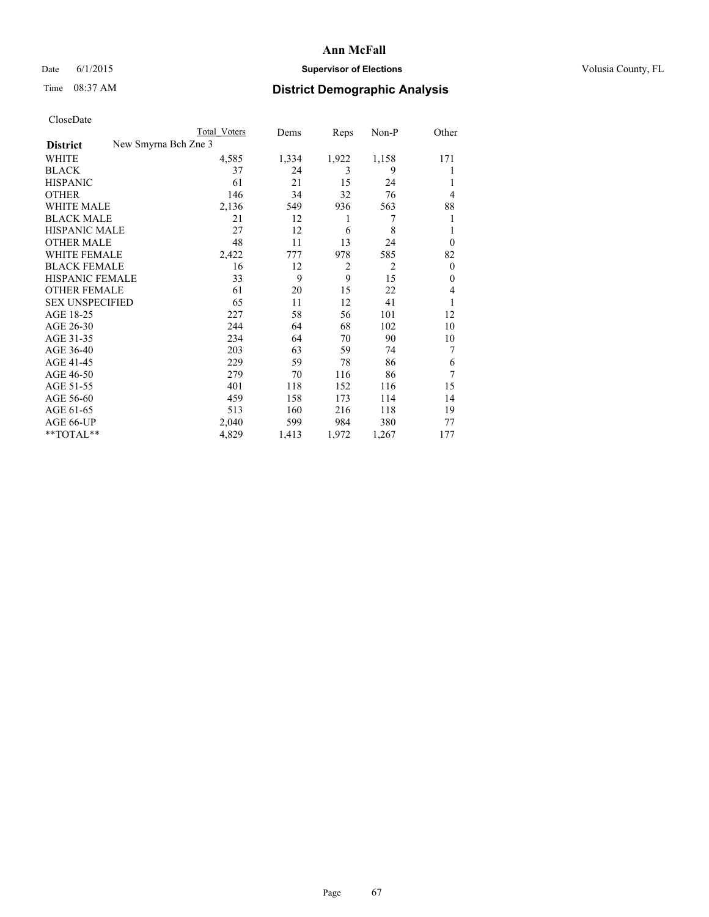## Date 6/1/2015 **Supervisor of Elections Supervisor of Elections** Volusia County, FL

|                        | <b>Total Voters</b>  | Dems  | Reps           | Non-P          | Other          |
|------------------------|----------------------|-------|----------------|----------------|----------------|
| <b>District</b>        | New Smyrna Bch Zne 3 |       |                |                |                |
| WHITE                  | 4,585                | 1,334 | 1,922          | 1,158          | 171            |
| <b>BLACK</b>           | 37                   | 24    | 3              | 9              |                |
| <b>HISPANIC</b>        | 61                   | 21    | 15             | 24             |                |
| <b>OTHER</b>           | 146                  | 34    | 32             | 76             | 4              |
| <b>WHITE MALE</b>      | 2,136                | 549   | 936            | 563            | 88             |
| <b>BLACK MALE</b>      | 21                   | 12    | 1              | 7              |                |
| <b>HISPANIC MALE</b>   | 27                   | 12    | 6              | 8              |                |
| <b>OTHER MALE</b>      | 48                   | 11    | 13             | 24             | $\overline{0}$ |
| <b>WHITE FEMALE</b>    | 2,422                | 777   | 978            | 585            | 82             |
| <b>BLACK FEMALE</b>    | 16                   | 12    | $\overline{2}$ | $\overline{2}$ | $\overline{0}$ |
| <b>HISPANIC FEMALE</b> | 33                   | 9     | 9              | 15             | $\theta$       |
| <b>OTHER FEMALE</b>    | 61                   | 20    | 15             | 22             | 4              |
| <b>SEX UNSPECIFIED</b> | 65                   | 11    | 12             | 41             |                |
| AGE 18-25              | 227                  | 58    | 56             | 101            | 12             |
| AGE 26-30              | 244                  | 64    | 68             | 102            | 10             |
| AGE 31-35              | 234                  | 64    | 70             | 90             | 10             |
| AGE 36-40              | 203                  | 63    | 59             | 74             | 7              |
| AGE 41-45              | 229                  | 59    | 78             | 86             | 6              |
| AGE 46-50              | 279                  | 70    | 116            | 86             | 7              |
| AGE 51-55              | 401                  | 118   | 152            | 116            | 15             |
| AGE 56-60              | 459                  | 158   | 173            | 114            | 14             |
| AGE 61-65              | 513                  | 160   | 216            | 118            | 19             |
| AGE 66-UP              | 2,040                | 599   | 984            | 380            | 77             |
| $*$ TOTAL $**$         | 4,829                | 1,413 | 1,972          | 1,267          | 177            |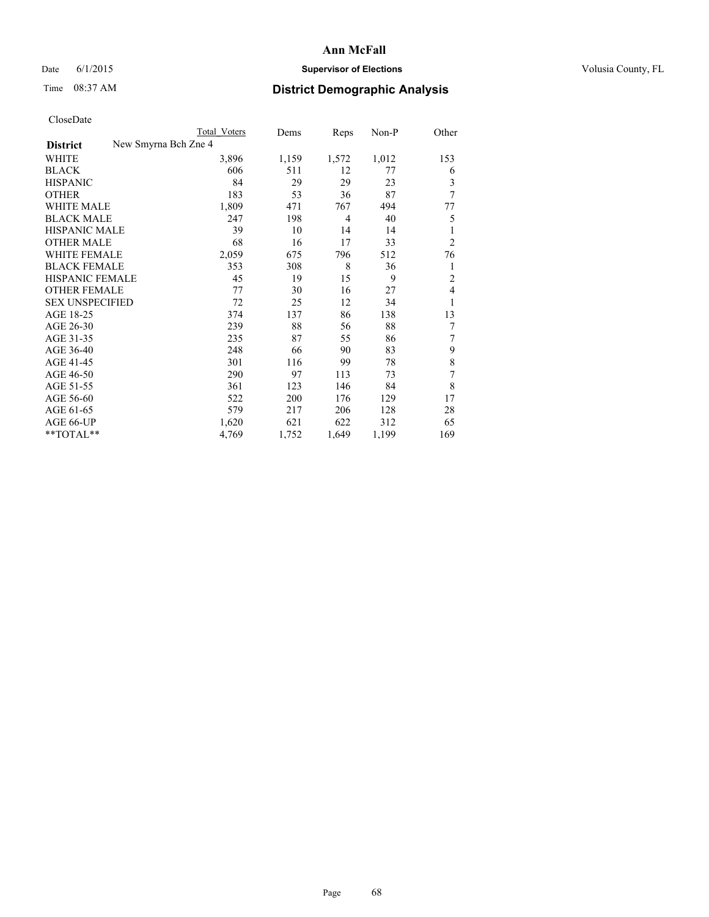## Date 6/1/2015 **Supervisor of Elections Supervisor of Elections** Volusia County, FL

|                                         | Total Voters | Dems  | Reps           | Non-P | Other          |
|-----------------------------------------|--------------|-------|----------------|-------|----------------|
| New Smyrna Bch Zne 4<br><b>District</b> |              |       |                |       |                |
| WHITE                                   | 3,896        | 1,159 | 1,572          | 1,012 | 153            |
| <b>BLACK</b>                            | 606          | 511   | 12             | 77    | 6              |
| <b>HISPANIC</b>                         | 84           | 29    | 29             | 23    | 3              |
| <b>OTHER</b>                            | 183          | 53    | 36             | 87    | 7              |
| <b>WHITE MALE</b>                       | 1,809        | 471   | 767            | 494   | 77             |
| <b>BLACK MALE</b>                       | 247          | 198   | $\overline{4}$ | 40    | 5              |
| <b>HISPANIC MALE</b>                    | 39           | 10    | 14             | 14    | 1              |
| <b>OTHER MALE</b>                       | 68           | 16    | 17             | 33    | $\overline{2}$ |
| <b>WHITE FEMALE</b>                     | 2,059        | 675   | 796            | 512   | 76             |
| <b>BLACK FEMALE</b>                     | 353          | 308   | 8              | 36    | 1              |
| <b>HISPANIC FEMALE</b>                  | 45           | 19    | 15             | 9     | 2              |
| <b>OTHER FEMALE</b>                     | 77           | 30    | 16             | 27    | $\overline{4}$ |
| <b>SEX UNSPECIFIED</b>                  | 72           | 25    | 12             | 34    | 1              |
| AGE 18-25                               | 374          | 137   | 86             | 138   | 13             |
| AGE 26-30                               | 239          | 88    | 56             | 88    | 7              |
| AGE 31-35                               | 235          | 87    | 55             | 86    | 7              |
| AGE 36-40                               | 248          | 66    | 90             | 83    | 9              |
| AGE 41-45                               | 301          | 116   | 99             | 78    | 8              |
| AGE 46-50                               | 290          | 97    | 113            | 73    | 7              |
| AGE 51-55                               | 361          | 123   | 146            | 84    | 8              |
| AGE 56-60                               | 522          | 200   | 176            | 129   | 17             |
| AGE 61-65                               | 579          | 217   | 206            | 128   | 28             |
| AGE 66-UP                               | 1,620        | 621   | 622            | 312   | 65             |
| **TOTAL**                               | 4,769        | 1,752 | 1,649          | 1,199 | 169            |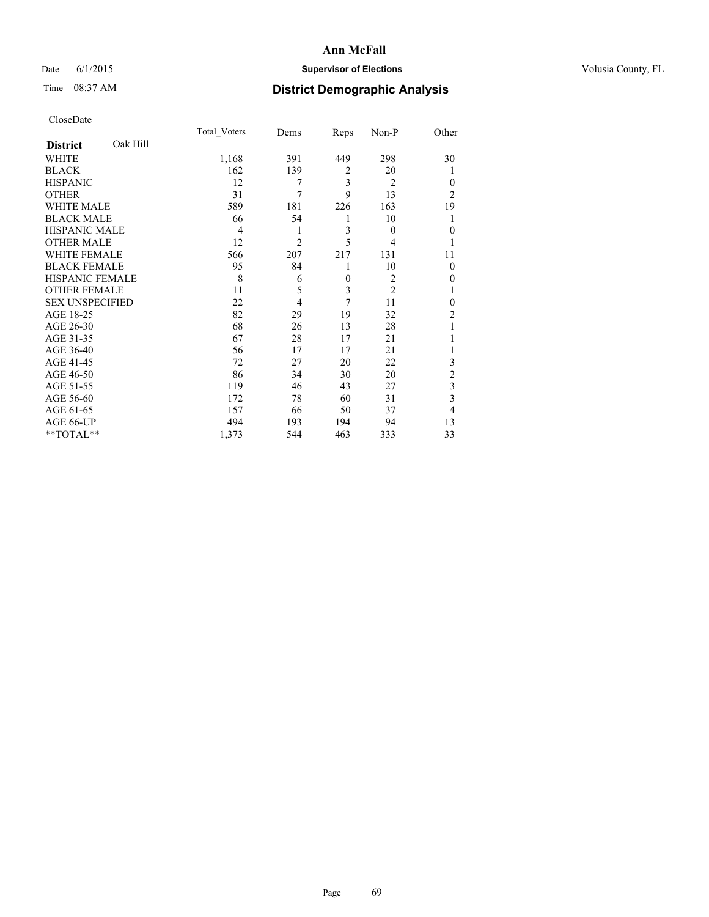## Date 6/1/2015 **Supervisor of Elections Supervisor of Elections** Volusia County, FL

## Time 08:37 AM **District Demographic Analysis**

|                        |          | <b>Total Voters</b> | Dems           | Reps           | Non-P          | Other          |
|------------------------|----------|---------------------|----------------|----------------|----------------|----------------|
| <b>District</b>        | Oak Hill |                     |                |                |                |                |
| <b>WHITE</b>           |          | 1,168               | 391            | 449            | 298            | 30             |
| <b>BLACK</b>           |          | 162                 | 139            | $\overline{2}$ | 20             | 1              |
| <b>HISPANIC</b>        |          | 12                  | 7              | 3              | $\overline{2}$ | $\Omega$       |
| <b>OTHER</b>           |          | 31                  | 7              | 9              | 13             | $\overline{2}$ |
| WHITE MALE             |          | 589                 | 181            | 226            | 163            | 19             |
| <b>BLACK MALE</b>      |          | 66                  | 54             | 1              | 10             | 1              |
| <b>HISPANIC MALE</b>   |          | 4                   | 1              | 3              | $\overline{0}$ | $\theta$       |
| <b>OTHER MALE</b>      |          | 12                  | $\overline{c}$ | 5              | 4              |                |
| <b>WHITE FEMALE</b>    |          | 566                 | 207            | 217            | 131            | 11             |
| <b>BLACK FEMALE</b>    |          | 95                  | 84             | 1              | 10             | $\Omega$       |
| <b>HISPANIC FEMALE</b> |          | 8                   | 6              | $\mathbf{0}$   | $\overline{2}$ | $\theta$       |
| <b>OTHER FEMALE</b>    |          | 11                  | 5              | 3              | $\overline{2}$ |                |
| <b>SEX UNSPECIFIED</b> |          | 22                  | 4              | 7              | 11             | $\theta$       |
| AGE 18-25              |          | 82                  | 29             | 19             | 32             | $\overline{2}$ |
| AGE 26-30              |          | 68                  | 26             | 13             | 28             | 1              |
| AGE 31-35              |          | 67                  | 28             | 17             | 21             |                |
| AGE 36-40              |          | 56                  | 17             | 17             | 21             |                |
| AGE 41-45              |          | 72                  | 27             | 20             | 22             | 3              |
| AGE 46-50              |          | 86                  | 34             | 30             | 20             | $\overline{2}$ |
| AGE 51-55              |          | 119                 | 46             | 43             | 27             | 3              |
| AGE 56-60              |          | 172                 | 78             | 60             | 31             | 3              |
| AGE 61-65              |          | 157                 | 66             | 50             | 37             | $\overline{4}$ |
| AGE 66-UP              |          | 494                 | 193            | 194            | 94             | 13             |
| **TOTAL**              |          | 1,373               | 544            | 463            | 333            | 33             |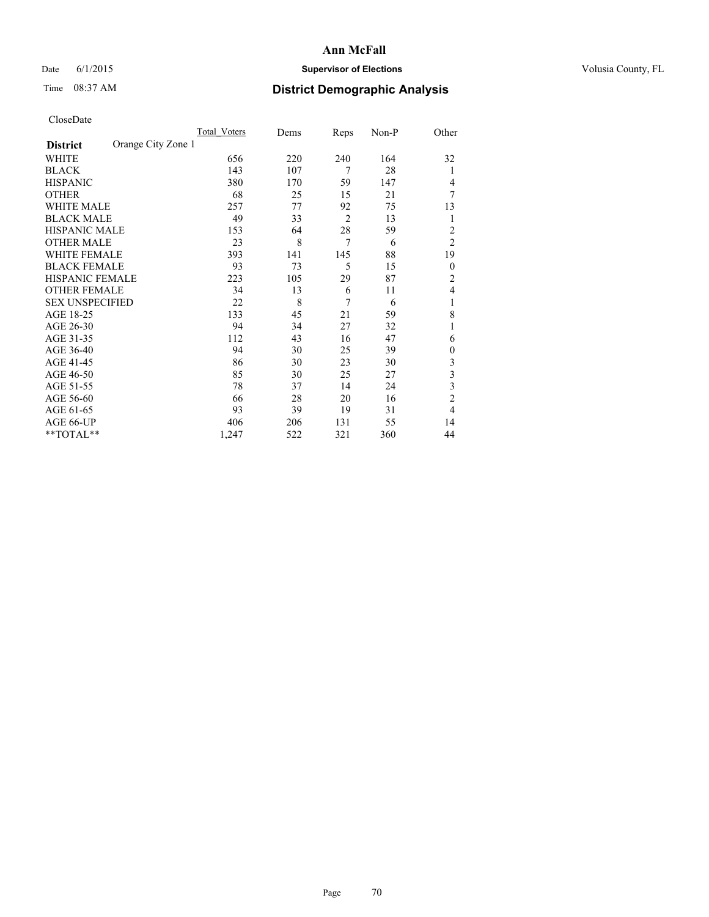## Date 6/1/2015 **Supervisor of Elections Supervisor of Elections** Volusia County, FL

## Time 08:37 AM **District Demographic Analysis**

|                        |                    | Total Voters | Dems | Reps           | Non-P | Other          |
|------------------------|--------------------|--------------|------|----------------|-------|----------------|
| <b>District</b>        | Orange City Zone 1 |              |      |                |       |                |
| WHITE                  |                    | 656          | 220  | 240            | 164   | 32             |
| <b>BLACK</b>           |                    | 143          | 107  | 7              | 28    | 1              |
| <b>HISPANIC</b>        |                    | 380          | 170  | 59             | 147   | 4              |
| <b>OTHER</b>           |                    | 68           | 25   | 15             | 21    | 7              |
| WHITE MALE             |                    | 257          | 77   | 92             | 75    | 13             |
| <b>BLACK MALE</b>      |                    | 49           | 33   | $\overline{2}$ | 13    | 1              |
| <b>HISPANIC MALE</b>   |                    | 153          | 64   | 28             | 59    | 2              |
| <b>OTHER MALE</b>      |                    | 23           | 8    | $\overline{7}$ | 6     | $\overline{2}$ |
| WHITE FEMALE           |                    | 393          | 141  | 145            | 88    | 19             |
| <b>BLACK FEMALE</b>    |                    | 93           | 73   | 5              | 15    | $\theta$       |
| <b>HISPANIC FEMALE</b> |                    | 223          | 105  | 29             | 87    | $\overline{c}$ |
| <b>OTHER FEMALE</b>    |                    | 34           | 13   | 6              | 11    | 4              |
| <b>SEX UNSPECIFIED</b> |                    | 22           | 8    | 7              | 6     | 1              |
| AGE 18-25              |                    | 133          | 45   | 21             | 59    | 8              |
| AGE 26-30              |                    | 94           | 34   | 27             | 32    | 1              |
| AGE 31-35              |                    | 112          | 43   | 16             | 47    | 6              |
| AGE 36-40              |                    | 94           | 30   | 25             | 39    | $\mathbf{0}$   |
| AGE 41-45              |                    | 86           | 30   | 23             | 30    | 3              |
| AGE 46-50              |                    | 85           | 30   | 25             | 27    | 3              |
| AGE 51-55              |                    | 78           | 37   | 14             | 24    | 3              |
| AGE 56-60              |                    | 66           | 28   | 20             | 16    | $\overline{c}$ |
| AGE 61-65              |                    | 93           | 39   | 19             | 31    | 4              |
| AGE 66-UP              |                    | 406          | 206  | 131            | 55    | 14             |
| **TOTAL**              |                    | 1,247        | 522  | 321            | 360   | 44             |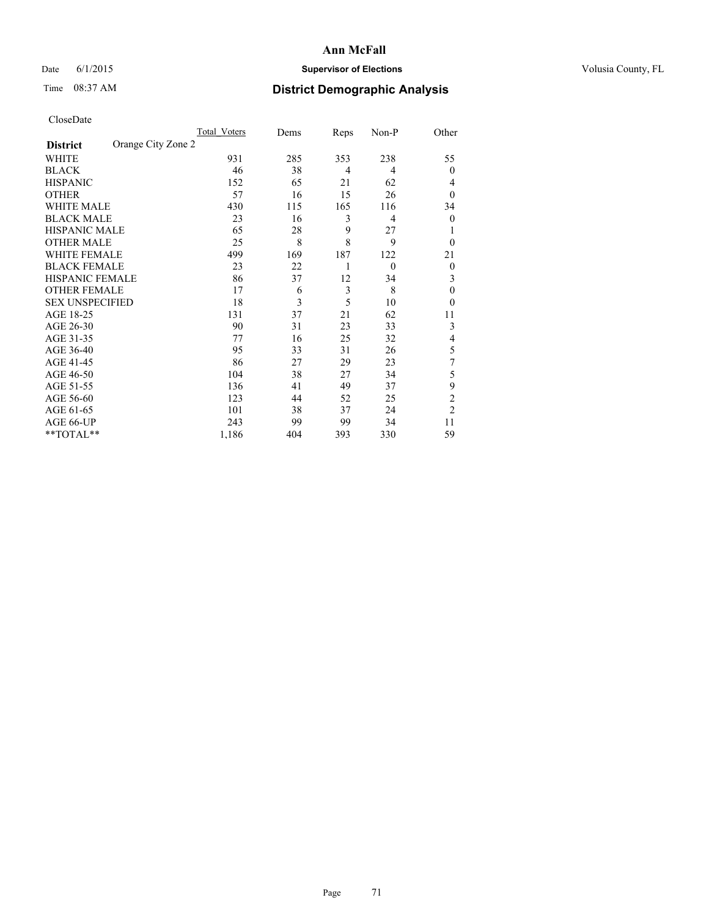## Date 6/1/2015 **Supervisor of Elections Supervisor of Elections** Volusia County, FL

## Time 08:37 AM **District Demographic Analysis**

|                        |                    | Total Voters | Dems | Reps | Non-P    | Other          |
|------------------------|--------------------|--------------|------|------|----------|----------------|
| <b>District</b>        | Orange City Zone 2 |              |      |      |          |                |
| WHITE                  |                    | 931          | 285  | 353  | 238      | 55             |
| <b>BLACK</b>           |                    | 46           | 38   | 4    | 4        | $\theta$       |
| <b>HISPANIC</b>        |                    | 152          | 65   | 21   | 62       | 4              |
| <b>OTHER</b>           |                    | 57           | 16   | 15   | 26       | $\theta$       |
| WHITE MALE             |                    | 430          | 115  | 165  | 116      | 34             |
| <b>BLACK MALE</b>      |                    | 23           | 16   | 3    | 4        | $\overline{0}$ |
| <b>HISPANIC MALE</b>   |                    | 65           | 28   | 9    | 27       | 1              |
| <b>OTHER MALE</b>      |                    | 25           | 8    | 8    | 9        | $\theta$       |
| WHITE FEMALE           |                    | 499          | 169  | 187  | 122      | 21             |
| <b>BLACK FEMALE</b>    |                    | 23           | 22   | 1    | $\theta$ | $\overline{0}$ |
| <b>HISPANIC FEMALE</b> |                    | 86           | 37   | 12   | 34       | 3              |
| <b>OTHER FEMALE</b>    |                    | 17           | 6    | 3    | 8        | $\theta$       |
| <b>SEX UNSPECIFIED</b> |                    | 18           | 3    | 5    | 10       | $\theta$       |
| AGE 18-25              |                    | 131          | 37   | 21   | 62       | 11             |
| AGE 26-30              |                    | 90           | 31   | 23   | 33       | 3              |
| AGE 31-35              |                    | 77           | 16   | 25   | 32       | 4              |
| AGE 36-40              |                    | 95           | 33   | 31   | 26       | 5              |
| AGE 41-45              |                    | 86           | 27   | 29   | 23       | 7              |
| AGE 46-50              |                    | 104          | 38   | 27   | 34       | 5              |
| AGE 51-55              |                    | 136          | 41   | 49   | 37       | 9              |
| AGE 56-60              |                    | 123          | 44   | 52   | 25       | $\overline{c}$ |
| AGE 61-65              |                    | 101          | 38   | 37   | 24       | $\overline{2}$ |
| AGE 66-UP              |                    | 243          | 99   | 99   | 34       | 11             |
| **TOTAL**              |                    | 1,186        | 404  | 393  | 330      | 59             |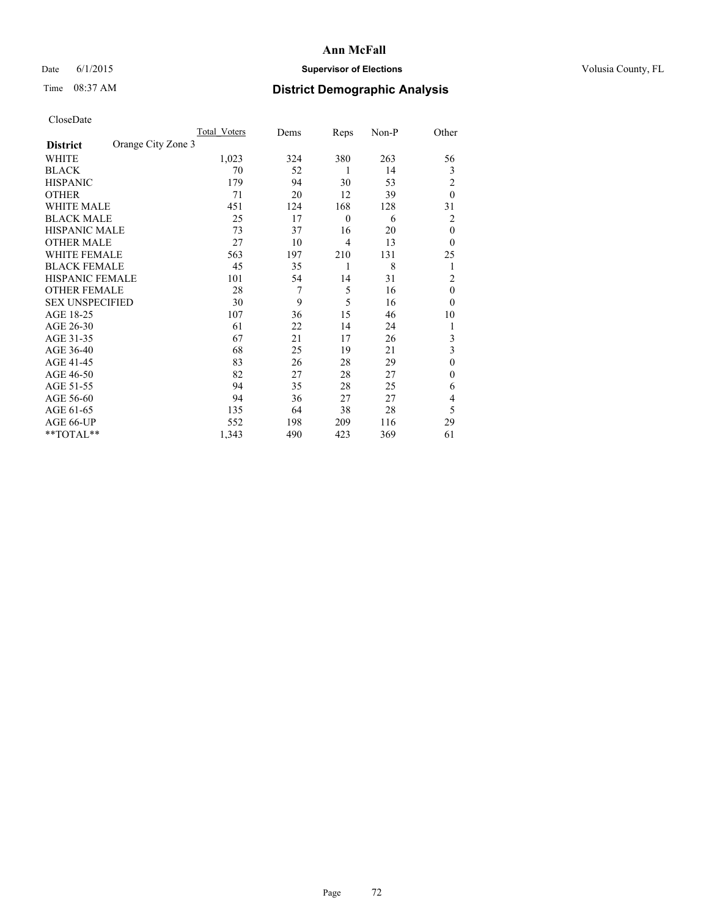## Date 6/1/2015 **Supervisor of Elections Supervisor of Elections** Volusia County, FL

## Time 08:37 AM **District Demographic Analysis**

|                        |                    | <b>Total Voters</b> | Dems | Reps             | Non-P | Other          |
|------------------------|--------------------|---------------------|------|------------------|-------|----------------|
| <b>District</b>        | Orange City Zone 3 |                     |      |                  |       |                |
| WHITE                  |                    | 1,023               | 324  | 380              | 263   | 56             |
| <b>BLACK</b>           |                    | 70                  | 52   | 1                | 14    | 3              |
| <b>HISPANIC</b>        |                    | 179                 | 94   | 30               | 53    | $\overline{2}$ |
| <b>OTHER</b>           |                    | 71                  | 20   | 12               | 39    | $\theta$       |
| WHITE MALE             |                    | 451                 | 124  | 168              | 128   | 31             |
| <b>BLACK MALE</b>      |                    | 25                  | 17   | $\boldsymbol{0}$ | 6     | 2              |
| <b>HISPANIC MALE</b>   |                    | 73                  | 37   | 16               | 20    | $\mathbf{0}$   |
| <b>OTHER MALE</b>      |                    | 27                  | 10   | 4                | 13    | $\theta$       |
| WHITE FEMALE           |                    | 563                 | 197  | 210              | 131   | 25             |
| <b>BLACK FEMALE</b>    |                    | 45                  | 35   | 1                | 8     | 1              |
| <b>HISPANIC FEMALE</b> |                    | 101                 | 54   | 14               | 31    | $\overline{2}$ |
| <b>OTHER FEMALE</b>    |                    | 28                  | 7    | 5                | 16    | $\theta$       |
| <b>SEX UNSPECIFIED</b> |                    | 30                  | 9    | 5                | 16    | $\theta$       |
| AGE 18-25              |                    | 107                 | 36   | 15               | 46    | 10             |
| AGE 26-30              |                    | 61                  | 22   | 14               | 24    | 1              |
| AGE 31-35              |                    | 67                  | 21   | 17               | 26    | 3              |
| AGE 36-40              |                    | 68                  | 25   | 19               | 21    | 3              |
| AGE 41-45              |                    | 83                  | 26   | 28               | 29    | $\theta$       |
| AGE 46-50              |                    | 82                  | 27   | 28               | 27    | $\Omega$       |
| AGE 51-55              |                    | 94                  | 35   | 28               | 25    | 6              |
| AGE 56-60              |                    | 94                  | 36   | 27               | 27    | 4              |
| AGE 61-65              |                    | 135                 | 64   | 38               | 28    | 5              |
| AGE 66-UP              |                    | 552                 | 198  | 209              | 116   | 29             |
| $*$ TOTAL $**$         |                    | 1,343               | 490  | 423              | 369   | 61             |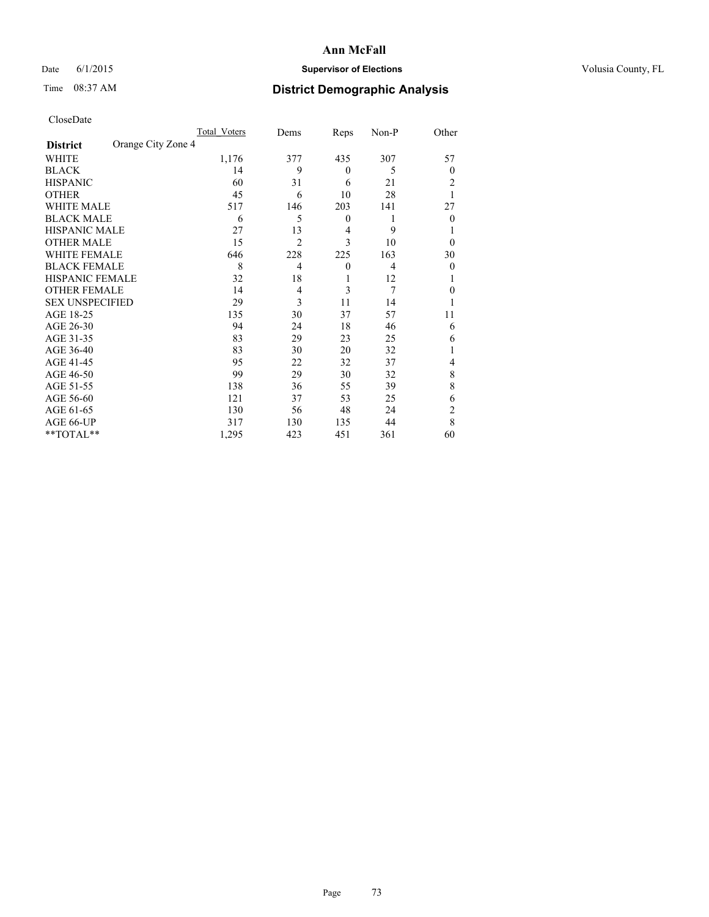## Date 6/1/2015 **Supervisor of Elections Supervisor of Elections** Volusia County, FL

# Time 08:37 AM **District Demographic Analysis**

|                        | Total Voters       | Dems           | Reps             | Non-P          | Other            |
|------------------------|--------------------|----------------|------------------|----------------|------------------|
| <b>District</b>        | Orange City Zone 4 |                |                  |                |                  |
| WHITE                  | 1,176              | 377            | 435              | 307            | 57               |
| <b>BLACK</b>           | 14                 | 9              | $\theta$         | 5              | 0                |
| <b>HISPANIC</b>        | 60                 | 31             | 6                | 21             | 2                |
| <b>OTHER</b>           | 45                 | 6              | 10               | 28             | 1                |
| <b>WHITE MALE</b>      | 517                | 146            | 203              | 141            | 27               |
| <b>BLACK MALE</b>      | 6                  | 5              | $\boldsymbol{0}$ | 1              | $\theta$         |
| <b>HISPANIC MALE</b>   | 27                 | 13             | 4                | 9              |                  |
| <b>OTHER MALE</b>      | 15                 | $\overline{2}$ | 3                | 10             | $\theta$         |
| <b>WHITE FEMALE</b>    | 646                | 228            | 225              | 163            | 30               |
| <b>BLACK FEMALE</b>    | 8                  | 4              | $\boldsymbol{0}$ | $\overline{4}$ | $\boldsymbol{0}$ |
| HISPANIC FEMALE        | 32                 | 18             | 1                | 12             |                  |
| <b>OTHER FEMALE</b>    | 14                 | 4              | 3                | 7              | 0                |
| <b>SEX UNSPECIFIED</b> | 29                 | 3              | 11               | 14             |                  |
| AGE 18-25              | 135                | 30             | 37               | 57             | 11               |
| AGE 26-30              | 94                 | 24             | 18               | 46             | 6                |
| AGE 31-35              | 83                 | 29             | 23               | 25             | 6                |
| AGE 36-40              | 83                 | 30             | 20               | 32             | 1                |
| AGE 41-45              | 95                 | 22             | 32               | 37             | 4                |
| AGE 46-50              | 99                 | 29             | 30               | 32             | 8                |
| AGE 51-55              | 138                | 36             | 55               | 39             | 8                |
| AGE 56-60              | 121                | 37             | 53               | 25             | 6                |
| AGE 61-65              | 130                | 56             | 48               | 24             | 2                |
| AGE 66-UP              | 317                | 130            | 135              | 44             | 8                |
| **TOTAL**              | 1,295              | 423            | 451              | 361            | 60               |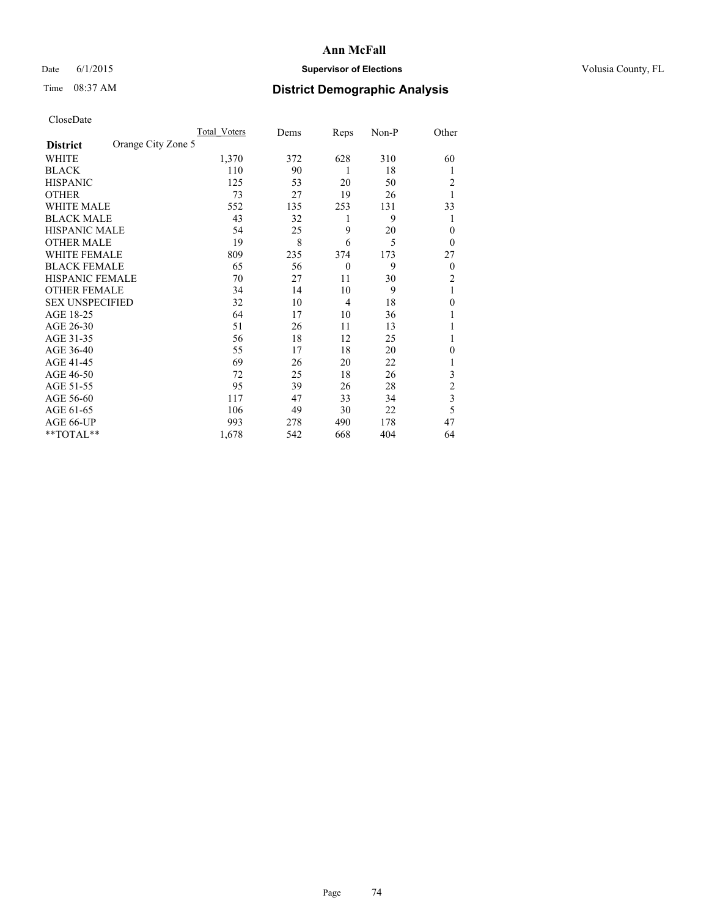## Date 6/1/2015 **Supervisor of Elections Supervisor of Elections** Volusia County, FL

## Time 08:37 AM **District Demographic Analysis**

|                        |                    | <b>Total Voters</b> | Dems | Reps           | Non-P | Other          |
|------------------------|--------------------|---------------------|------|----------------|-------|----------------|
| <b>District</b>        | Orange City Zone 5 |                     |      |                |       |                |
| WHITE                  |                    | 1,370               | 372  | 628            | 310   | 60             |
| <b>BLACK</b>           |                    | 110                 | 90   | 1              | 18    | 1              |
| <b>HISPANIC</b>        |                    | 125                 | 53   | 20             | 50    | 2              |
| <b>OTHER</b>           |                    | 73                  | 27   | 19             | 26    |                |
| WHITE MALE             |                    | 552                 | 135  | 253            | 131   | 33             |
| <b>BLACK MALE</b>      |                    | 43                  | 32   | 1              | 9     | 1              |
| <b>HISPANIC MALE</b>   |                    | 54                  | 25   | 9              | 20    | $\theta$       |
| <b>OTHER MALE</b>      |                    | 19                  | 8    | 6              | 5     | $\overline{0}$ |
| WHITE FEMALE           |                    | 809                 | 235  | 374            | 173   | 27             |
| <b>BLACK FEMALE</b>    |                    | 65                  | 56   | $\overline{0}$ | 9     | $\overline{0}$ |
| <b>HISPANIC FEMALE</b> |                    | 70                  | 27   | 11             | 30    | $\overline{c}$ |
| <b>OTHER FEMALE</b>    |                    | 34                  | 14   | 10             | 9     | 1              |
| <b>SEX UNSPECIFIED</b> |                    | 32                  | 10   | $\overline{4}$ | 18    | $\mathbf{0}$   |
| AGE 18-25              |                    | 64                  | 17   | 10             | 36    |                |
| AGE 26-30              |                    | 51                  | 26   | 11             | 13    |                |
| AGE 31-35              |                    | 56                  | 18   | 12             | 25    |                |
| AGE 36-40              |                    | 55                  | 17   | 18             | 20    | 0              |
| AGE 41-45              |                    | 69                  | 26   | 20             | 22    |                |
| AGE 46-50              |                    | 72                  | 25   | 18             | 26    | 3              |
| AGE 51-55              |                    | 95                  | 39   | 26             | 28    | $\overline{c}$ |
| AGE 56-60              |                    | 117                 | 47   | 33             | 34    | 3              |
| AGE 61-65              |                    | 106                 | 49   | 30             | 22    | 5              |
| AGE 66-UP              |                    | 993                 | 278  | 490            | 178   | 47             |
| **TOTAL**              |                    | 1,678               | 542  | 668            | 404   | 64             |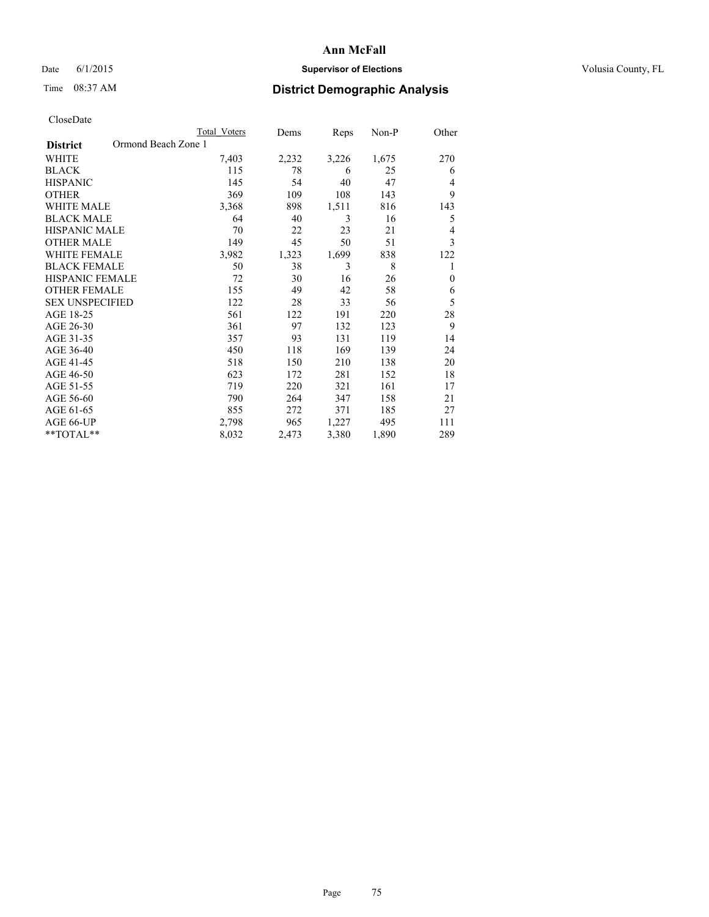## Date 6/1/2015 **Supervisor of Elections Supervisor of Elections** Volusia County, FL

## Time 08:37 AM **District Demographic Analysis**

|                                        | <b>Total Voters</b> | Dems  | Reps  | Non-P | Other        |
|----------------------------------------|---------------------|-------|-------|-------|--------------|
| Ormond Beach Zone 1<br><b>District</b> |                     |       |       |       |              |
| WHITE                                  | 7,403               | 2,232 | 3,226 | 1,675 | 270          |
| <b>BLACK</b>                           | 115                 | 78    | 6     | 25    | 6            |
| <b>HISPANIC</b>                        | 145                 | 54    | 40    | 47    | 4            |
| <b>OTHER</b>                           | 369                 | 109   | 108   | 143   | 9            |
| <b>WHITE MALE</b>                      | 3,368               | 898   | 1,511 | 816   | 143          |
| <b>BLACK MALE</b>                      | 64                  | 40    | 3     | 16    | 5            |
| <b>HISPANIC MALE</b>                   | 70                  | 22    | 23    | 21    | 4            |
| <b>OTHER MALE</b>                      | 149                 | 45    | 50    | 51    | 3            |
| <b>WHITE FEMALE</b>                    | 3,982               | 1,323 | 1,699 | 838   | 122          |
| <b>BLACK FEMALE</b>                    | 50                  | 38    | 3     | 8     | 1            |
| <b>HISPANIC FEMALE</b>                 | 72                  | 30    | 16    | 26    | $\mathbf{0}$ |
| <b>OTHER FEMALE</b>                    | 155                 | 49    | 42    | 58    | 6            |
| <b>SEX UNSPECIFIED</b>                 | 122                 | 28    | 33    | 56    | 5            |
| AGE 18-25                              | 561                 | 122   | 191   | 220   | 28           |
| AGE 26-30                              | 361                 | 97    | 132   | 123   | 9            |
| AGE 31-35                              | 357                 | 93    | 131   | 119   | 14           |
| AGE 36-40                              | 450                 | 118   | 169   | 139   | 24           |
| AGE 41-45                              | 518                 | 150   | 210   | 138   | 20           |
| AGE 46-50                              | 623                 | 172   | 281   | 152   | 18           |
| AGE 51-55                              | 719                 | 220   | 321   | 161   | 17           |
| AGE 56-60                              | 790                 | 264   | 347   | 158   | 21           |
| AGE 61-65                              | 855                 | 272   | 371   | 185   | 27           |
| AGE 66-UP                              | 2,798               | 965   | 1,227 | 495   | 111          |
| **TOTAL**                              | 8,032               | 2,473 | 3,380 | 1,890 | 289          |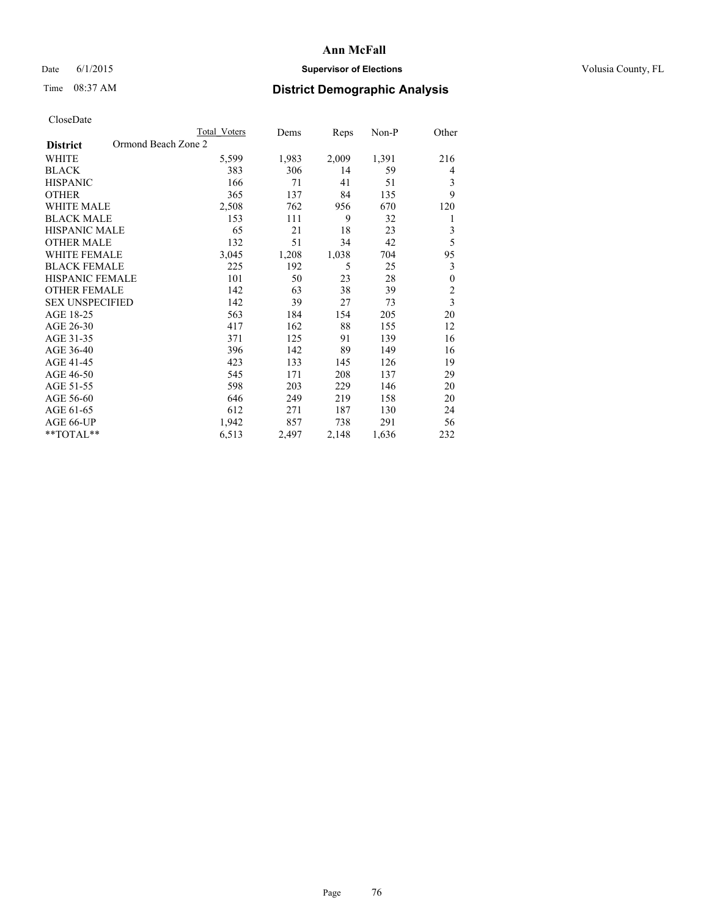## Date 6/1/2015 **Supervisor of Elections Supervisor of Elections** Volusia County, FL

## Time 08:37 AM **District Demographic Analysis**

|                                        | <b>Total Voters</b> | Dems  | Reps  | Non-P | Other                   |
|----------------------------------------|---------------------|-------|-------|-------|-------------------------|
| Ormond Beach Zone 2<br><b>District</b> |                     |       |       |       |                         |
| WHITE                                  | 5,599               | 1,983 | 2,009 | 1,391 | 216                     |
| <b>BLACK</b>                           | 383                 | 306   | 14    | 59    | 4                       |
| <b>HISPANIC</b>                        | 166                 | 71    | 41    | 51    | 3                       |
| <b>OTHER</b>                           | 365                 | 137   | 84    | 135   | 9                       |
| WHITE MALE                             | 2,508               | 762   | 956   | 670   | 120                     |
| <b>BLACK MALE</b>                      | 153                 | 111   | 9     | 32    | 1                       |
| <b>HISPANIC MALE</b>                   | 65                  | 21    | 18    | 23    | 3                       |
| <b>OTHER MALE</b>                      | 132                 | 51    | 34    | 42    | 5                       |
| WHITE FEMALE                           | 3,045               | 1,208 | 1,038 | 704   | 95                      |
| <b>BLACK FEMALE</b>                    | 225                 | 192   | 5     | 25    | 3                       |
| <b>HISPANIC FEMALE</b>                 | 101                 | 50    | 23    | 28    | $\boldsymbol{0}$        |
| <b>OTHER FEMALE</b>                    | 142                 | 63    | 38    | 39    | $\overline{c}$          |
| <b>SEX UNSPECIFIED</b>                 | 142                 | 39    | 27    | 73    | $\overline{\mathbf{3}}$ |
| AGE 18-25                              | 563                 | 184   | 154   | 205   | 20                      |
| AGE 26-30                              | 417                 | 162   | 88    | 155   | 12                      |
| AGE 31-35                              | 371                 | 125   | 91    | 139   | 16                      |
| AGE 36-40                              | 396                 | 142   | 89    | 149   | 16                      |
| AGE 41-45                              | 423                 | 133   | 145   | 126   | 19                      |
| AGE 46-50                              | 545                 | 171   | 208   | 137   | 29                      |
| AGE 51-55                              | 598                 | 203   | 229   | 146   | 20                      |
| AGE 56-60                              | 646                 | 249   | 219   | 158   | 20                      |
| AGE 61-65                              | 612                 | 271   | 187   | 130   | 24                      |
| AGE 66-UP                              | 1,942               | 857   | 738   | 291   | 56                      |
| **TOTAL**                              | 6,513               | 2,497 | 2,148 | 1,636 | 232                     |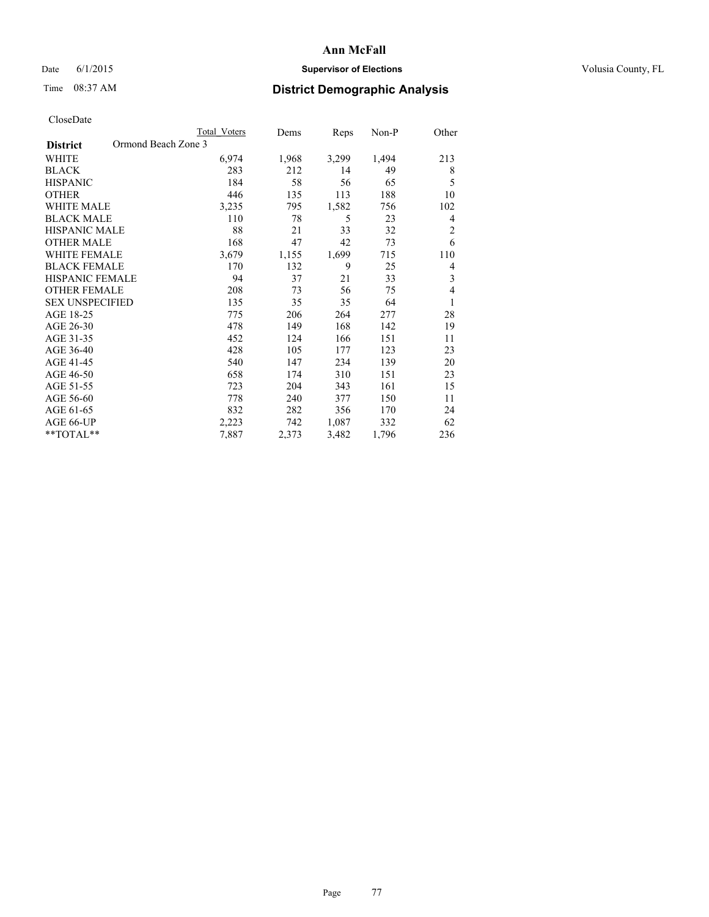## Date 6/1/2015 **Supervisor of Elections Supervisor of Elections** Volusia County, FL

## Time 08:37 AM **District Demographic Analysis**

|                                        | <b>Total Voters</b> | Dems  | Reps  | Non-P | Other          |
|----------------------------------------|---------------------|-------|-------|-------|----------------|
| Ormond Beach Zone 3<br><b>District</b> |                     |       |       |       |                |
| WHITE                                  | 6,974               | 1,968 | 3,299 | 1,494 | 213            |
| <b>BLACK</b>                           | 283                 | 212   | 14    | 49    | 8              |
| <b>HISPANIC</b>                        | 184                 | 58    | 56    | 65    | 5              |
| <b>OTHER</b>                           | 446                 | 135   | 113   | 188   | 10             |
| WHITE MALE                             | 3,235               | 795   | 1,582 | 756   | 102            |
| <b>BLACK MALE</b>                      | 110                 | 78    | 5     | 23    | 4              |
| HISPANIC MALE                          | 88                  | 21    | 33    | 32    | $\overline{2}$ |
| <b>OTHER MALE</b>                      | 168                 | 47    | 42    | 73    | 6              |
| WHITE FEMALE                           | 3,679               | 1,155 | 1,699 | 715   | 110            |
| <b>BLACK FEMALE</b>                    | 170                 | 132   | 9     | 25    | 4              |
| <b>HISPANIC FEMALE</b>                 | 94                  | 37    | 21    | 33    | 3              |
| <b>OTHER FEMALE</b>                    | 208                 | 73    | 56    | 75    | $\overline{4}$ |
| <b>SEX UNSPECIFIED</b>                 | 135                 | 35    | 35    | 64    | 1              |
| AGE 18-25                              | 775                 | 206   | 264   | 277   | 28             |
| AGE 26-30                              | 478                 | 149   | 168   | 142   | 19             |
| AGE 31-35                              | 452                 | 124   | 166   | 151   | 11             |
| AGE 36-40                              | 428                 | 105   | 177   | 123   | 23             |
| AGE 41-45                              | 540                 | 147   | 234   | 139   | 20             |
| AGE 46-50                              | 658                 | 174   | 310   | 151   | 23             |
| AGE 51-55                              | 723                 | 204   | 343   | 161   | 15             |
| AGE 56-60                              | 778                 | 240   | 377   | 150   | 11             |
| AGE 61-65                              | 832                 | 282   | 356   | 170   | 24             |
| AGE 66-UP                              | 2,223               | 742   | 1,087 | 332   | 62             |
| **TOTAL**                              | 7,887               | 2,373 | 3,482 | 1,796 | 236            |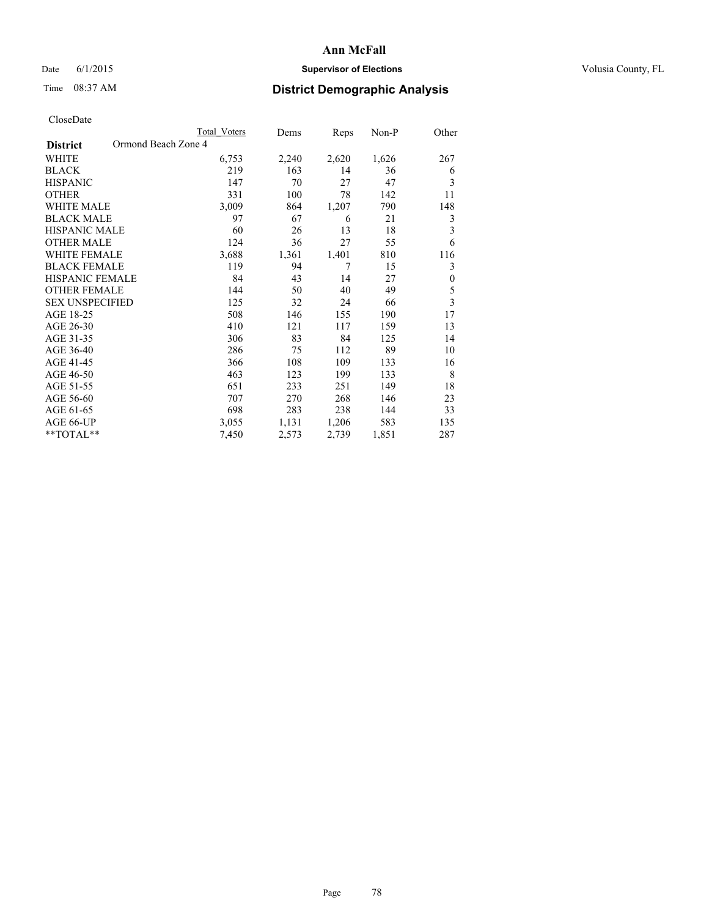## Date 6/1/2015 **Supervisor of Elections Supervisor of Elections** Volusia County, FL

## Time 08:37 AM **District Demographic Analysis**

|                        |                     | <b>Total Voters</b> | Dems  | Reps  | Non-P | Other                   |
|------------------------|---------------------|---------------------|-------|-------|-------|-------------------------|
| <b>District</b>        | Ormond Beach Zone 4 |                     |       |       |       |                         |
| WHITE                  |                     | 6,753               | 2,240 | 2,620 | 1,626 | 267                     |
| <b>BLACK</b>           |                     | 219                 | 163   | 14    | 36    | 6                       |
| <b>HISPANIC</b>        |                     | 147                 | 70    | 27    | 47    | 3                       |
| <b>OTHER</b>           |                     | 331                 | 100   | 78    | 142   | 11                      |
| WHITE MALE             |                     | 3,009               | 864   | 1,207 | 790   | 148                     |
| <b>BLACK MALE</b>      |                     | 97                  | 67    | 6     | 21    | 3                       |
| HISPANIC MALE          |                     | 60                  | 26    | 13    | 18    | 3                       |
| <b>OTHER MALE</b>      |                     | 124                 | 36    | 27    | 55    | 6                       |
| WHITE FEMALE           |                     | 3,688               | 1,361 | 1,401 | 810   | 116                     |
| <b>BLACK FEMALE</b>    |                     | 119                 | 94    | 7     | 15    | 3                       |
| <b>HISPANIC FEMALE</b> |                     | 84                  | 43    | 14    | 27    | $\boldsymbol{0}$        |
| <b>OTHER FEMALE</b>    |                     | 144                 | 50    | 40    | 49    | 5                       |
| <b>SEX UNSPECIFIED</b> |                     | 125                 | 32    | 24    | 66    | $\overline{\mathbf{3}}$ |
| AGE 18-25              |                     | 508                 | 146   | 155   | 190   | 17                      |
| AGE 26-30              |                     | 410                 | 121   | 117   | 159   | 13                      |
| AGE 31-35              |                     | 306                 | 83    | 84    | 125   | 14                      |
| AGE 36-40              |                     | 286                 | 75    | 112   | 89    | 10                      |
| AGE 41-45              |                     | 366                 | 108   | 109   | 133   | 16                      |
| AGE 46-50              |                     | 463                 | 123   | 199   | 133   | 8                       |
| AGE 51-55              |                     | 651                 | 233   | 251   | 149   | 18                      |
| AGE 56-60              |                     | 707                 | 270   | 268   | 146   | 23                      |
| AGE 61-65              |                     | 698                 | 283   | 238   | 144   | 33                      |
| AGE 66-UP              |                     | 3,055               | 1,131 | 1,206 | 583   | 135                     |
| **TOTAL**              |                     | 7,450               | 2,573 | 2,739 | 1,851 | 287                     |
|                        |                     |                     |       |       |       |                         |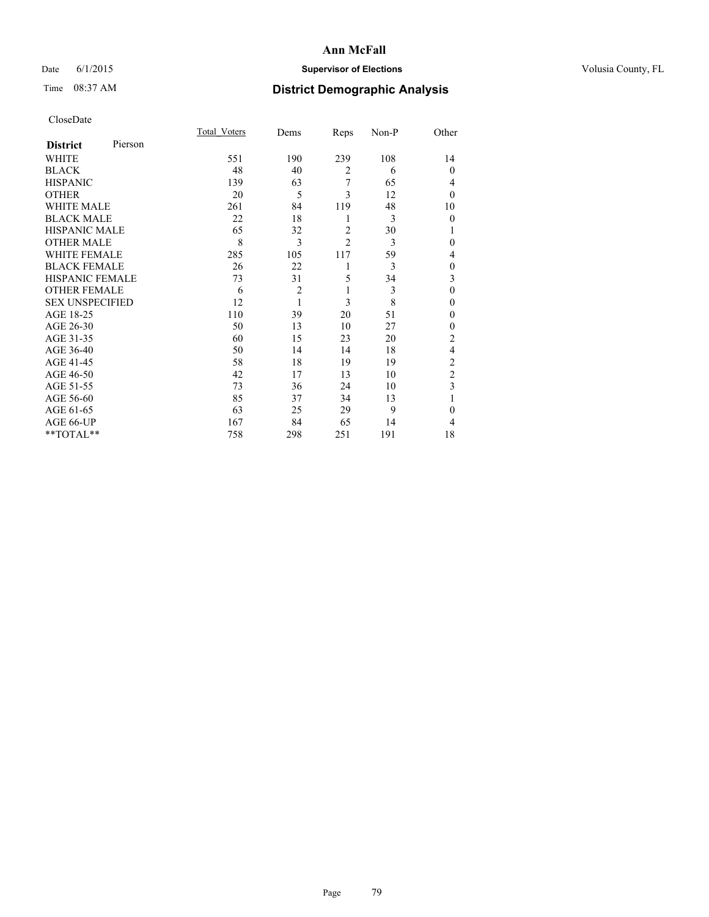## Date 6/1/2015 **Supervisor of Elections Supervisor of Elections** Volusia County, FL

# Time 08:37 AM **District Demographic Analysis**

| CloseDate |
|-----------|
|-----------|

|                        |         | <b>Total Voters</b> | Dems           | Reps           | Non-P | Other          |
|------------------------|---------|---------------------|----------------|----------------|-------|----------------|
| <b>District</b>        | Pierson |                     |                |                |       |                |
| WHITE                  |         | 551                 | 190            | 239            | 108   | 14             |
| <b>BLACK</b>           |         | 48                  | 40             | $\overline{2}$ | 6     | $\theta$       |
| <b>HISPANIC</b>        |         | 139                 | 63             | 7              | 65    | 4              |
| <b>OTHER</b>           |         | 20                  | 5              | 3              | 12    | $\theta$       |
| <b>WHITE MALE</b>      |         | 261                 | 84             | 119            | 48    | 10             |
| <b>BLACK MALE</b>      |         | 22                  | 18             | 1              | 3     | $\theta$       |
| <b>HISPANIC MALE</b>   |         | 65                  | 32             | $\overline{2}$ | 30    |                |
| <b>OTHER MALE</b>      |         | 8                   | 3              | $\overline{c}$ | 3     | $\theta$       |
| <b>WHITE FEMALE</b>    |         | 285                 | 105            | 117            | 59    | 4              |
| <b>BLACK FEMALE</b>    |         | 26                  | 22             | 1              | 3     | $\theta$       |
| <b>HISPANIC FEMALE</b> |         | 73                  | 31             | 5              | 34    | 3              |
| <b>OTHER FEMALE</b>    |         | 6                   | $\overline{c}$ | 1              | 3     | $\theta$       |
| <b>SEX UNSPECIFIED</b> |         | 12                  | 1              | 3              | 8     | $\mathbf{0}$   |
| AGE 18-25              |         | 110                 | 39             | 20             | 51    | $\theta$       |
| AGE 26-30              |         | 50                  | 13             | 10             | 27    | $\mathbf{0}$   |
| AGE 31-35              |         | 60                  | 15             | 23             | 20    | $\overline{c}$ |
| AGE 36-40              |         | 50                  | 14             | 14             | 18    | 4              |
| AGE 41-45              |         | 58                  | 18             | 19             | 19    | $\overline{c}$ |
| AGE 46-50              |         | 42                  | 17             | 13             | 10    | $\overline{2}$ |
| AGE 51-55              |         | 73                  | 36             | 24             | 10    | 3              |
| AGE 56-60              |         | 85                  | 37             | 34             | 13    |                |
| AGE 61-65              |         | 63                  | 25             | 29             | 9     | $\mathbf{0}$   |
| AGE 66-UP              |         | 167                 | 84             | 65             | 14    | 4              |
| **TOTAL**              |         | 758                 | 298            | 251            | 191   | 18             |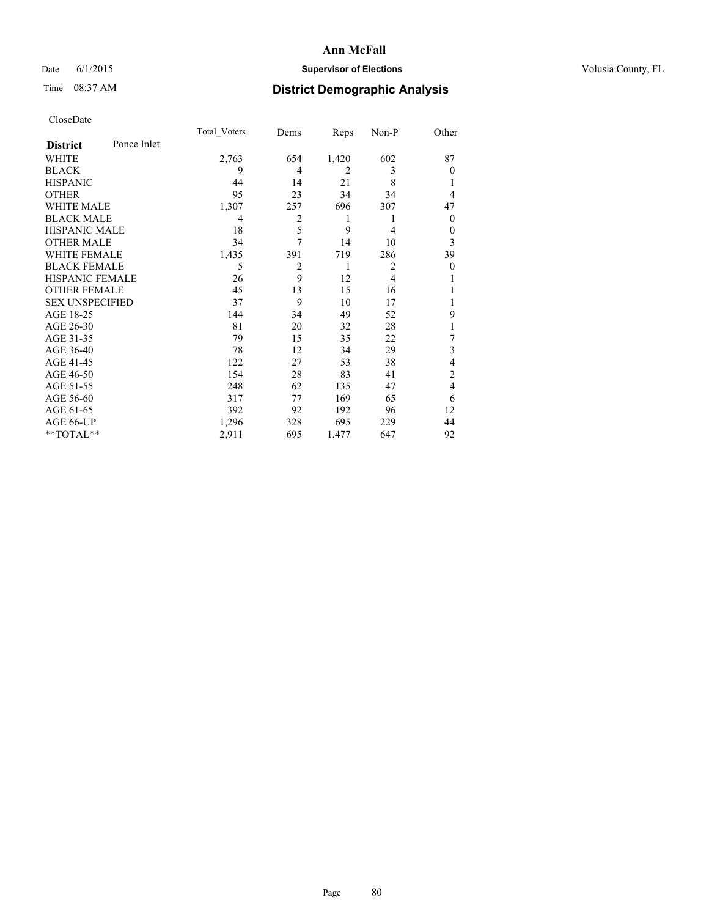## Date 6/1/2015 **Supervisor of Elections Supervisor of Elections** Volusia County, FL

## Time 08:37 AM **District Demographic Analysis**

|                        |             | <b>Total Voters</b> | Dems           | Reps           | Non-P          | Other    |
|------------------------|-------------|---------------------|----------------|----------------|----------------|----------|
| <b>District</b>        | Ponce Inlet |                     |                |                |                |          |
| WHITE                  |             | 2,763               | 654            | 1,420          | 602            | 87       |
| <b>BLACK</b>           |             | 9                   | 4              | $\overline{2}$ | 3              | $\theta$ |
| <b>HISPANIC</b>        |             | 44                  | 14             | 21             | 8              |          |
| <b>OTHER</b>           |             | 95                  | 23             | 34             | 34             | 4        |
| WHITE MALE             |             | 1,307               | 257            | 696            | 307            | 47       |
| <b>BLACK MALE</b>      |             | 4                   | $\overline{2}$ | 1              | 1              | $\theta$ |
| <b>HISPANIC MALE</b>   |             | 18                  | 5              | 9              | 4              | 0        |
| <b>OTHER MALE</b>      |             | 34                  | 7              | 14             | 10             | 3        |
| WHITE FEMALE           |             | 1,435               | 391            | 719            | 286            | 39       |
| <b>BLACK FEMALE</b>    |             | 5                   | $\overline{2}$ | 1              | $\overline{2}$ | $\theta$ |
| <b>HISPANIC FEMALE</b> |             | 26                  | 9              | 12             | $\overline{4}$ |          |
| <b>OTHER FEMALE</b>    |             | 45                  | 13             | 15             | 16             |          |
| <b>SEX UNSPECIFIED</b> |             | 37                  | 9              | 10             | 17             |          |
| AGE 18-25              |             | 144                 | 34             | 49             | 52             | 9        |
| AGE 26-30              |             | 81                  | 20             | 32             | 28             | 1        |
| AGE 31-35              |             | 79                  | 15             | 35             | 22             | 7        |
| AGE 36-40              |             | 78                  | 12             | 34             | 29             | 3        |
| AGE 41-45              |             | 122                 | 27             | 53             | 38             | 4        |
| AGE 46-50              |             | 154                 | 28             | 83             | 41             | 2        |
| AGE 51-55              |             | 248                 | 62             | 135            | 47             | 4        |
| AGE 56-60              |             | 317                 | 77             | 169            | 65             | 6        |
| AGE 61-65              |             | 392                 | 92             | 192            | 96             | 12       |
| AGE 66-UP              |             | 1,296               | 328            | 695            | 229            | 44       |
| **TOTAL**              |             | 2,911               | 695            | 1,477          | 647            | 92       |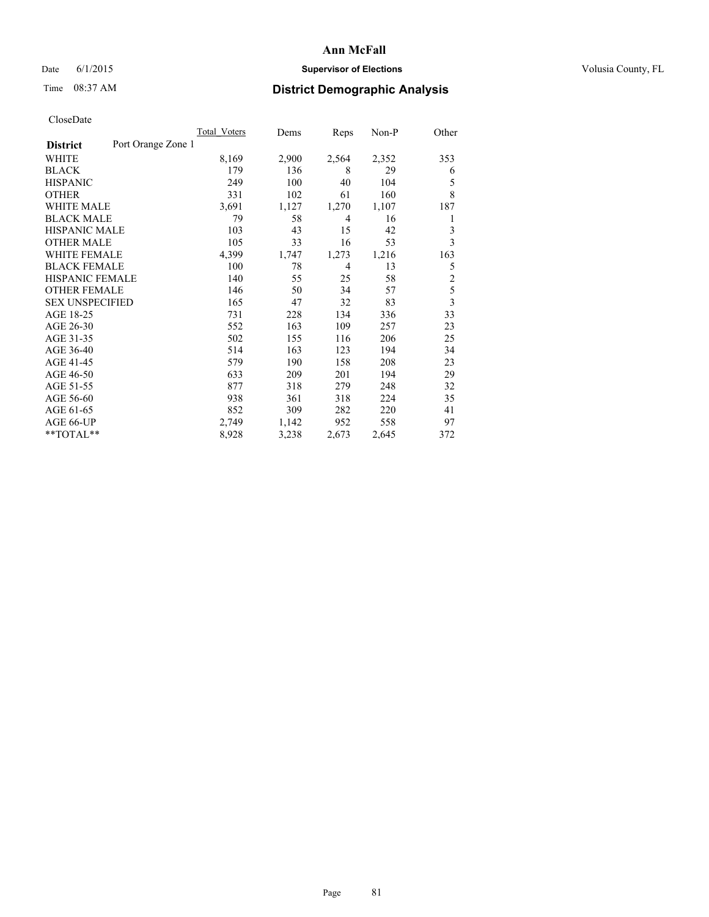## Date 6/1/2015 **Supervisor of Elections Supervisor of Elections** Volusia County, FL

## Time 08:37 AM **District Demographic Analysis**

|                        |                    | <b>Total Voters</b> | Dems  | Reps  | Non-P | Other          |
|------------------------|--------------------|---------------------|-------|-------|-------|----------------|
| <b>District</b>        | Port Orange Zone 1 |                     |       |       |       |                |
| WHITE                  |                    | 8,169               | 2,900 | 2,564 | 2,352 | 353            |
| <b>BLACK</b>           |                    | 179                 | 136   | 8     | 29    | 6              |
| <b>HISPANIC</b>        |                    | 249                 | 100   | 40    | 104   | 5              |
| <b>OTHER</b>           |                    | 331                 | 102   | 61    | 160   | 8              |
| WHITE MALE             |                    | 3,691               | 1,127 | 1,270 | 1,107 | 187            |
| <b>BLACK MALE</b>      |                    | 79                  | 58    | 4     | 16    | 1              |
| <b>HISPANIC MALE</b>   |                    | 103                 | 43    | 15    | 42    | 3              |
| <b>OTHER MALE</b>      |                    | 105                 | 33    | 16    | 53    | 3              |
| <b>WHITE FEMALE</b>    |                    | 4,399               | 1,747 | 1,273 | 1,216 | 163            |
| <b>BLACK FEMALE</b>    |                    | 100                 | 78    | 4     | 13    | 5              |
| HISPANIC FEMALE        |                    | 140                 | 55    | 25    | 58    | $\overline{2}$ |
| <b>OTHER FEMALE</b>    |                    | 146                 | 50    | 34    | 57    | 5              |
| <b>SEX UNSPECIFIED</b> |                    | 165                 | 47    | 32    | 83    | 3              |
| AGE 18-25              |                    | 731                 | 228   | 134   | 336   | 33             |
| AGE 26-30              |                    | 552                 | 163   | 109   | 257   | 23             |
| AGE 31-35              |                    | 502                 | 155   | 116   | 206   | 25             |
| AGE 36-40              |                    | 514                 | 163   | 123   | 194   | 34             |
| AGE 41-45              |                    | 579                 | 190   | 158   | 208   | 23             |
| AGE 46-50              |                    | 633                 | 209   | 201   | 194   | 29             |
| AGE 51-55              |                    | 877                 | 318   | 279   | 248   | 32             |
| AGE 56-60              |                    | 938                 | 361   | 318   | 224   | 35             |
| AGE 61-65              |                    | 852                 | 309   | 282   | 220   | 41             |
| AGE 66-UP              |                    | 2,749               | 1,142 | 952   | 558   | 97             |
| **TOTAL**              |                    | 8,928               | 3,238 | 2,673 | 2,645 | 372            |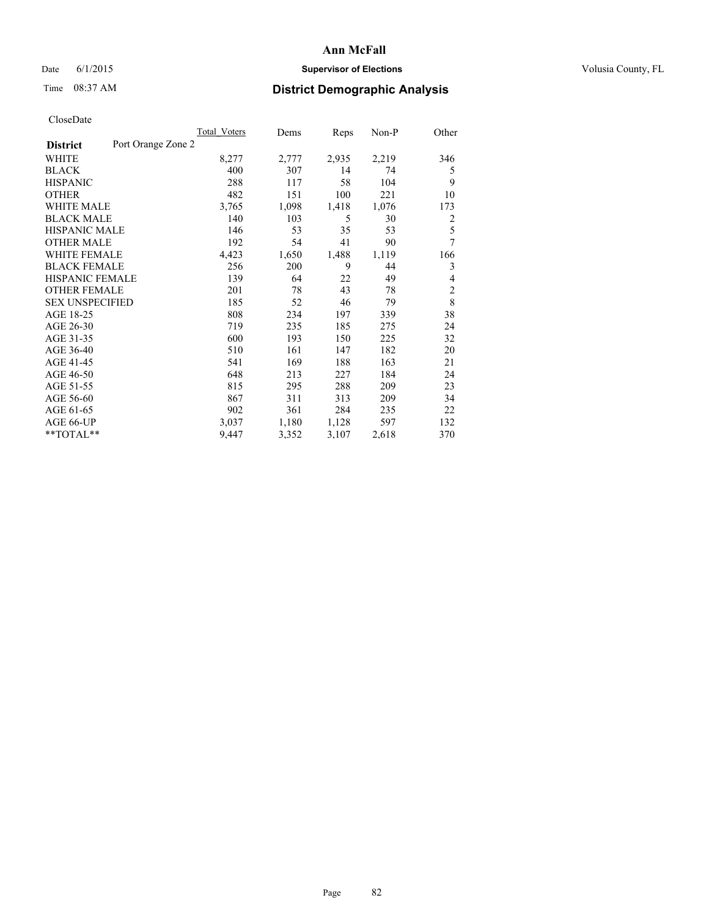## Date 6/1/2015 **Supervisor of Elections Supervisor of Elections** Volusia County, FL

# Time 08:37 AM **District Demographic Analysis**

|                        |                    | <b>Total Voters</b> | Dems  | Reps  | Non-P | Other          |
|------------------------|--------------------|---------------------|-------|-------|-------|----------------|
| <b>District</b>        | Port Orange Zone 2 |                     |       |       |       |                |
| WHITE                  |                    | 8,277               | 2,777 | 2,935 | 2,219 | 346            |
| <b>BLACK</b>           |                    | 400                 | 307   | 14    | 74    | 5              |
| <b>HISPANIC</b>        |                    | 288                 | 117   | 58    | 104   | 9              |
| <b>OTHER</b>           |                    | 482                 | 151   | 100   | 221   | 10             |
| WHITE MALE             |                    | 3,765               | 1,098 | 1,418 | 1,076 | 173            |
| <b>BLACK MALE</b>      |                    | 140                 | 103   | 5     | 30    | 2              |
| <b>HISPANIC MALE</b>   |                    | 146                 | 53    | 35    | 53    | 5              |
| <b>OTHER MALE</b>      |                    | 192                 | 54    | 41    | 90    | 7              |
| <b>WHITE FEMALE</b>    |                    | 4,423               | 1,650 | 1,488 | 1,119 | 166            |
| <b>BLACK FEMALE</b>    |                    | 256                 | 200   | 9     | 44    | 3              |
| <b>HISPANIC FEMALE</b> |                    | 139                 | 64    | 22    | 49    | 4              |
| <b>OTHER FEMALE</b>    |                    | 201                 | 78    | 43    | 78    | $\overline{2}$ |
| <b>SEX UNSPECIFIED</b> |                    | 185                 | 52    | 46    | 79    | 8              |
| AGE 18-25              |                    | 808                 | 234   | 197   | 339   | 38             |
| AGE 26-30              |                    | 719                 | 235   | 185   | 275   | 24             |
| AGE 31-35              |                    | 600                 | 193   | 150   | 225   | 32             |
| AGE 36-40              |                    | 510                 | 161   | 147   | 182   | 20             |
| AGE 41-45              |                    | 541                 | 169   | 188   | 163   | 21             |
| AGE 46-50              |                    | 648                 | 213   | 227   | 184   | 24             |
| AGE 51-55              |                    | 815                 | 295   | 288   | 209   | 23             |
| AGE 56-60              |                    | 867                 | 311   | 313   | 209   | 34             |
| AGE 61-65              |                    | 902                 | 361   | 284   | 235   | 22             |
| AGE 66-UP              |                    | 3,037               | 1,180 | 1,128 | 597   | 132            |
| **TOTAL**              |                    | 9,447               | 3,352 | 3,107 | 2,618 | 370            |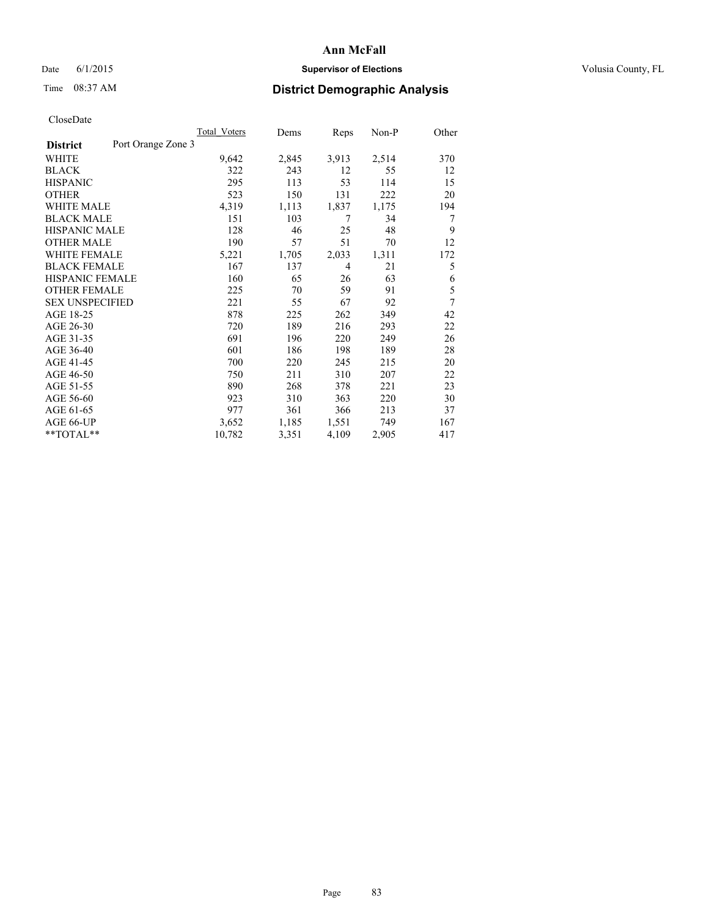## Date 6/1/2015 **Supervisor of Elections Supervisor of Elections** Volusia County, FL

## Time 08:37 AM **District Demographic Analysis**

|                        |                    | Total Voters | Dems  | Reps           | Non-P | Other |
|------------------------|--------------------|--------------|-------|----------------|-------|-------|
| <b>District</b>        | Port Orange Zone 3 |              |       |                |       |       |
| WHITE                  |                    | 9,642        | 2,845 | 3,913          | 2,514 | 370   |
| <b>BLACK</b>           |                    | 322          | 243   | 12             | 55    | 12    |
| <b>HISPANIC</b>        |                    | 295          | 113   | 53             | 114   | 15    |
| <b>OTHER</b>           |                    | 523          | 150   | 131            | 222   | 20    |
| WHITE MALE             |                    | 4,319        | 1,113 | 1,837          | 1,175 | 194   |
| <b>BLACK MALE</b>      |                    | 151          | 103   | 7              | 34    | 7     |
| <b>HISPANIC MALE</b>   |                    | 128          | 46    | 25             | 48    | 9     |
| <b>OTHER MALE</b>      |                    | 190          | 57    | 51             | 70    | 12    |
| <b>WHITE FEMALE</b>    |                    | 5,221        | 1,705 | 2,033          | 1,311 | 172   |
| <b>BLACK FEMALE</b>    |                    | 167          | 137   | $\overline{4}$ | 21    | 5     |
| <b>HISPANIC FEMALE</b> |                    | 160          | 65    | 26             | 63    | 6     |
| <b>OTHER FEMALE</b>    |                    | 225          | 70    | 59             | 91    | 5     |
| <b>SEX UNSPECIFIED</b> |                    | 221          | 55    | 67             | 92    | 7     |
| AGE 18-25              |                    | 878          | 225   | 262            | 349   | 42    |
| AGE 26-30              |                    | 720          | 189   | 216            | 293   | 22    |
| AGE 31-35              |                    | 691          | 196   | 220            | 249   | 26    |
| AGE 36-40              |                    | 601          | 186   | 198            | 189   | 28    |
| AGE 41-45              |                    | 700          | 220   | 245            | 215   | 20    |
| AGE 46-50              |                    | 750          | 211   | 310            | 207   | 22    |
| AGE 51-55              |                    | 890          | 268   | 378            | 221   | 23    |
| AGE 56-60              |                    | 923          | 310   | 363            | 220   | 30    |
| AGE 61-65              |                    | 977          | 361   | 366            | 213   | 37    |
| AGE 66-UP              |                    | 3,652        | 1,185 | 1,551          | 749   | 167   |
| **TOTAL**              |                    | 10,782       | 3,351 | 4,109          | 2,905 | 417   |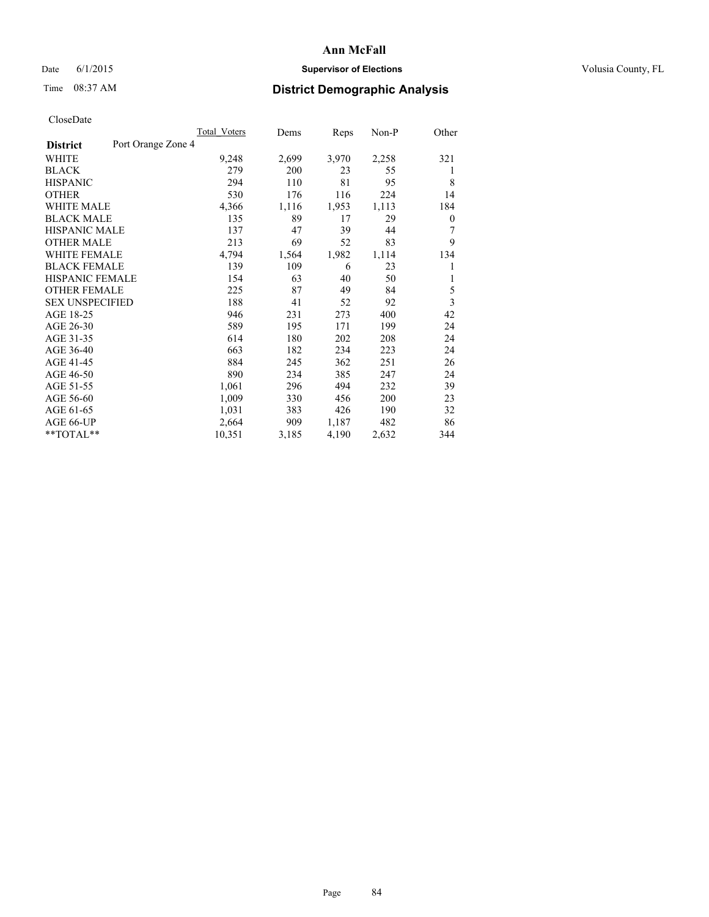## Date 6/1/2015 **Supervisor of Elections Supervisor of Elections** Volusia County, FL

## Time 08:37 AM **District Demographic Analysis**

|                        |                    | Total Voters | Dems  | Reps  | Non-P | Other |
|------------------------|--------------------|--------------|-------|-------|-------|-------|
| <b>District</b>        | Port Orange Zone 4 |              |       |       |       |       |
| WHITE                  |                    | 9,248        | 2,699 | 3,970 | 2,258 | 321   |
| <b>BLACK</b>           |                    | 279          | 200   | 23    | 55    | 1     |
| <b>HISPANIC</b>        |                    | 294          | 110   | 81    | 95    | 8     |
| <b>OTHER</b>           |                    | 530          | 176   | 116   | 224   | 14    |
| <b>WHITE MALE</b>      |                    | 4,366        | 1,116 | 1,953 | 1,113 | 184   |
| <b>BLACK MALE</b>      |                    | 135          | 89    | 17    | 29    | 0     |
| <b>HISPANIC MALE</b>   |                    | 137          | 47    | 39    | 44    | 7     |
| <b>OTHER MALE</b>      |                    | 213          | 69    | 52    | 83    | 9     |
| <b>WHITE FEMALE</b>    |                    | 4,794        | 1,564 | 1,982 | 1,114 | 134   |
| <b>BLACK FEMALE</b>    |                    | 139          | 109   | 6     | 23    | 1     |
| <b>HISPANIC FEMALE</b> |                    | 154          | 63    | 40    | 50    | 1     |
| <b>OTHER FEMALE</b>    |                    | 225          | 87    | 49    | 84    | 5     |
| <b>SEX UNSPECIFIED</b> |                    | 188          | 41    | 52    | 92    | 3     |
| AGE 18-25              |                    | 946          | 231   | 273   | 400   | 42    |
| AGE 26-30              |                    | 589          | 195   | 171   | 199   | 24    |
| AGE 31-35              |                    | 614          | 180   | 202   | 208   | 24    |
| AGE 36-40              |                    | 663          | 182   | 234   | 223   | 24    |
| AGE 41-45              |                    | 884          | 245   | 362   | 251   | 26    |
| AGE 46-50              |                    | 890          | 234   | 385   | 247   | 24    |
| AGE 51-55              |                    | 1,061        | 296   | 494   | 232   | 39    |
| AGE 56-60              |                    | 1,009        | 330   | 456   | 200   | 23    |
| AGE 61-65              |                    | 1,031        | 383   | 426   | 190   | 32    |
| AGE 66-UP              |                    | 2,664        | 909   | 1,187 | 482   | 86    |
| **TOTAL**              |                    | 10,351       | 3,185 | 4,190 | 2,632 | 344   |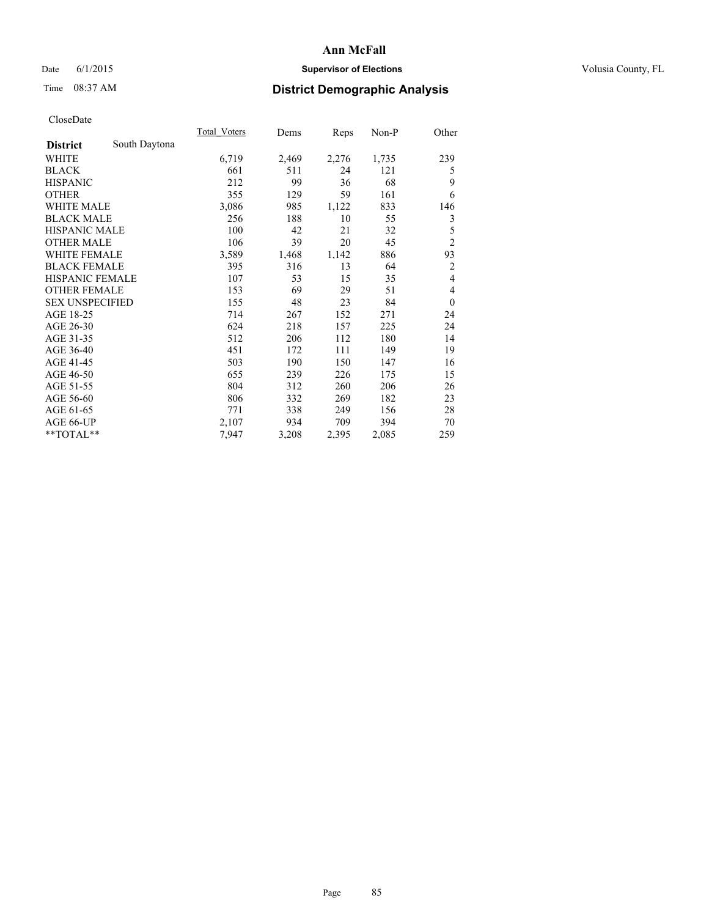## Date 6/1/2015 **Supervisor of Elections Supervisor of Elections** Volusia County, FL

# Time 08:37 AM **District Demographic Analysis**

|                        |               | Total Voters | Dems  | Reps  | Non-P | Other          |
|------------------------|---------------|--------------|-------|-------|-------|----------------|
| <b>District</b>        | South Daytona |              |       |       |       |                |
| WHITE                  |               | 6,719        | 2,469 | 2,276 | 1,735 | 239            |
| <b>BLACK</b>           |               | 661          | 511   | 24    | 121   | 5              |
| <b>HISPANIC</b>        |               | 212          | 99    | 36    | 68    | 9              |
| <b>OTHER</b>           |               | 355          | 129   | 59    | 161   | 6              |
| <b>WHITE MALE</b>      |               | 3,086        | 985   | 1,122 | 833   | 146            |
| <b>BLACK MALE</b>      |               | 256          | 188   | 10    | 55    | 3              |
| <b>HISPANIC MALE</b>   |               | 100          | 42    | 21    | 32    | 5              |
| <b>OTHER MALE</b>      |               | 106          | 39    | 20    | 45    | $\overline{c}$ |
| <b>WHITE FEMALE</b>    |               | 3,589        | 1,468 | 1,142 | 886   | 93             |
| <b>BLACK FEMALE</b>    |               | 395          | 316   | 13    | 64    | 2              |
| <b>HISPANIC FEMALE</b> |               | 107          | 53    | 15    | 35    | $\overline{4}$ |
| <b>OTHER FEMALE</b>    |               | 153          | 69    | 29    | 51    | 4              |
| <b>SEX UNSPECIFIED</b> |               | 155          | 48    | 23    | 84    | $\theta$       |
| AGE 18-25              |               | 714          | 267   | 152   | 271   | 24             |
| AGE 26-30              |               | 624          | 218   | 157   | 225   | 24             |
| AGE 31-35              |               | 512          | 206   | 112   | 180   | 14             |
| AGE 36-40              |               | 451          | 172   | 111   | 149   | 19             |
| AGE 41-45              |               | 503          | 190   | 150   | 147   | 16             |
| AGE 46-50              |               | 655          | 239   | 226   | 175   | 15             |
| AGE 51-55              |               | 804          | 312   | 260   | 206   | 26             |
| AGE 56-60              |               | 806          | 332   | 269   | 182   | 23             |
| AGE 61-65              |               | 771          | 338   | 249   | 156   | 28             |
| AGE 66-UP              |               | 2,107        | 934   | 709   | 394   | 70             |
| **TOTAL**              |               | 7,947        | 3,208 | 2,395 | 2,085 | 259            |